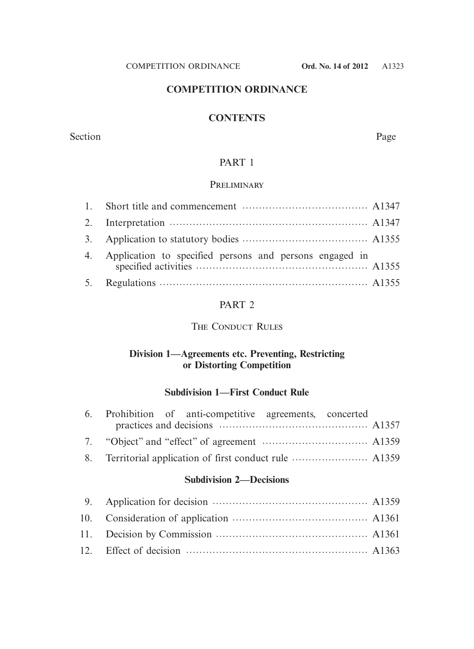## **COMPETITION ORDINANCE**

#### **CONTENTS**

#### Section Page

## PART 1

### **PRELIMINARY**

|  | 4. Application to specified persons and persons engaged in |  |
|--|------------------------------------------------------------|--|
|  |                                                            |  |
|  |                                                            |  |

# PART 2

### THE CONDUCT RULES

## **Division 1—Agreements etc. Preventing, Restricting or Distorting Competition**

### **Subdivision 1—First Conduct Rule**

| 6. | Prohibition of anti-competitive agreements, concerted |  |
|----|-------------------------------------------------------|--|
|    |                                                       |  |
|    |                                                       |  |
|    |                                                       |  |
|    |                                                       |  |

# **Subdivision 2—Decisions**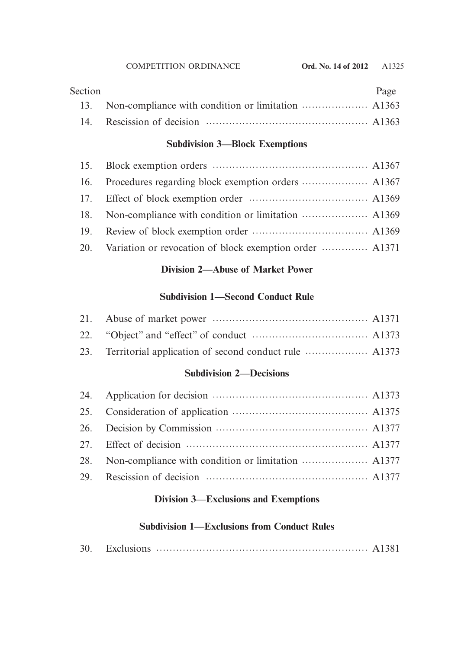| Section | Page |
|---------|------|
|         |      |
|         |      |

### **Subdivision 3—Block Exemptions**

| 16. |                                                             |  |
|-----|-------------------------------------------------------------|--|
| 17. |                                                             |  |
| 18. |                                                             |  |
| 19. |                                                             |  |
|     | 20. Variation or revocation of block exemption order  A1371 |  |
|     |                                                             |  |

## **Division 2—Abuse of Market Power**

# **Subdivision 1—Second Conduct Rule**

# **Subdivision 2—Decisions**

| 28. |  |
|-----|--|
| 29. |  |
|     |  |

# **Division 3—Exclusions and Exemptions**

## **Subdivision 1—Exclusions from Conduct Rules**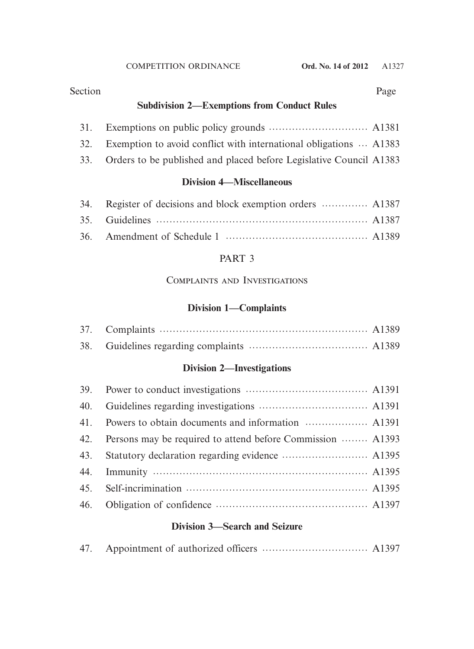### Section Page

# **Subdivision 2—Exemptions from Conduct Rules**

- 31. Exemptions on public policy grounds  $\dots$  $\dots$  $\dots$  $\dots$  $\dots$  A1381 32. Exemption to avoid conflict with international obligations  $\cdots$  A1383
- 33. Orders to be published and placed before Legislative Council A1383

## **Division 4—Miscellaneous**

|  | 34. Register of decisions and block exemption orders  A1387 |  |
|--|-------------------------------------------------------------|--|
|  |                                                             |  |
|  |                                                             |  |

### PART 3

## Complaints and Investigations

## **Division 1—Complaints**

### **Division 2—Investigations**

| 39. |                                                            |  |
|-----|------------------------------------------------------------|--|
| 40. |                                                            |  |
| 41. |                                                            |  |
| 42. | Persons may be required to attend before Commission  A1393 |  |
| 43. |                                                            |  |
| 44. |                                                            |  |
| 45. |                                                            |  |
| 46. |                                                            |  |
|     |                                                            |  |

# **Division 3—Search and Seizure**

|--|--|--|--|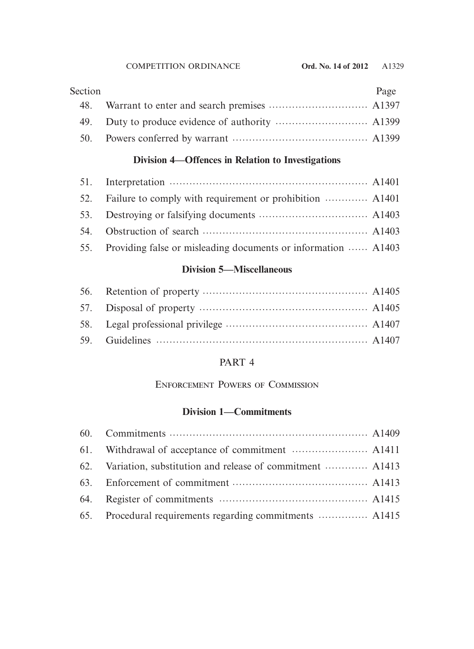| Section | Page |
|---------|------|
|         |      |
|         |      |
|         |      |
|         |      |

# **Division 4—Offences in Relation to Investigations**

| 52. | Failure to comply with requirement or prohibition  A1401      |  |
|-----|---------------------------------------------------------------|--|
|     |                                                               |  |
| 54. |                                                               |  |
| 55. | Providing false or misleading documents or information  A1403 |  |
|     |                                                               |  |

# **Division 5—Miscellaneous**

# PART 4

# Enforcement Powers of Commission

# **Division 1—Commitments**

| 61. |                                                          |  |
|-----|----------------------------------------------------------|--|
| 62. | Variation, substitution and release of commitment  A1413 |  |
| 63. |                                                          |  |
| 64. |                                                          |  |
| 65. | Procedural requirements regarding commitments  A1415     |  |
|     |                                                          |  |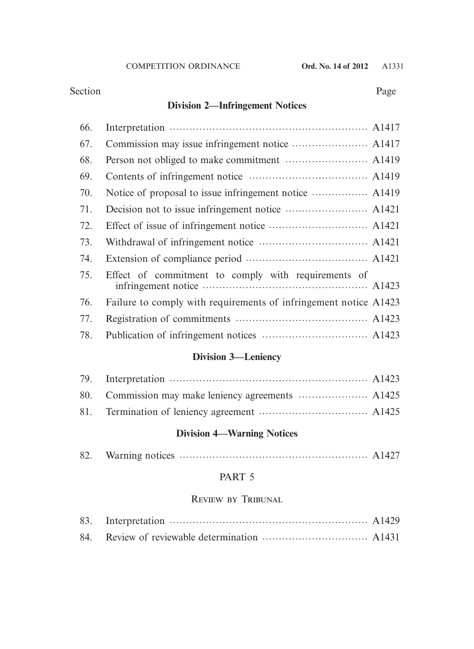#### Section Page

# **Division 2—Infringement Notices**

| 66. |                                                                  |  |
|-----|------------------------------------------------------------------|--|
| 67. |                                                                  |  |
| 68. |                                                                  |  |
| 69. |                                                                  |  |
| 70. | Notice of proposal to issue infringement notice  A1419           |  |
| 71. |                                                                  |  |
| 72. |                                                                  |  |
| 73. |                                                                  |  |
| 74. |                                                                  |  |
| 75. | Effect of commitment to comply with requirements of              |  |
| 76. | Failure to comply with requirements of infringement notice A1423 |  |
| 77. |                                                                  |  |
| 78. |                                                                  |  |
|     |                                                                  |  |

# **Division 3—Leniency**

# **Division 4—Warning Notices**

|--|--|

# PART 5

# REVIEW BY TRIBUNAL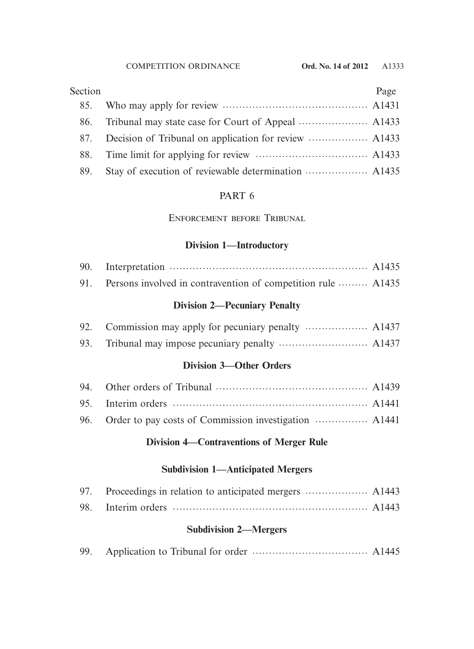| Section | Page |
|---------|------|
| 85.     |      |
|         |      |
| 87.     |      |
| 88.     |      |
| 89.     |      |
|         |      |

### PART<sub>6</sub>

### Enforcement before Tribunal

### **Division 1—Introductory**

|  | 91. Persons involved in contravention of competition rule  A1435 |  |
|--|------------------------------------------------------------------|--|

## **Division 2—Pecuniary Penalty**

# **Division 3—Other Orders**

|  | 96. Order to pay costs of Commission investigation  A1441 |  |
|--|-----------------------------------------------------------|--|

## **Division 4—Contraventions of Merger Rule**

# **Subdivision 1—Anticipated Mergers**

# **Subdivision 2—Mergers**

|--|--|--|--|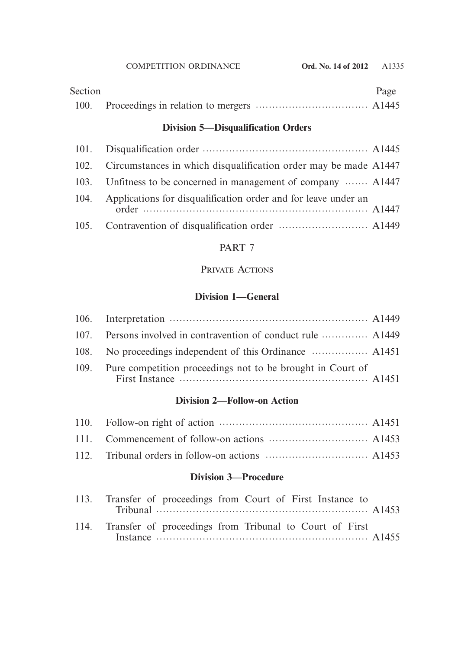| Section |  | Page |
|---------|--|------|
|         |  |      |

# **Division 5—Disqualification Orders**

|      | 102. Circumstances in which disqualification order may be made A1447 |  |
|------|----------------------------------------------------------------------|--|
|      | 103. Unfitness to be concerned in management of company  A1447       |  |
| 104. | Applications for disqualification order and for leave under an       |  |
|      |                                                                      |  |
|      |                                                                      |  |

### PART<sub>7</sub>

### PRIVATE ACTIONS

# **Division 1—General**

|      | 107. Persons involved in contravention of conduct rule  A1449 |  |
|------|---------------------------------------------------------------|--|
| 108. |                                                               |  |
| 109. | Pure competition proceedings not to be brought in Court of    |  |

# **Division 2—Follow-on Action**

# **Division 3—Procedure**

|      | 113. Transfer of proceedings from Court of First Instance to |
|------|--------------------------------------------------------------|
| 114. | Transfer of proceedings from Tribunal to Court of First      |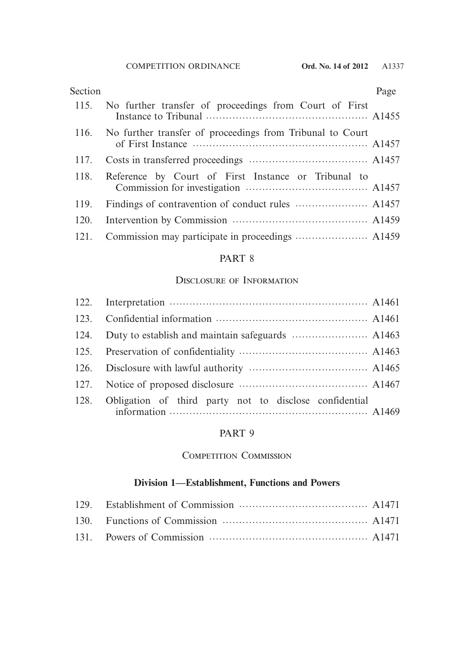| Section |                                                                | Page |
|---------|----------------------------------------------------------------|------|
|         | 115. No further transfer of proceedings from Court of First    |      |
|         | 116. No further transfer of proceedings from Tribunal to Court |      |
|         |                                                                |      |
|         | 118. Reference by Court of First Instance or Tribunal to       |      |
| 119.    |                                                                |      |
| 120.    |                                                                |      |
| 121.    |                                                                |      |
|         |                                                                |      |

## PART 8

# Disclosure of Information

| Obligation of third party not to disclose confidential<br>128. |  |
|----------------------------------------------------------------|--|
|                                                                |  |
|                                                                |  |
|                                                                |  |
|                                                                |  |
|                                                                |  |
|                                                                |  |

# PART 9

### COMPETITION COMMISSION

# **Division 1—Establishment, Functions and Powers**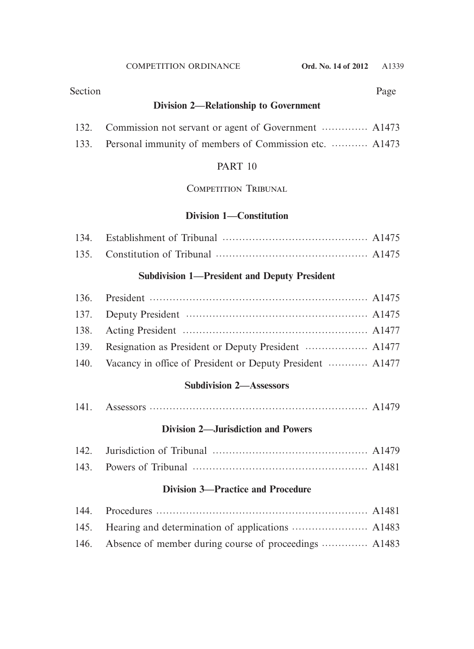### Section Page

## **Division 2—Relationship to Government**

- 132. Commission not servant or agent of Government *``*``````````````A1473
- 133. Personal immunity of members of Commission etc.  $\dots$  A1473

### PART 10

COMPETITION TRIBUNAL

#### **Division 1—Constitution**

### **Subdivision 1—President and Deputy President**

| 140. Vacancy in office of President or Deputy President  A1477 |
|----------------------------------------------------------------|
|                                                                |

#### **Subdivision 2—Assessors**

141. Assessors ˙˙˙˙˙˙˙˙˙˙˙˙˙˙˙˙˙˙˙˙˙˙˙˙˙˙˙˙˙˙˙˙˙˙˙˙˙˙˙˙˙˙˙˙˙˙˙˙˙˙˙˙˙˙˙˙˙˙˙˙˙˙˙˙˙˙ A1479

### **Division 2—Jurisdiction and Powers**

### **Division 3—Practice and Procedure**

| 146. Absence of member during course of proceedings  A1483 |  |
|------------------------------------------------------------|--|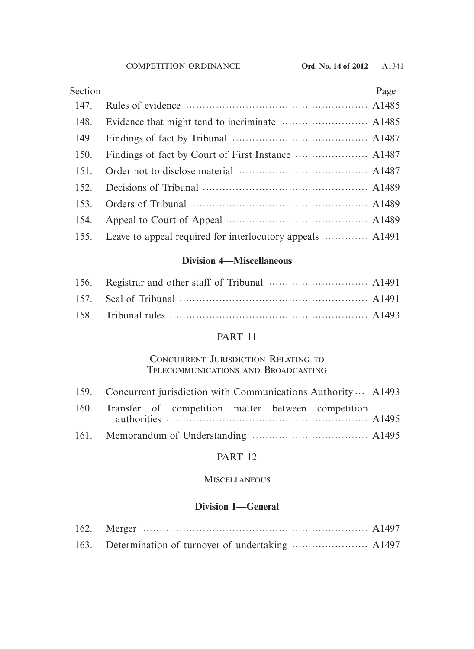| Section |                                                           | Page |
|---------|-----------------------------------------------------------|------|
| 147.    |                                                           |      |
| 148.    |                                                           |      |
| 149.    |                                                           |      |
| 150.    |                                                           |      |
| 151.    |                                                           |      |
| 152.    |                                                           |      |
| 153.    |                                                           |      |
| 154.    |                                                           |      |
| 155.    | Leave to appeal required for interlocutory appeals  A1491 |      |
|         |                                                           |      |

# **Division 4—Miscellaneous**

# PART 11

## Concurrent Jurisdiction Relating to Telecommunications and Broadcasting

| 159. Concurrent jurisdiction with Communications Authority  A1493 |  |
|-------------------------------------------------------------------|--|
| 160. Transfer of competition matter between competition           |  |
|                                                                   |  |

### PART 12

#### **MISCELLANEOUS**

# **Division 1—General**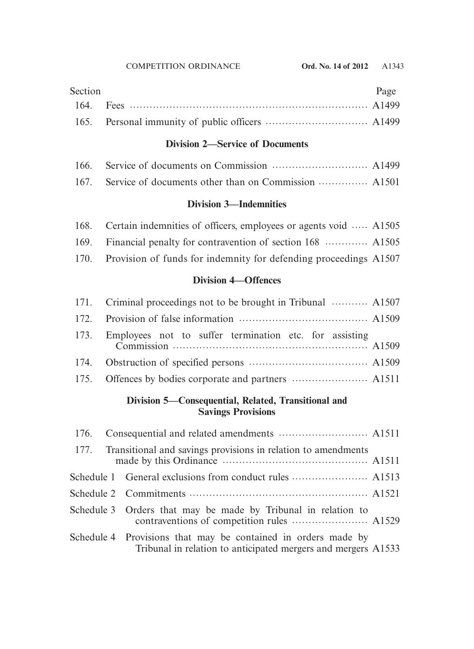| Section | Page |
|---------|------|
|         |      |
|         |      |

### **Division 2—Service of Documents**

| 167. Service of documents other than on Commission  A1501 |  |
|-----------------------------------------------------------|--|

# **Division 3—Indemnities**

| 168. | Certain indemnities of officers, employees or agents void  A1505 |  |
|------|------------------------------------------------------------------|--|
| 169. | Financial penalty for contravention of section 168  A1505        |  |
| 170. | Provision of funds for indemnity for defending proceedings A1507 |  |

### **Division 4—Offences**

| 171. Criminal proceedings not to be brought in Tribunal  A1507 |
|----------------------------------------------------------------|
|                                                                |
| 173. Employees not to suffer termination etc. for assisting    |
|                                                                |
|                                                                |
|                                                                |

# **Division 5—Consequential, Related, Transitional and Savings Provisions**

|  | 177. Transitional and savings provisions in relation to amendments                                                             |  |
|--|--------------------------------------------------------------------------------------------------------------------------------|--|
|  |                                                                                                                                |  |
|  |                                                                                                                                |  |
|  | Schedule 3 Orders that may be made by Tribunal in relation to                                                                  |  |
|  | Schedule 4 Provisions that may be contained in orders made by<br>Tribunal in relation to anticipated mergers and mergers A1533 |  |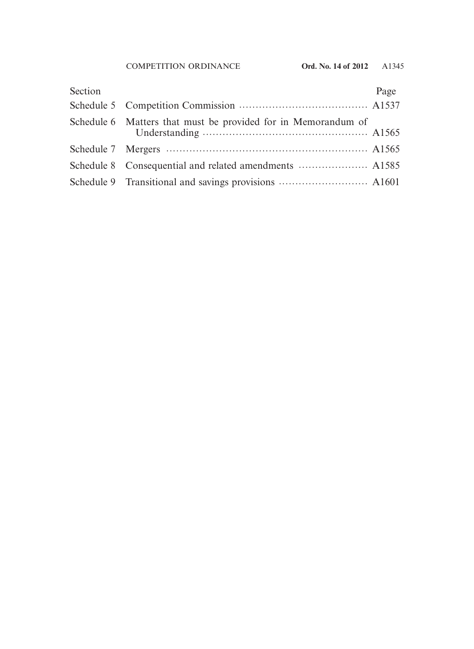| Section |                                                               | Page |
|---------|---------------------------------------------------------------|------|
|         |                                                               |      |
|         | Schedule 6 Matters that must be provided for in Memorandum of |      |
|         |                                                               |      |
|         |                                                               |      |
|         |                                                               |      |
|         |                                                               |      |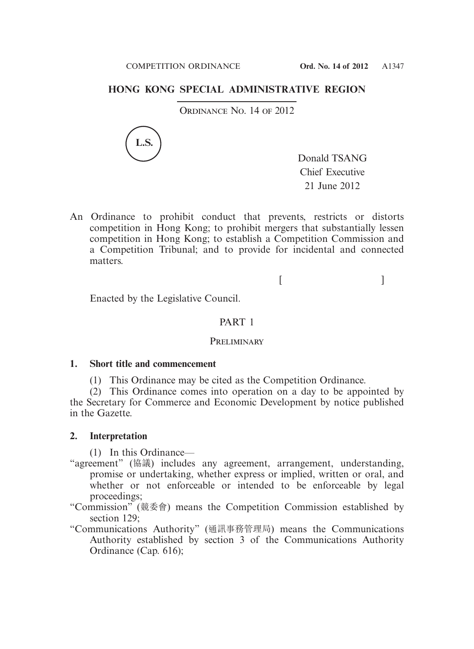### **HONG KONG SPECIAL ADMINISTRATIVE REGION**

ORDINANCE NO. 14 OF 2012



Donald TSANG Chief Executive 21 June 2012

An Ordinance to prohibit conduct that prevents, restricts or distorts competition in Hong Kong; to prohibit mergers that substantially lessen competition in Hong Kong; to establish a Competition Commission and a Competition Tribunal; and to provide for incidental and connected matters.

 $[$   $]$ 

Enacted by the Legislative Council.

#### PART 1

#### PRELIMINARY

#### **1. Short title and commencement**

(1) This Ordinance may be cited as the Competition Ordinance.

 (2) This Ordinance comes into operation on a day to be appointed by the Secretary for Commerce and Economic Development by notice published in the Gazette.

#### **2. Interpretation**

(1) In this Ordinance—

"agreement" (協議) includes any agreement, arrangement, understanding, promise or undertaking, whether express or implied, written or oral, and whether or not enforceable or intended to be enforceable by legal proceedings;

"Commission" (競委會) means the Competition Commission established by section 129:

"Communications Authority" (通訊事務管理局) means the Communications Authority established by section 3 of the Communications Authority Ordinance (Cap. 616);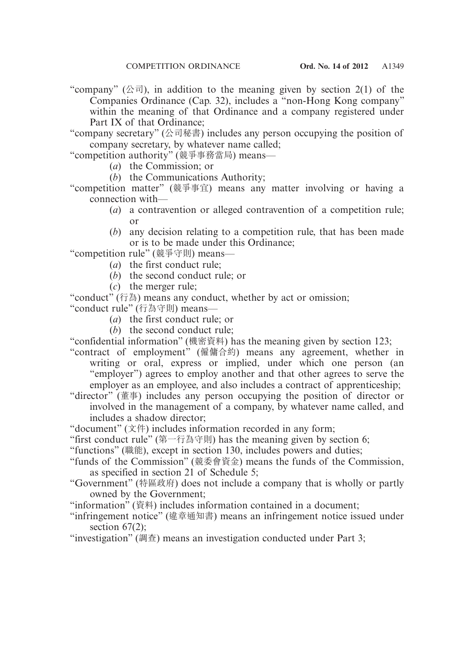"company" (公司), in addition to the meaning given by section 2(1) of the Companies Ordinance (Cap. 32), includes a "non-Hong Kong company" within the meaning of that Ordinance and a company registered under Part IX of that Ordinance;

"company secretary" (公司秘書) includes any person occupying the position of company secretary, by whatever name called;

"competition authority" (競爭事務當局) means—

- (*a*) the Commission; or
- (*b*) the Communications Authority;

"competition matter" (競爭事宜) means any matter involving or having a connection with—

- (*a*) a contravention or alleged contravention of a competition rule; or
- (*b*) any decision relating to a competition rule, that has been made or is to be made under this Ordinance;

"competition rule" (競爭守則) means—

- (*a*) the first conduct rule;
- (*b*) the second conduct rule; or
- (*c*) the merger rule;

"conduct" (行為) means any conduct, whether by act or omission; "conduct rule" (行為守則) means—

- - (*a*) the first conduct rule; or
	- (*b*) the second conduct rule;

"confidential information" (機密資料) has the meaning given by section 123;

- "contract of employment" (僱傭合約) means any agreement, whether in writing or oral, express or implied, under which one person (an "employer") agrees to employ another and that other agrees to serve the employer as an employee, and also includes a contract of apprenticeship;
- "director" (董事) includes any person occupying the position of director or involved in the management of a company, by whatever name called, and includes a shadow director;
- "document" (文件) includes information recorded in any form;
- "first conduct rule" (第一行為守則) has the meaning given by section 6;
- "functions" (職能), except in section 130, includes powers and duties;
- "funds of the Commission" (競委會資金) means the funds of the Commission, as specified in section 21 of Schedule 5;
- "Government" (特區政府) does not include a company that is wholly or partly owned by the Government;
- "information" (資料) includes information contained in a document;
- "infringement notice" (違章通知書) means an infringement notice issued under section 67(2):
- "investigation" (調查) means an investigation conducted under Part 3;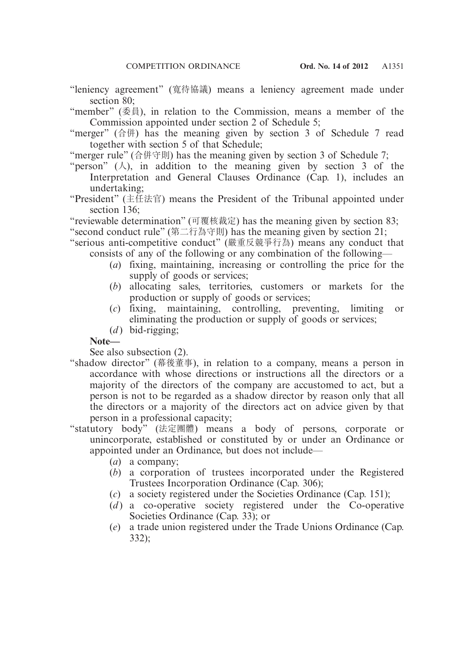"leniency agreement" (寬待協議) means a leniency agreement made under section 80;

"member" (委員), in relation to the Commission, means a member of the Commission appointed under section 2 of Schedule 5;

"merger" (合併) has the meaning given by section 3 of Schedule 7 read together with section 5 of that Schedule;

"merger rule" (合併守則) has the meaning given by section 3 of Schedule 7;

"person"  $(\lambda)$ , in addition to the meaning given by section 3 of the Interpretation and General Clauses Ordinance (Cap. 1), includes an undertaking;

"President" (主任法官) means the President of the Tribunal appointed under section 136:

"reviewable determination" (可覆核裁定) has the meaning given by section 83;

"second conduct rule" (第二行為守則) has the meaning given by section 21;

"serious anti-competitive conduct" (嚴重反競爭行為) means any conduct that consists of any of the following or any combination of the following—

- (*a*) fixing, maintaining, increasing or controlling the price for the supply of goods or services;
- (*b*) allocating sales, territories, customers or markets for the production or supply of goods or services;
- (*c*) fixing, maintaining, controlling, preventing, limiting or eliminating the production or supply of goods or services;
- $(d)$  bid-rigging;

**Note—**

See also subsection (2).

- "shadow director" (幕後董事), in relation to a company, means a person in accordance with whose directions or instructions all the directors or a majority of the directors of the company are accustomed to act, but a person is not to be regarded as a shadow director by reason only that all the directors or a majority of the directors act on advice given by that person in a professional capacity;
- "statutory body" (法定團體) means a body of persons, corporate or unincorporate, established or constituted by or under an Ordinance or appointed under an Ordinance, but does not include—
	- (*a*) a company;
	- (*b*) a corporation of trustees incorporated under the Registered Trustees Incorporation Ordinance (Cap. 306);
	- (*c*) a society registered under the Societies Ordinance (Cap. 151);
	- ( $d$ ) a co-operative society registered under the Co-operative Societies Ordinance (Cap. 33); or
	- (*e*) a trade union registered under the Trade Unions Ordinance (Cap. 332);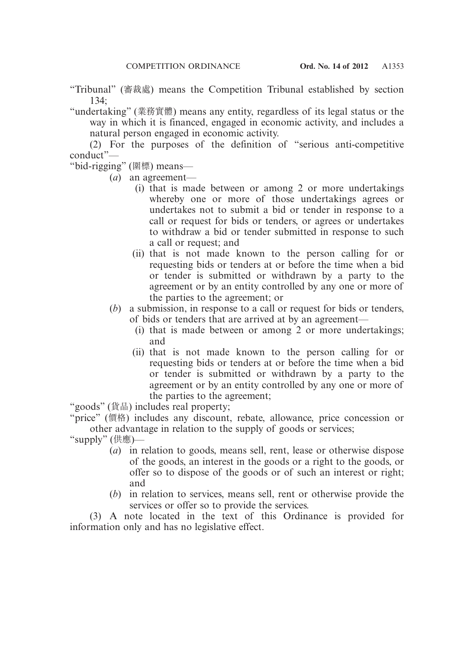"Tribunal" (審裁處) means the Competition Tribunal established by section 134;

"undertaking" (業務實體) means any entity, regardless of its legal status or the way in which it is financed, engaged in economic activity, and includes a natural person engaged in economic activity.

 (2) For the purposes of the definition of "serious anti-competitive conduct"—

"bid-rigging" (圍標) means—

- (*a*) an agreement—
	- (i) that is made between or among 2 or more undertakings whereby one or more of those undertakings agrees or undertakes not to submit a bid or tender in response to a call or request for bids or tenders, or agrees or undertakes to withdraw a bid or tender submitted in response to such a call or request; and
	- (ii) that is not made known to the person calling for or requesting bids or tenders at or before the time when a bid or tender is submitted or withdrawn by a party to the agreement or by an entity controlled by any one or more of the parties to the agreement; or
- (*b*) a submission, in response to a call or request for bids or tenders, of bids or tenders that are arrived at by an agreement—
	- (i) that is made between or among 2 or more undertakings; and
	- (ii) that is not made known to the person calling for or requesting bids or tenders at or before the time when a bid or tender is submitted or withdrawn by a party to the agreement or by an entity controlled by any one or more of the parties to the agreement;

"goods" (貨品) includes real property;

"price" (價格) includes any discount, rebate, allowance, price concession or other advantage in relation to the supply of goods or services;

- "supply" (供應)—
	- (*a*) in relation to goods, means sell, rent, lease or otherwise dispose of the goods, an interest in the goods or a right to the goods, or offer so to dispose of the goods or of such an interest or right; and
	- (*b*) in relation to services, means sell, rent or otherwise provide the services or offer so to provide the services.

 (3) A note located in the text of this Ordinance is provided for information only and has no legislative effect.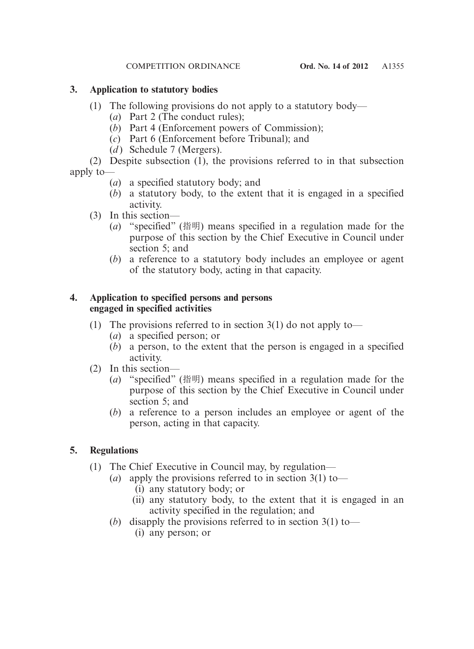## **3. Application to statutory bodies**

- (1) The following provisions do not apply to a statutory body—
	- (*a*) Part 2 (The conduct rules);
	- (*b*) Part 4 (Enforcement powers of Commission);
	- (*c*) Part 6 (Enforcement before Tribunal); and
	- (*d*) Schedule 7 (Mergers).

 (2) Despite subsection (1), the provisions referred to in that subsection apply to—

- (*a*) a specified statutory body; and
- (*b*) a statutory body, to the extent that it is engaged in a specified activity.
- (3) In this section—
	- (*a*) "specified" (指明) means specified in a regulation made for the purpose of this section by the Chief Executive in Council under section 5: and
	- (*b*) a reference to a statutory body includes an employee or agent of the statutory body, acting in that capacity.

### **4. Application to specified persons and persons engaged in specified activities**

- (1) The provisions referred to in section 3(1) do not apply to—
	- (*a*) a specified person; or
	- (*b*) a person, to the extent that the person is engaged in a specified activity.
- (2) In this section—
	- (*a*) "specified" (指明) means specified in a regulation made for the purpose of this section by the Chief Executive in Council under section 5; and
	- (*b*) a reference to a person includes an employee or agent of the person, acting in that capacity.

# **5. Regulations**

- (1) The Chief Executive in Council may, by regulation—
	- (*a*) apply the provisions referred to in section 3(1) to—
		- (i) any statutory body; or
		- (ii) any statutory body, to the extent that it is engaged in an activity specified in the regulation; and
	- (*b*) disapply the provisions referred to in section 3(1) to— (i) any person; or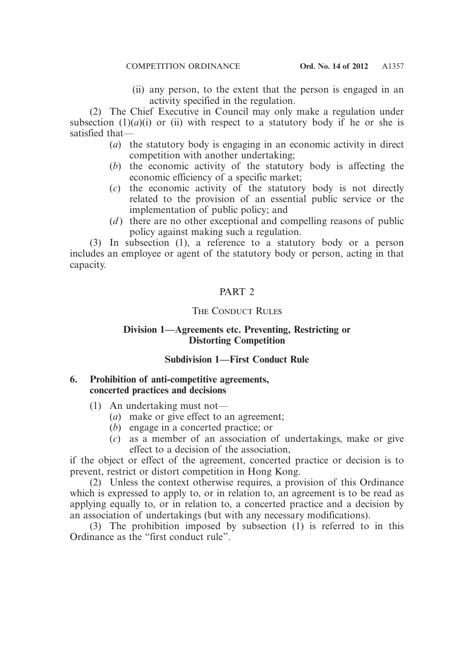(ii) any person, to the extent that the person is engaged in an activity specified in the regulation.

 (2) The Chief Executive in Council may only make a regulation under subsection  $(1)(a)(i)$  or (ii) with respect to a statutory body if he or she is satisfied that—

- (*a*) the statutory body is engaging in an economic activity in direct competition with another undertaking;
- (*b*) the economic activity of the statutory body is affecting the economic efficiency of a specific market;
- (*c*) the economic activity of the statutory body is not directly related to the provision of an essential public service or the implementation of public policy; and
- (*d*) there are no other exceptional and compelling reasons of public policy against making such a regulation.

 (3) In subsection (1), a reference to a statutory body or a person includes an employee or agent of the statutory body or person, acting in that capacity.

## PART 2

### THE CONDUCT RULES

### **Division 1—Agreements etc. Preventing, Restricting or Distorting Competition**

#### **Subdivision 1—First Conduct Rule**

### **6. Prohibition of anti-competitive agreements, concerted practices and decisions**

- (1) An undertaking must not—
	- (*a*) make or give effect to an agreement;
	- (*b*) engage in a concerted practice; or
	- (*c*) as a member of an association of undertakings, make or give effect to a decision of the association,

if the object or effect of the agreement, concerted practice or decision is to prevent, restrict or distort competition in Hong Kong.

 (2) Unless the context otherwise requires, a provision of this Ordinance which is expressed to apply to, or in relation to, an agreement is to be read as applying equally to, or in relation to, a concerted practice and a decision by an association of undertakings (but with any necessary modifications).

 (3) The prohibition imposed by subsection (1) is referred to in this Ordinance as the "first conduct rule".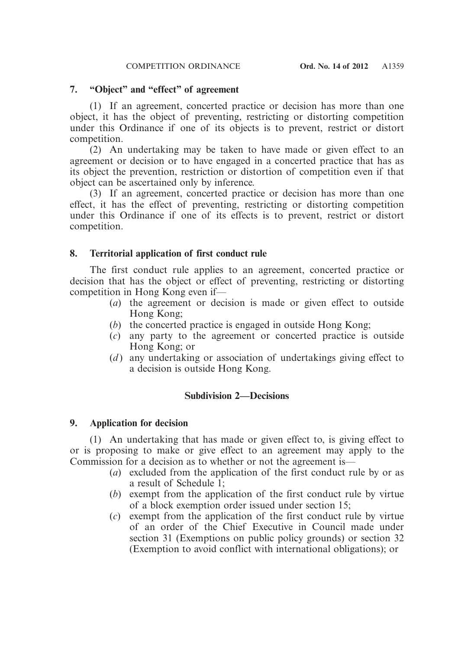#### **7. "Object" and "effect" of agreement**

 (1) If an agreement, concerted practice or decision has more than one object, it has the object of preventing, restricting or distorting competition under this Ordinance if one of its objects is to prevent, restrict or distort competition.

 (2) An undertaking may be taken to have made or given effect to an agreement or decision or to have engaged in a concerted practice that has as its object the prevention, restriction or distortion of competition even if that object can be ascertained only by inference.

 (3) If an agreement, concerted practice or decision has more than one effect, it has the effect of preventing, restricting or distorting competition under this Ordinance if one of its effects is to prevent, restrict or distort competition.

#### **8. Territorial application of first conduct rule**

 The first conduct rule applies to an agreement, concerted practice or decision that has the object or effect of preventing, restricting or distorting competition in Hong Kong even if—

- (*a*) the agreement or decision is made or given effect to outside Hong Kong;
- (*b*) the concerted practice is engaged in outside Hong Kong;
- (*c*) any party to the agreement or concerted practice is outside Hong Kong; or
- (*d*) any undertaking or association of undertakings giving effect to a decision is outside Hong Kong.

#### **Subdivision 2—Decisions**

#### **9. Application for decision**

 (1) An undertaking that has made or given effect to, is giving effect to or is proposing to make or give effect to an agreement may apply to the Commission for a decision as to whether or not the agreement is—

- (*a*) excluded from the application of the first conduct rule by or as a result of Schedule 1;
- (*b*) exempt from the application of the first conduct rule by virtue of a block exemption order issued under section 15;
- (*c*) exempt from the application of the first conduct rule by virtue of an order of the Chief Executive in Council made under section 31 (Exemptions on public policy grounds) or section 32 (Exemption to avoid conflict with international obligations); or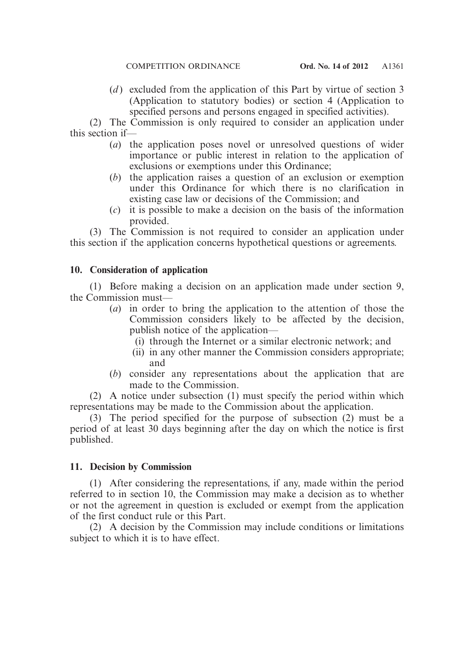(*d*) excluded from the application of this Part by virtue of section 3 (Application to statutory bodies) or section 4 (Application to specified persons and persons engaged in specified activities).

 (2) The Commission is only required to consider an application under this section if—

- (*a*) the application poses novel or unresolved questions of wider importance or public interest in relation to the application of exclusions or exemptions under this Ordinance;
- (*b*) the application raises a question of an exclusion or exemption under this Ordinance for which there is no clarification in existing case law or decisions of the Commission; and
- (*c*) it is possible to make a decision on the basis of the information provided.

 (3) The Commission is not required to consider an application under this section if the application concerns hypothetical questions or agreements.

### **10. Consideration of application**

 (1) Before making a decision on an application made under section 9, the Commission must—

- (*a*) in order to bring the application to the attention of those the Commission considers likely to be affected by the decision, publish notice of the application—
	- (i) through the Internet or a similar electronic network; and
	- (ii) in any other manner the Commission considers appropriate; and
- (*b*) consider any representations about the application that are made to the Commission.

 (2) A notice under subsection (1) must specify the period within which representations may be made to the Commission about the application.

 (3) The period specified for the purpose of subsection (2) must be a period of at least 30 days beginning after the day on which the notice is first published.

### **11. Decision by Commission**

 (1) After considering the representations, if any, made within the period referred to in section 10, the Commission may make a decision as to whether or not the agreement in question is excluded or exempt from the application of the first conduct rule or this Part.

 (2) A decision by the Commission may include conditions or limitations subject to which it is to have effect.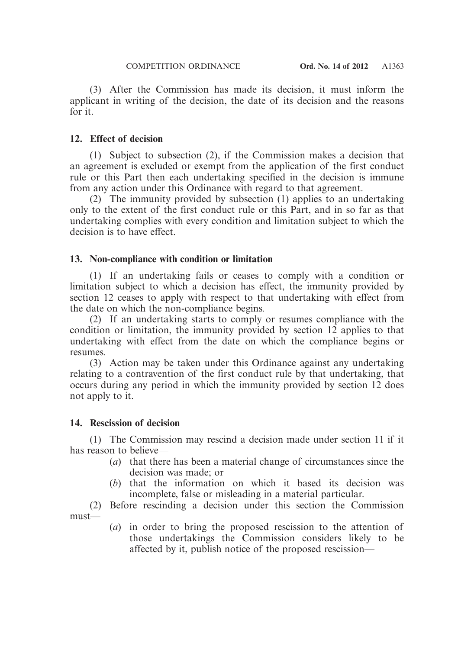(3) After the Commission has made its decision, it must inform the applicant in writing of the decision, the date of its decision and the reasons for it.

### **12. Effect of decision**

 (1) Subject to subsection (2), if the Commission makes a decision that an agreement is excluded or exempt from the application of the first conduct rule or this Part then each undertaking specified in the decision is immune from any action under this Ordinance with regard to that agreement.

 (2) The immunity provided by subsection (1) applies to an undertaking only to the extent of the first conduct rule or this Part, and in so far as that undertaking complies with every condition and limitation subject to which the decision is to have effect.

### **13. Non-compliance with condition or limitation**

 (1) If an undertaking fails or ceases to comply with a condition or limitation subject to which a decision has effect, the immunity provided by section 12 ceases to apply with respect to that undertaking with effect from the date on which the non-compliance begins.

 (2) If an undertaking starts to comply or resumes compliance with the condition or limitation, the immunity provided by section 12 applies to that undertaking with effect from the date on which the compliance begins or resumes.

 (3) Action may be taken under this Ordinance against any undertaking relating to a contravention of the first conduct rule by that undertaking, that occurs during any period in which the immunity provided by section 12 does not apply to it.

### **14. Rescission of decision**

 (1) The Commission may rescind a decision made under section 11 if it has reason to believe—

- (*a*) that there has been a material change of circumstances since the decision was made; or
- (*b*) that the information on which it based its decision was incomplete, false or misleading in a material particular.

 (2) Before rescinding a decision under this section the Commission must—

> (*a*) in order to bring the proposed rescission to the attention of those undertakings the Commission considers likely to be affected by it, publish notice of the proposed rescission—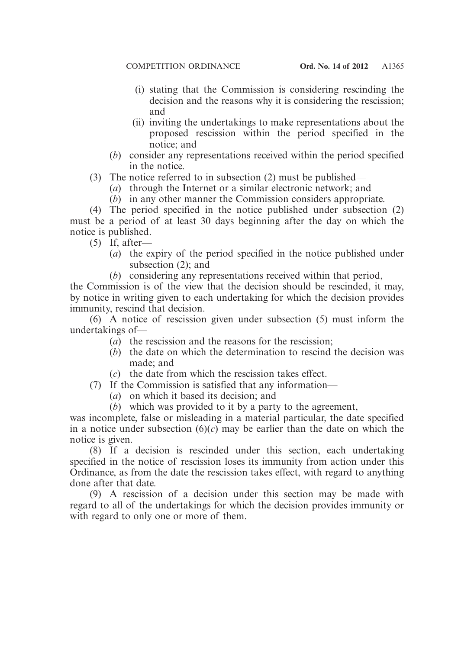- (i) stating that the Commission is considering rescinding the decision and the reasons why it is considering the rescission; and
- (ii) inviting the undertakings to make representations about the proposed rescission within the period specified in the notice; and
- (*b*) consider any representations received within the period specified in the notice.
- (3) The notice referred to in subsection (2) must be published—
	- (*a*) through the Internet or a similar electronic network; and
	- (*b*) in any other manner the Commission considers appropriate.

 (4) The period specified in the notice published under subsection (2) must be a period of at least 30 days beginning after the day on which the notice is published.

(5) If, after—

- (*a*) the expiry of the period specified in the notice published under subsection (2); and
- (*b*) considering any representations received within that period,

the Commission is of the view that the decision should be rescinded, it may, by notice in writing given to each undertaking for which the decision provides immunity, rescind that decision.

 (6) A notice of rescission given under subsection (5) must inform the undertakings of—

- (*a*) the rescission and the reasons for the rescission;
- (*b*) the date on which the determination to rescind the decision was made; and
- (*c*) the date from which the rescission takes effect.
- (7) If the Commission is satisfied that any information—
	- (*a*) on which it based its decision; and
	- (*b*) which was provided to it by a party to the agreement,

was incomplete, false or misleading in a material particular, the date specified in a notice under subsection  $(6)(c)$  may be earlier than the date on which the notice is given.

 (8) If a decision is rescinded under this section, each undertaking specified in the notice of rescission loses its immunity from action under this Ordinance, as from the date the rescission takes effect, with regard to anything done after that date.

 (9) A rescission of a decision under this section may be made with regard to all of the undertakings for which the decision provides immunity or with regard to only one or more of them.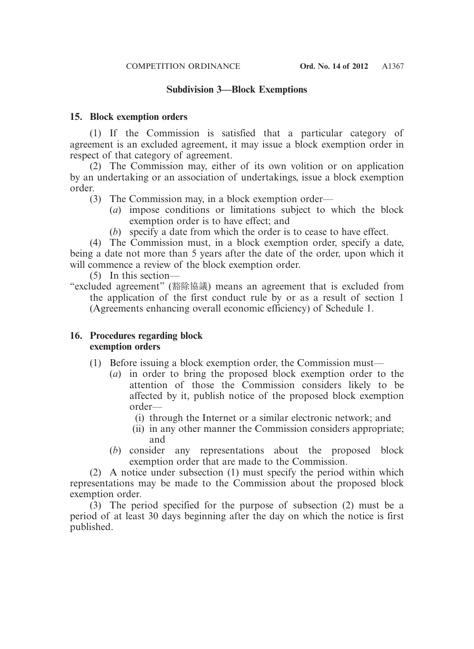#### **Subdivision 3—Block Exemptions**

#### **15. Block exemption orders**

 (1) If the Commission is satisfied that a particular category of agreement is an excluded agreement, it may issue a block exemption order in respect of that category of agreement.

 (2) The Commission may, either of its own volition or on application by an undertaking or an association of undertakings, issue a block exemption order.

- (3) The Commission may, in a block exemption order—
	- (*a*) impose conditions or limitations subject to which the block exemption order is to have effect; and
	- (*b*) specify a date from which the order is to cease to have effect.

 (4) The Commission must, in a block exemption order, specify a date, being a date not more than 5 years after the date of the order, upon which it will commence a review of the block exemption order.

(5) In this section—

"excluded agreement" (豁除協議) means an agreement that is excluded from the application of the first conduct rule by or as a result of section 1 (Agreements enhancing overall economic efficiency) of Schedule 1.

### **16. Procedures regarding block exemption orders**

- (1) Before issuing a block exemption order, the Commission must—
	- (*a*) in order to bring the proposed block exemption order to the attention of those the Commission considers likely to be affected by it, publish notice of the proposed block exemption order—
		- (i) through the Internet or a similar electronic network; and
		- (ii) in any other manner the Commission considers appropriate; and
	- (*b*) consider any representations about the proposed block exemption order that are made to the Commission.

 (2) A notice under subsection (1) must specify the period within which representations may be made to the Commission about the proposed block exemption order.

 (3) The period specified for the purpose of subsection (2) must be a period of at least 30 days beginning after the day on which the notice is first published.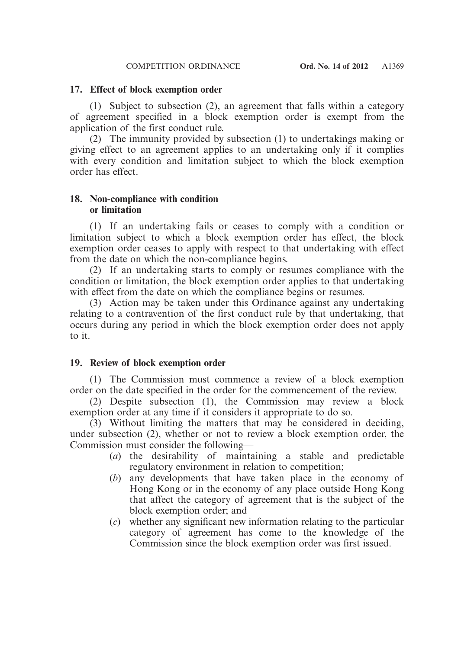#### **17. Effect of block exemption order**

 (1) Subject to subsection (2), an agreement that falls within a category of agreement specified in a block exemption order is exempt from the application of the first conduct rule.

 (2) The immunity provided by subsection (1) to undertakings making or giving effect to an agreement applies to an undertaking only if it complies with every condition and limitation subject to which the block exemption order has effect.

#### **18. Non-compliance with condition or limitation**

 (1) If an undertaking fails or ceases to comply with a condition or limitation subject to which a block exemption order has effect, the block exemption order ceases to apply with respect to that undertaking with effect from the date on which the non-compliance begins.

 (2) If an undertaking starts to comply or resumes compliance with the condition or limitation, the block exemption order applies to that undertaking with effect from the date on which the compliance begins or resumes.

 (3) Action may be taken under this Ordinance against any undertaking relating to a contravention of the first conduct rule by that undertaking, that occurs during any period in which the block exemption order does not apply to it.

#### **19. Review of block exemption order**

 (1) The Commission must commence a review of a block exemption order on the date specified in the order for the commencement of the review.

 (2) Despite subsection (1), the Commission may review a block exemption order at any time if it considers it appropriate to do so.

 (3) Without limiting the matters that may be considered in deciding, under subsection (2), whether or not to review a block exemption order, the Commission must consider the following—

- (*a*) the desirability of maintaining a stable and predictable regulatory environment in relation to competition;
- (*b*) any developments that have taken place in the economy of Hong Kong or in the economy of any place outside Hong Kong that affect the category of agreement that is the subject of the block exemption order; and
- (*c*) whether any significant new information relating to the particular category of agreement has come to the knowledge of the Commission since the block exemption order was first issued.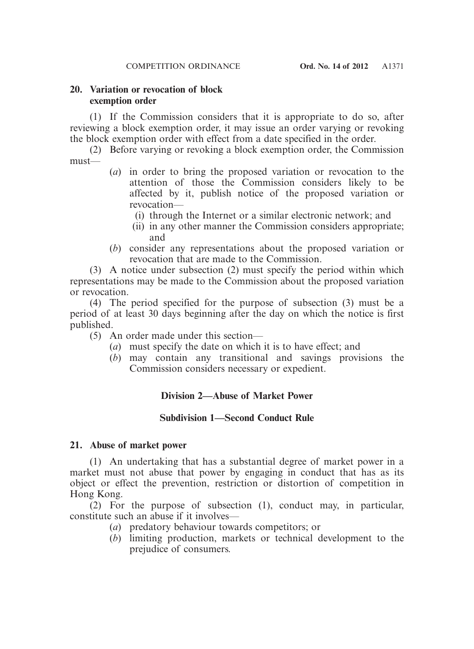### **20. Variation or revocation of block exemption order**

 (1) If the Commission considers that it is appropriate to do so, after reviewing a block exemption order, it may issue an order varying or revoking the block exemption order with effect from a date specified in the order.

 (2) Before varying or revoking a block exemption order, the Commission must—

- (*a*) in order to bring the proposed variation or revocation to the attention of those the Commission considers likely to be affected by it, publish notice of the proposed variation or revocation—
	- (i) through the Internet or a similar electronic network; and
	- (ii) in any other manner the Commission considers appropriate; and
- (*b*) consider any representations about the proposed variation or revocation that are made to the Commission.

 (3) A notice under subsection (2) must specify the period within which representations may be made to the Commission about the proposed variation or revocation.

 (4) The period specified for the purpose of subsection (3) must be a period of at least 30 days beginning after the day on which the notice is first published.

(5) An order made under this section—

- (*a*) must specify the date on which it is to have effect; and
- (*b*) may contain any transitional and savings provisions the Commission considers necessary or expedient.

# **Division 2—Abuse of Market Power**

### **Subdivision 1—Second Conduct Rule**

### **21. Abuse of market power**

 (1) An undertaking that has a substantial degree of market power in a market must not abuse that power by engaging in conduct that has as its object or effect the prevention, restriction or distortion of competition in Hong Kong.

 (2) For the purpose of subsection (1), conduct may, in particular, constitute such an abuse if it involves—

- (*a*) predatory behaviour towards competitors; or
- (*b*) limiting production, markets or technical development to the prejudice of consumers.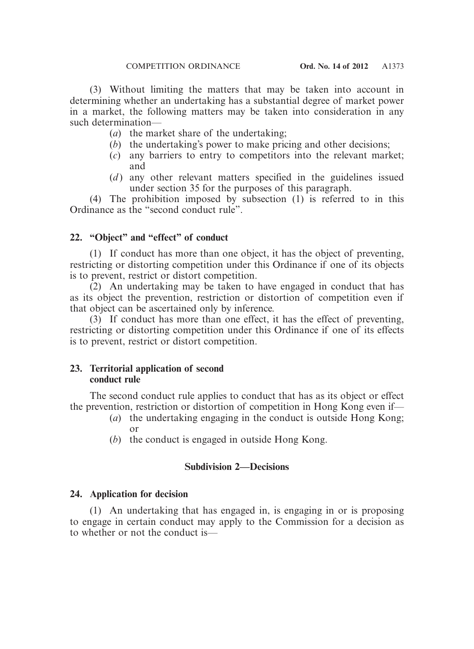(3) Without limiting the matters that may be taken into account in determining whether an undertaking has a substantial degree of market power in a market, the following matters may be taken into consideration in any such determination—

- (*a*) the market share of the undertaking;
- (*b*) the undertaking's power to make pricing and other decisions;
- (*c*) any barriers to entry to competitors into the relevant market; and
- (*d*) any other relevant matters specified in the guidelines issued under section 35 for the purposes of this paragraph.

(4) The prohibition imposed by subsection  $(1)$  is referred to in this Ordinance as the "second conduct rule".

### **22. "Object" and "effect" of conduct**

 (1) If conduct has more than one object, it has the object of preventing, restricting or distorting competition under this Ordinance if one of its objects is to prevent, restrict or distort competition.

 (2) An undertaking may be taken to have engaged in conduct that has as its object the prevention, restriction or distortion of competition even if that object can be ascertained only by inference.

 (3) If conduct has more than one effect, it has the effect of preventing, restricting or distorting competition under this Ordinance if one of its effects is to prevent, restrict or distort competition.

### **23. Territorial application of second conduct rule**

 The second conduct rule applies to conduct that has as its object or effect the prevention, restriction or distortion of competition in Hong Kong even if—

- (*a*) the undertaking engaging in the conduct is outside Hong Kong; or
- (*b*) the conduct is engaged in outside Hong Kong.

### **Subdivision 2—Decisions**

#### **24. Application for decision**

 (1) An undertaking that has engaged in, is engaging in or is proposing to engage in certain conduct may apply to the Commission for a decision as to whether or not the conduct is—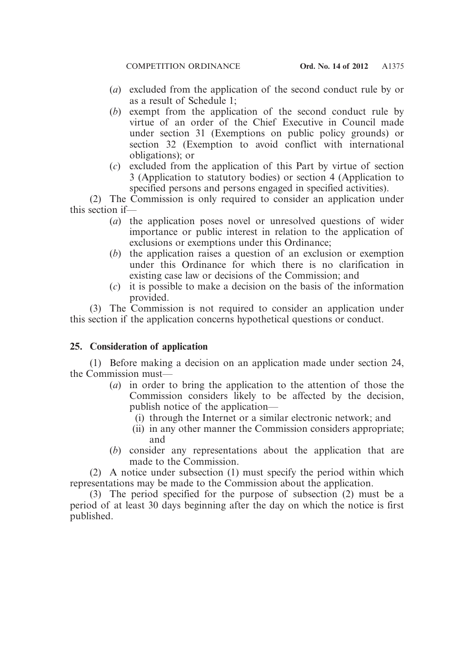- (*a*) excluded from the application of the second conduct rule by or as a result of Schedule 1;
- (*b*) exempt from the application of the second conduct rule by virtue of an order of the Chief Executive in Council made under section 31 (Exemptions on public policy grounds) or section 32 (Exemption to avoid conflict with international obligations); or
- (*c*) excluded from the application of this Part by virtue of section 3 (Application to statutory bodies) or section 4 (Application to specified persons and persons engaged in specified activities).

 (2) The Commission is only required to consider an application under this section if—

- (*a*) the application poses novel or unresolved questions of wider importance or public interest in relation to the application of exclusions or exemptions under this Ordinance;
- (*b*) the application raises a question of an exclusion or exemption under this Ordinance for which there is no clarification in existing case law or decisions of the Commission; and
- (*c*) it is possible to make a decision on the basis of the information provided.

 (3) The Commission is not required to consider an application under this section if the application concerns hypothetical questions or conduct.

### **25. Consideration of application**

 (1) Before making a decision on an application made under section 24, the Commission must—

- (*a*) in order to bring the application to the attention of those the Commission considers likely to be affected by the decision, publish notice of the application—
	- (i) through the Internet or a similar electronic network; and
	- (ii) in any other manner the Commission considers appropriate; and
- (*b*) consider any representations about the application that are made to the Commission.

 (2) A notice under subsection (1) must specify the period within which representations may be made to the Commission about the application.

 (3) The period specified for the purpose of subsection (2) must be a period of at least 30 days beginning after the day on which the notice is first published.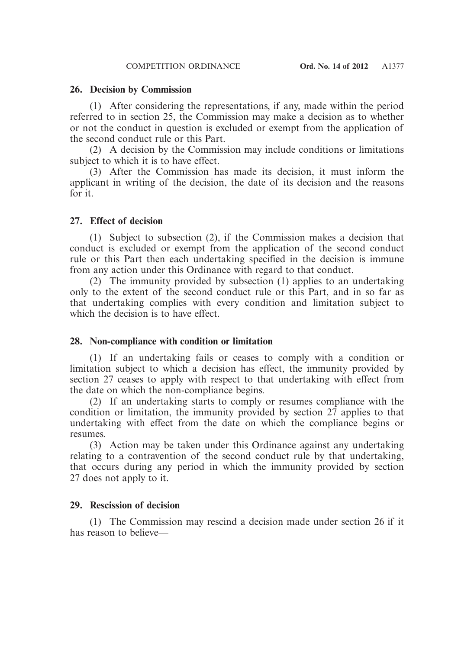#### **26. Decision by Commission**

 (1) After considering the representations, if any, made within the period referred to in section 25, the Commission may make a decision as to whether or not the conduct in question is excluded or exempt from the application of the second conduct rule or this Part.

 (2) A decision by the Commission may include conditions or limitations subject to which it is to have effect.

 (3) After the Commission has made its decision, it must inform the applicant in writing of the decision, the date of its decision and the reasons for it.

#### **27. Effect of decision**

 (1) Subject to subsection (2), if the Commission makes a decision that conduct is excluded or exempt from the application of the second conduct rule or this Part then each undertaking specified in the decision is immune from any action under this Ordinance with regard to that conduct.

 (2) The immunity provided by subsection (1) applies to an undertaking only to the extent of the second conduct rule or this Part, and in so far as that undertaking complies with every condition and limitation subject to which the decision is to have effect.

#### **28. Non-compliance with condition or limitation**

 (1) If an undertaking fails or ceases to comply with a condition or limitation subject to which a decision has effect, the immunity provided by section 27 ceases to apply with respect to that undertaking with effect from the date on which the non-compliance begins.

 (2) If an undertaking starts to comply or resumes compliance with the condition or limitation, the immunity provided by section 27 applies to that undertaking with effect from the date on which the compliance begins or resumes.

 (3) Action may be taken under this Ordinance against any undertaking relating to a contravention of the second conduct rule by that undertaking, that occurs during any period in which the immunity provided by section 27 does not apply to it.

#### **29. Rescission of decision**

 (1) The Commission may rescind a decision made under section 26 if it has reason to believe—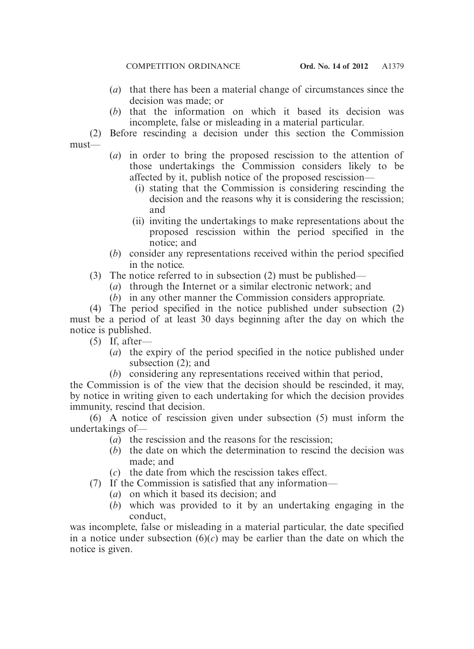- (*a*) that there has been a material change of circumstances since the decision was made; or
- (*b*) that the information on which it based its decision was incomplete, false or misleading in a material particular.

 (2) Before rescinding a decision under this section the Commission must—

- (*a*) in order to bring the proposed rescission to the attention of those undertakings the Commission considers likely to be affected by it, publish notice of the proposed rescission—
	- (i) stating that the Commission is considering rescinding the decision and the reasons why it is considering the rescission; and
	- (ii) inviting the undertakings to make representations about the proposed rescission within the period specified in the notice; and
- (*b*) consider any representations received within the period specified in the notice.
- (3) The notice referred to in subsection (2) must be published—
	- (*a*) through the Internet or a similar electronic network; and
	- (*b*) in any other manner the Commission considers appropriate.

 (4) The period specified in the notice published under subsection (2) must be a period of at least 30 days beginning after the day on which the notice is published.

- (5) If, after—
	- (*a*) the expiry of the period specified in the notice published under subsection (2); and
	- (*b*) considering any representations received within that period,

the Commission is of the view that the decision should be rescinded, it may, by notice in writing given to each undertaking for which the decision provides immunity, rescind that decision.

 (6) A notice of rescission given under subsection (5) must inform the undertakings of—

- (*a*) the rescission and the reasons for the rescission;
- (*b*) the date on which the determination to rescind the decision was made; and
- (*c*) the date from which the rescission takes effect.
- (7) If the Commission is satisfied that any information—
	- (*a*) on which it based its decision; and
	- (*b*) which was provided to it by an undertaking engaging in the conduct,

was incomplete, false or misleading in a material particular, the date specified in a notice under subsection  $(6)(c)$  may be earlier than the date on which the notice is given.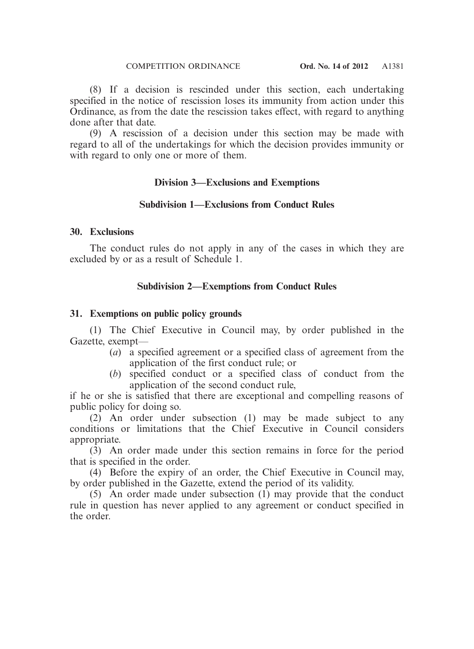(8) If a decision is rescinded under this section, each undertaking specified in the notice of rescission loses its immunity from action under this Ordinance, as from the date the rescission takes effect, with regard to anything done after that date.

 (9) A rescission of a decision under this section may be made with regard to all of the undertakings for which the decision provides immunity or with regard to only one or more of them.

### **Division 3—Exclusions and Exemptions**

#### **Subdivision 1—Exclusions from Conduct Rules**

#### **30. Exclusions**

 The conduct rules do not apply in any of the cases in which they are excluded by or as a result of Schedule 1.

### **Subdivision 2—Exemptions from Conduct Rules**

#### **31. Exemptions on public policy grounds**

 (1) The Chief Executive in Council may, by order published in the Gazette, exempt—

- (*a*) a specified agreement or a specified class of agreement from the application of the first conduct rule; or
- (*b*) specified conduct or a specified class of conduct from the application of the second conduct rule,

if he or she is satisfied that there are exceptional and compelling reasons of public policy for doing so.

 (2) An order under subsection (1) may be made subject to any conditions or limitations that the Chief Executive in Council considers appropriate.

 (3) An order made under this section remains in force for the period that is specified in the order.

 (4) Before the expiry of an order, the Chief Executive in Council may, by order published in the Gazette, extend the period of its validity.

(5) An order made under subsection  $(1)$  may provide that the conduct rule in question has never applied to any agreement or conduct specified in the order.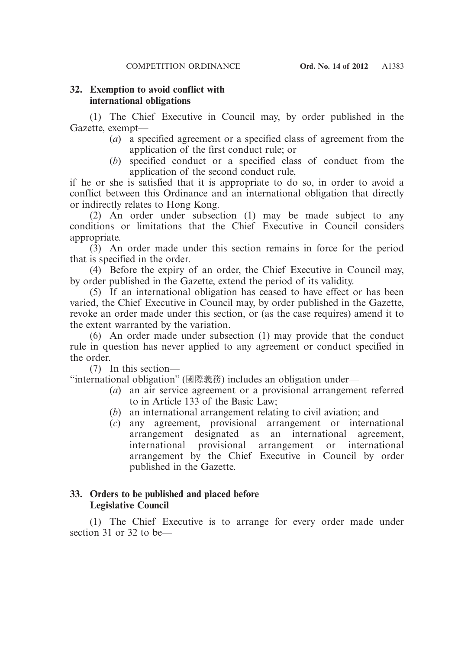#### **32. Exemption to avoid conflict with international obligations**

 (1) The Chief Executive in Council may, by order published in the Gazette, exempt—

- (*a*) a specified agreement or a specified class of agreement from the application of the first conduct rule; or
- (*b*) specified conduct or a specified class of conduct from the application of the second conduct rule,

if he or she is satisfied that it is appropriate to do so, in order to avoid a conflict between this Ordinance and an international obligation that directly or indirectly relates to Hong Kong.

 (2) An order under subsection (1) may be made subject to any conditions or limitations that the Chief Executive in Council considers appropriate.

 (3) An order made under this section remains in force for the period that is specified in the order.

 (4) Before the expiry of an order, the Chief Executive in Council may, by order published in the Gazette, extend the period of its validity.

 (5) If an international obligation has ceased to have effect or has been varied, the Chief Executive in Council may, by order published in the Gazette, revoke an order made under this section, or (as the case requires) amend it to the extent warranted by the variation.

 (6) An order made under subsection (1) may provide that the conduct rule in question has never applied to any agreement or conduct specified in the order.

(7) In this section—

"international obligation" (國際義務) includes an obligation under—

- (*a*) an air service agreement or a provisional arrangement referred to in Article 133 of the Basic Law;
- (*b*) an international arrangement relating to civil aviation; and
- (*c*) any agreement, provisional arrangement or international arrangement designated as an international agreement, international provisional arrangement or international arrangement by the Chief Executive in Council by order published in the Gazette.

### **33. Orders to be published and placed before Legislative Council**

 (1) The Chief Executive is to arrange for every order made under section 31 or 32 to be—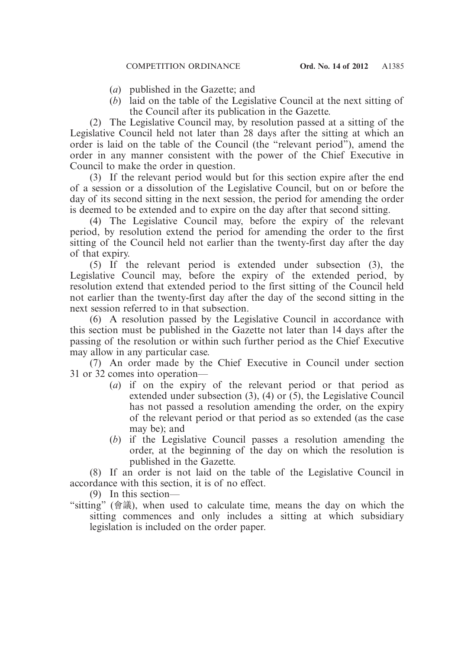- (*a*) published in the Gazette; and
- (*b*) laid on the table of the Legislative Council at the next sitting of the Council after its publication in the Gazette.

 (2) The Legislative Council may, by resolution passed at a sitting of the Legislative Council held not later than 28 days after the sitting at which an order is laid on the table of the Council (the "relevant period"), amend the order in any manner consistent with the power of the Chief Executive in Council to make the order in question.

 (3) If the relevant period would but for this section expire after the end of a session or a dissolution of the Legislative Council, but on or before the day of its second sitting in the next session, the period for amending the order is deemed to be extended and to expire on the day after that second sitting.

 (4) The Legislative Council may, before the expiry of the relevant period, by resolution extend the period for amending the order to the first sitting of the Council held not earlier than the twenty-first day after the day of that expiry.

 (5) If the relevant period is extended under subsection (3), the Legislative Council may, before the expiry of the extended period, by resolution extend that extended period to the first sitting of the Council held not earlier than the twenty-first day after the day of the second sitting in the next session referred to in that subsection.

 (6) A resolution passed by the Legislative Council in accordance with this section must be published in the Gazette not later than 14 days after the passing of the resolution or within such further period as the Chief Executive may allow in any particular case.

 (7) An order made by the Chief Executive in Council under section 31 or 32 comes into operation—

- (*a*) if on the expiry of the relevant period or that period as extended under subsection (3), (4) or (5), the Legislative Council has not passed a resolution amending the order, on the expiry of the relevant period or that period as so extended (as the case may be); and
- (*b*) if the Legislative Council passes a resolution amending the order, at the beginning of the day on which the resolution is published in the Gazette.

 (8) If an order is not laid on the table of the Legislative Council in accordance with this section, it is of no effect.

(9) In this section—

"sitting" (會議), when used to calculate time, means the day on which the sitting commences and only includes a sitting at which subsidiary legislation is included on the order paper.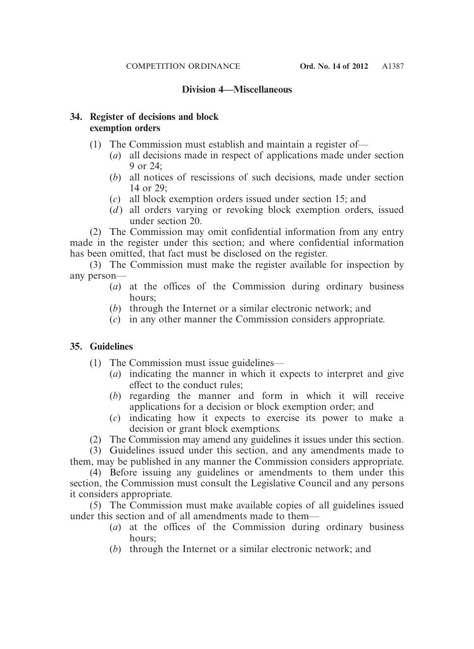#### **Division 4—Miscellaneous**

#### **34. Register of decisions and block exemption orders**

- (1) The Commission must establish and maintain a register of—
	- (*a*) all decisions made in respect of applications made under section 9 or  $24$
	- (*b*) all notices of rescissions of such decisions, made under section 14 or 29;
	- (*c*) all block exemption orders issued under section 15; and
	- $(d)$  all orders varying or revoking block exemption orders, issued under section 20.

 (2) The Commission may omit confidential information from any entry made in the register under this section; and where confidential information has been omitted, that fact must be disclosed on the register.

 (3) The Commission must make the register available for inspection by any person—

- (*a*) at the offices of the Commission during ordinary business hours;
- (*b*) through the Internet or a similar electronic network; and
- (*c*) in any other manner the Commission considers appropriate.

#### **35. Guidelines**

- (1) The Commission must issue guidelines—
	- (*a*) indicating the manner in which it expects to interpret and give effect to the conduct rules;
	- (*b*) regarding the manner and form in which it will receive applications for a decision or block exemption order; and
	- (*c*) indicating how it expects to exercise its power to make a decision or grant block exemptions.

(2) The Commission may amend any guidelines it issues under this section.

 (3) Guidelines issued under this section, and any amendments made to them, may be published in any manner the Commission considers appropriate.

 (4) Before issuing any guidelines or amendments to them under this section, the Commission must consult the Legislative Council and any persons it considers appropriate.

 (5) The Commission must make available copies of all guidelines issued under this section and of all amendments made to them—

- (*a*) at the offices of the Commission during ordinary business hours;
- (*b*) through the Internet or a similar electronic network; and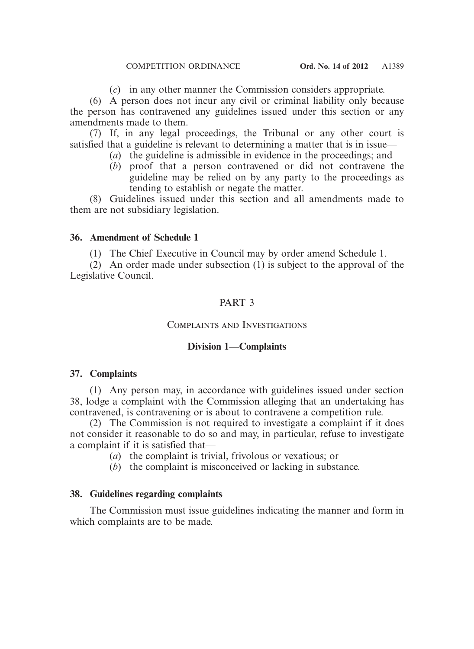(*c*) in any other manner the Commission considers appropriate.

 (6) A person does not incur any civil or criminal liability only because the person has contravened any guidelines issued under this section or any amendments made to them.

 (7) If, in any legal proceedings, the Tribunal or any other court is satisfied that a guideline is relevant to determining a matter that is in issue—

- (*a*) the guideline is admissible in evidence in the proceedings; and
- (*b*) proof that a person contravened or did not contravene the guideline may be relied on by any party to the proceedings as tending to establish or negate the matter.

 (8) Guidelines issued under this section and all amendments made to them are not subsidiary legislation.

### **36. Amendment of Schedule 1**

(1) The Chief Executive in Council may by order amend Schedule 1.

 (2) An order made under subsection (1) is subject to the approval of the Legislative Council.

### PART 3

### Complaints and Investigations

#### **Division 1—Complaints**

### **37. Complaints**

 (1) Any person may, in accordance with guidelines issued under section 38, lodge a complaint with the Commission alleging that an undertaking has contravened, is contravening or is about to contravene a competition rule.

 (2) The Commission is not required to investigate a complaint if it does not consider it reasonable to do so and may, in particular, refuse to investigate a complaint if it is satisfied that—

(*a*) the complaint is trivial, frivolous or vexatious; or

(*b*) the complaint is misconceived or lacking in substance.

#### **38. Guidelines regarding complaints**

 The Commission must issue guidelines indicating the manner and form in which complaints are to be made.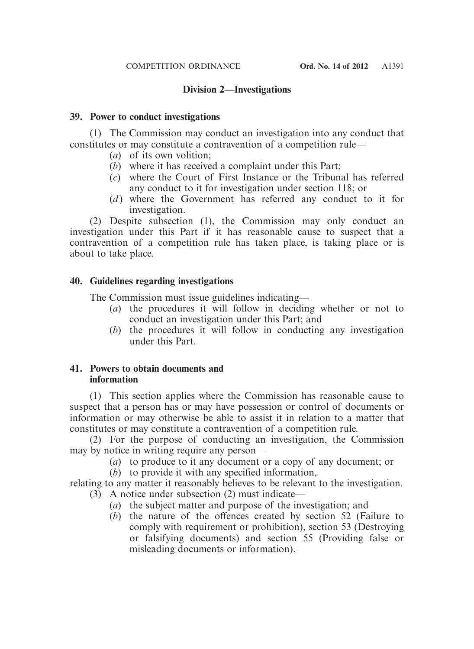### **Division 2—Investigations**

#### **39. Power to conduct investigations**

 (1) The Commission may conduct an investigation into any conduct that constitutes or may constitute a contravention of a competition rule—

- (*a*) of its own volition;
- (*b*) where it has received a complaint under this Part;
- (*c*) where the Court of First Instance or the Tribunal has referred any conduct to it for investigation under section 118; or
- (*d*) where the Government has referred any conduct to it for investigation.

 (2) Despite subsection (1), the Commission may only conduct an investigation under this Part if it has reasonable cause to suspect that a contravention of a competition rule has taken place, is taking place or is about to take place.

#### **40. Guidelines regarding investigations**

The Commission must issue guidelines indicating—

- (*a*) the procedures it will follow in deciding whether or not to conduct an investigation under this Part; and
- (*b*) the procedures it will follow in conducting any investigation under this Part.

### **41. Powers to obtain documents and information**

 (1) This section applies where the Commission has reasonable cause to suspect that a person has or may have possession or control of documents or information or may otherwise be able to assist it in relation to a matter that constitutes or may constitute a contravention of a competition rule.

 (2) For the purpose of conducting an investigation, the Commission may by notice in writing require any person—

(*a*) to produce to it any document or a copy of any document; or

(*b*) to provide it with any specified information,

relating to any matter it reasonably believes to be relevant to the investigation. (3) A notice under subsection (2) must indicate—

- (*a*) the subject matter and purpose of the investigation; and
- (*b*) the nature of the offences created by section 52 (Failure to comply with requirement or prohibition), section 53 (Destroying or falsifying documents) and section 55 (Providing false or misleading documents or information).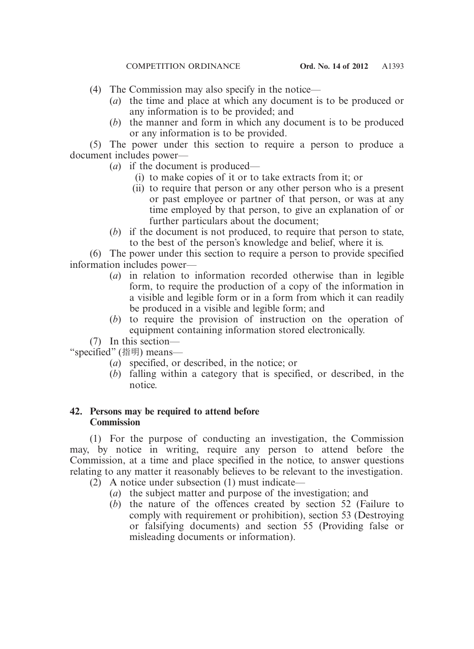- (4) The Commission may also specify in the notice—
	- (*a*) the time and place at which any document is to be produced or any information is to be provided; and
	- (*b*) the manner and form in which any document is to be produced or any information is to be provided.

 (5) The power under this section to require a person to produce a document includes power—

- (*a*) if the document is produced—
	- (i) to make copies of it or to take extracts from it; or
	- (ii) to require that person or any other person who is a present or past employee or partner of that person, or was at any time employed by that person, to give an explanation of or further particulars about the document;
- (*b*) if the document is not produced, to require that person to state, to the best of the person's knowledge and belief, where it is.

 (6) The power under this section to require a person to provide specified information includes power—

- (*a*) in relation to information recorded otherwise than in legible form, to require the production of a copy of the information in a visible and legible form or in a form from which it can readily be produced in a visible and legible form; and
- (*b*) to require the provision of instruction on the operation of equipment containing information stored electronically.

(7) In this section—

"specified" (指明) means—

- (*a*) specified, or described, in the notice; or
- (*b*) falling within a category that is specified, or described, in the notice.

## **42. Persons may be required to attend before Commission**

 (1) For the purpose of conducting an investigation, the Commission may, by notice in writing, require any person to attend before the Commission, at a time and place specified in the notice, to answer questions relating to any matter it reasonably believes to be relevant to the investigation.

- (2) A notice under subsection (1) must indicate—
	- (*a*) the subject matter and purpose of the investigation; and
	- (*b*) the nature of the offences created by section 52 (Failure to comply with requirement or prohibition), section 53 (Destroying or falsifying documents) and section 55 (Providing false or misleading documents or information).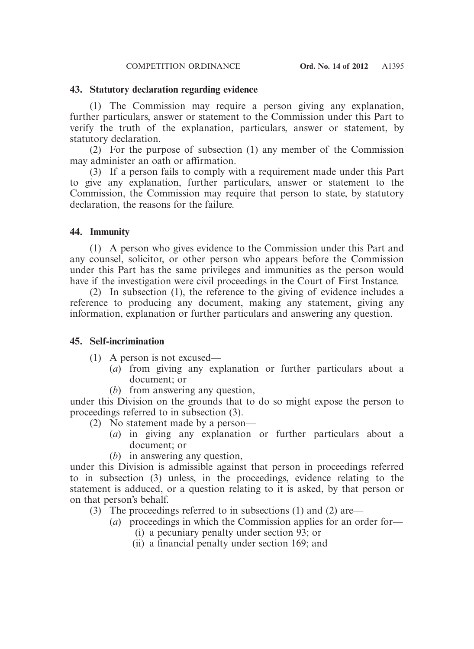### **43. Statutory declaration regarding evidence**

 (1) The Commission may require a person giving any explanation, further particulars, answer or statement to the Commission under this Part to verify the truth of the explanation, particulars, answer or statement, by statutory declaration.

 (2) For the purpose of subsection (1) any member of the Commission may administer an oath or affirmation.

 (3) If a person fails to comply with a requirement made under this Part to give any explanation, further particulars, answer or statement to the Commission, the Commission may require that person to state, by statutory declaration, the reasons for the failure.

### **44. Immunity**

 (1) A person who gives evidence to the Commission under this Part and any counsel, solicitor, or other person who appears before the Commission under this Part has the same privileges and immunities as the person would have if the investigation were civil proceedings in the Court of First Instance.

 (2) In subsection (1), the reference to the giving of evidence includes a reference to producing any document, making any statement, giving any information, explanation or further particulars and answering any question.

# **45. Self-incrimination**

- (1) A person is not excused—
	- (*a*) from giving any explanation or further particulars about a document; or
	- (*b*) from answering any question,

under this Division on the grounds that to do so might expose the person to proceedings referred to in subsection (3).

- (2) No statement made by a person—
	- (*a*) in giving any explanation or further particulars about a document; or
	- (*b*) in answering any question,

under this Division is admissible against that person in proceedings referred to in subsection (3) unless, in the proceedings, evidence relating to the statement is adduced, or a question relating to it is asked, by that person or on that person's behalf.

- (3) The proceedings referred to in subsections (1) and (2) are—
	- (*a*) proceedings in which the Commission applies for an order for—
		- (i) a pecuniary penalty under section 93; or
		- (ii) a financial penalty under section 169; and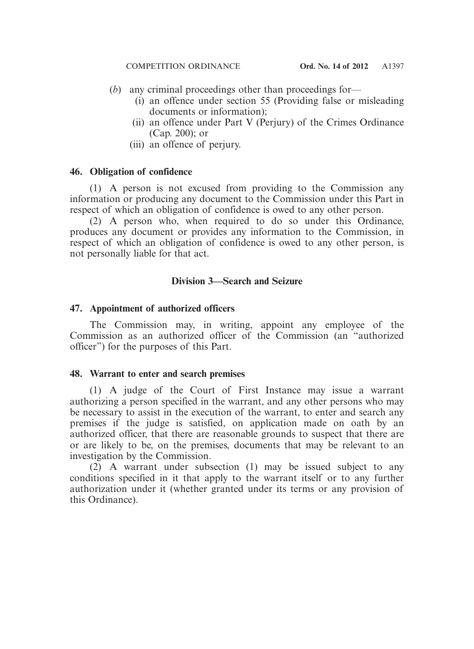- (*b*) any criminal proceedings other than proceedings for—
	- (i) an offence under section 55 (Providing false or misleading documents or information);
	- (ii) an offence under Part V (Perjury) of the Crimes Ordinance (Cap. 200); or
	- (iii) an offence of perjury.

#### **46. Obligation of confidence**

 (1) A person is not excused from providing to the Commission any information or producing any document to the Commission under this Part in respect of which an obligation of confidence is owed to any other person.

 (2) A person who, when required to do so under this Ordinance, produces any document or provides any information to the Commission, in respect of which an obligation of confidence is owed to any other person, is not personally liable for that act.

### **Division 3—Search and Seizure**

#### **47. Appointment of authorized officers**

 The Commission may, in writing, appoint any employee of the Commission as an authorized officer of the Commission (an "authorized officer") for the purposes of this Part.

#### **48. Warrant to enter and search premises**

 (1) A judge of the Court of First Instance may issue a warrant authorizing a person specified in the warrant, and any other persons who may be necessary to assist in the execution of the warrant, to enter and search any premises if the judge is satisfied, on application made on oath by an authorized officer, that there are reasonable grounds to suspect that there are or are likely to be, on the premises, documents that may be relevant to an investigation by the Commission.

 (2) A warrant under subsection (1) may be issued subject to any conditions specified in it that apply to the warrant itself or to any further authorization under it (whether granted under its terms or any provision of this Ordinance).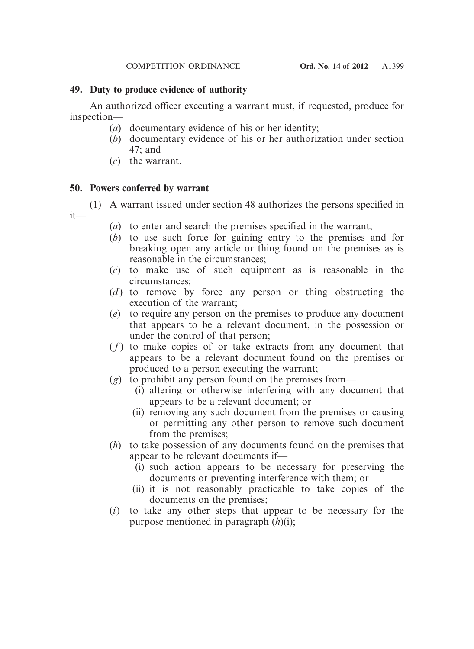### **49. Duty to produce evidence of authority**

 An authorized officer executing a warrant must, if requested, produce for inspection—

- (*a*) documentary evidence of his or her identity;
- (*b*) documentary evidence of his or her authorization under section 47; and
- (*c*) the warrant.

### **50. Powers conferred by warrant**

 (1) A warrant issued under section 48 authorizes the persons specified in it—

- (*a*) to enter and search the premises specified in the warrant;
- (*b*) to use such force for gaining entry to the premises and for breaking open any article or thing found on the premises as is reasonable in the circumstances;
- (*c*) to make use of such equipment as is reasonable in the circumstances;
- (*d*) to remove by force any person or thing obstructing the execution of the warrant;
- (*e*) to require any person on the premises to produce any document that appears to be a relevant document, in the possession or under the control of that person;
- $(f)$  to make copies of or take extracts from any document that appears to be a relevant document found on the premises or produced to a person executing the warrant;
- (*g*) to prohibit any person found on the premises from—
	- (i) altering or otherwise interfering with any document that appears to be a relevant document; or
	- (ii) removing any such document from the premises or causing or permitting any other person to remove such document from the premises;
- (*h*) to take possession of any documents found on the premises that appear to be relevant documents if—
	- (i) such action appears to be necessary for preserving the documents or preventing interference with them; or
	- (ii) it is not reasonably practicable to take copies of the documents on the premises;
- (*i*) to take any other steps that appear to be necessary for the purpose mentioned in paragraph (*h*)(i);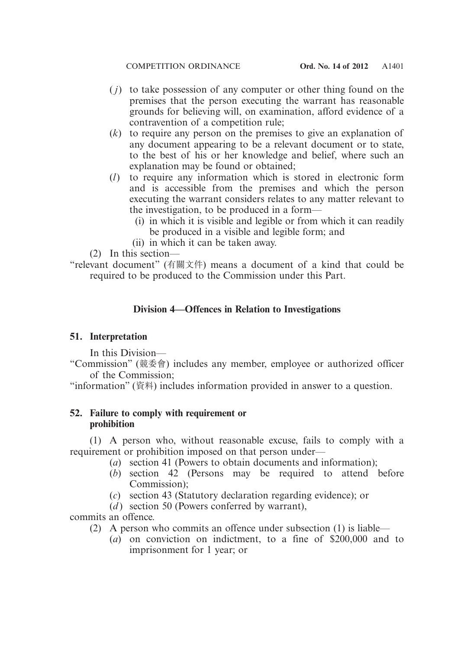- ( *j*) to take possession of any computer or other thing found on the premises that the person executing the warrant has reasonable grounds for believing will, on examination, afford evidence of a contravention of a competition rule;
- (*k*) to require any person on the premises to give an explanation of any document appearing to be a relevant document or to state, to the best of his or her knowledge and belief, where such an explanation may be found or obtained;
- (*l*) to require any information which is stored in electronic form and is accessible from the premises and which the person executing the warrant considers relates to any matter relevant to the investigation, to be produced in a form—
	- (i) in which it is visible and legible or from which it can readily be produced in a visible and legible form; and
	- (ii) in which it can be taken away.

(2) In this section—

"relevant document" (有關文件) means a document of a kind that could be required to be produced to the Commission under this Part.

# **Division 4—Offences in Relation to Investigations**

# **51. Interpretation**

In this Division—

"Commission" (競委會) includes any member, employee or authorized officer of the Commission;

"information" (資料) includes information provided in answer to a question.

# **52. Failure to comply with requirement or prohibition**

 (1) A person who, without reasonable excuse, fails to comply with a requirement or prohibition imposed on that person under—

- (*a*) section 41 (Powers to obtain documents and information);
- (*b*) section 42 (Persons may be required to attend before Commission);
- (*c*) section 43 (Statutory declaration regarding evidence); or
- $(d)$  section 50 (Powers conferred by warrant),

commits an offence.

- (2) A person who commits an offence under subsection (1) is liable—
	- (*a*) on conviction on indictment, to a fine of \$200,000 and to imprisonment for 1 year; or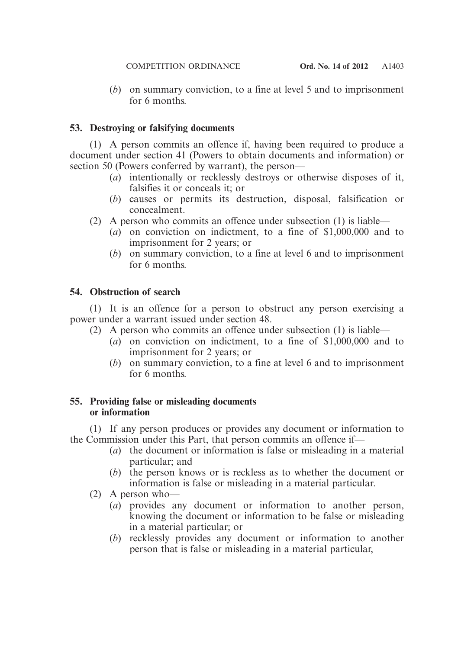(*b*) on summary conviction, to a fine at level 5 and to imprisonment for 6 months.

# **53. Destroying or falsifying documents**

 (1) A person commits an offence if, having been required to produce a document under section 41 (Powers to obtain documents and information) or section 50 (Powers conferred by warrant), the person—

- (*a*) intentionally or recklessly destroys or otherwise disposes of it, falsifies it or conceals it; or
- (*b*) causes or permits its destruction, disposal, falsification or concealment.
- (2) A person who commits an offence under subsection (1) is liable—
	- (*a*) on conviction on indictment, to a fine of \$1,000,000 and to imprisonment for 2 years; or
	- (*b*) on summary conviction, to a fine at level 6 and to imprisonment for 6 months.

# **54. Obstruction of search**

 (1) It is an offence for a person to obstruct any person exercising a power under a warrant issued under section 48.

- (2) A person who commits an offence under subsection (1) is liable—
	- (*a*) on conviction on indictment, to a fine of \$1,000,000 and to imprisonment for 2 years; or
	- (*b*) on summary conviction, to a fine at level 6 and to imprisonment for 6 months.

# **55. Providing false or misleading documents or information**

 (1) If any person produces or provides any document or information to the Commission under this Part, that person commits an offence if—

- (*a*) the document or information is false or misleading in a material particular; and
- (*b*) the person knows or is reckless as to whether the document or information is false or misleading in a material particular.
- (2) A person who—
	- (*a*) provides any document or information to another person, knowing the document or information to be false or misleading in a material particular; or
	- (*b*) recklessly provides any document or information to another person that is false or misleading in a material particular,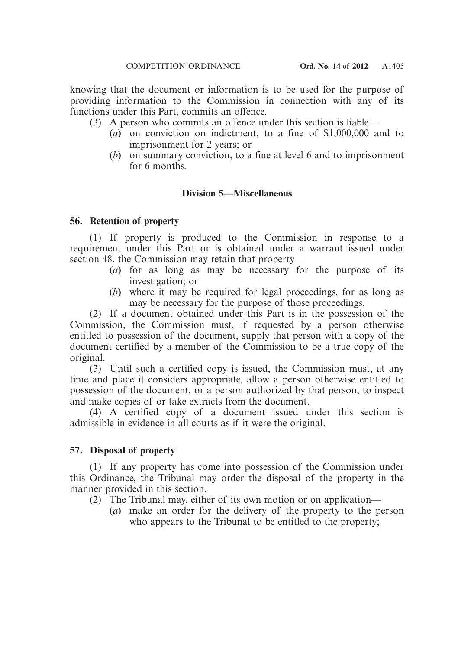knowing that the document or information is to be used for the purpose of providing information to the Commission in connection with any of its functions under this Part, commits an offence.

- (3) A person who commits an offence under this section is liable—
	- (*a*) on conviction on indictment, to a fine of \$1,000,000 and to imprisonment for 2 years; or
	- (*b*) on summary conviction, to a fine at level 6 and to imprisonment for 6 months.

### **Division 5—Miscellaneous**

### **56. Retention of property**

 (1) If property is produced to the Commission in response to a requirement under this Part or is obtained under a warrant issued under section 48, the Commission may retain that property—

- (*a*) for as long as may be necessary for the purpose of its investigation; or
- (*b*) where it may be required for legal proceedings, for as long as may be necessary for the purpose of those proceedings.

 (2) If a document obtained under this Part is in the possession of the Commission, the Commission must, if requested by a person otherwise entitled to possession of the document, supply that person with a copy of the document certified by a member of the Commission to be a true copy of the original.

 (3) Until such a certified copy is issued, the Commission must, at any time and place it considers appropriate, allow a person otherwise entitled to possession of the document, or a person authorized by that person, to inspect and make copies of or take extracts from the document.

 (4) A certified copy of a document issued under this section is admissible in evidence in all courts as if it were the original.

# **57. Disposal of property**

 (1) If any property has come into possession of the Commission under this Ordinance, the Tribunal may order the disposal of the property in the manner provided in this section.

- (2) The Tribunal may, either of its own motion or on application—
	- (*a*) make an order for the delivery of the property to the person who appears to the Tribunal to be entitled to the property;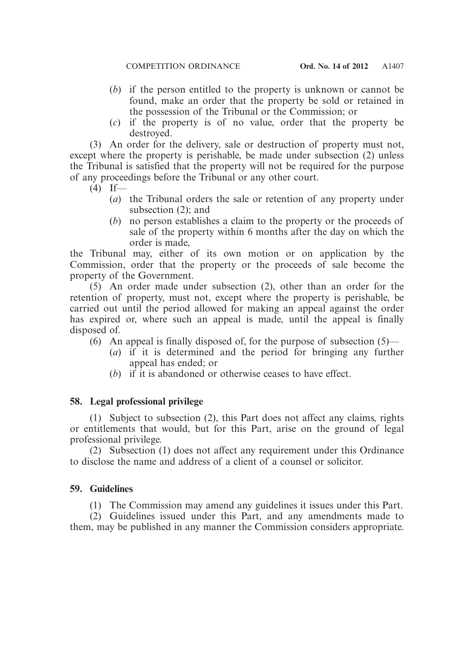- (*b*) if the person entitled to the property is unknown or cannot be found, make an order that the property be sold or retained in the possession of the Tribunal or the Commission; or
- (*c*) if the property is of no value, order that the property be destroyed.

 (3) An order for the delivery, sale or destruction of property must not, except where the property is perishable, be made under subsection (2) unless the Tribunal is satisfied that the property will not be required for the purpose of any proceedings before the Tribunal or any other court.

- $(4)$  If—
	- (*a*) the Tribunal orders the sale or retention of any property under subsection (2); and
	- (*b*) no person establishes a claim to the property or the proceeds of sale of the property within 6 months after the day on which the order is made,

the Tribunal may, either of its own motion or on application by the Commission, order that the property or the proceeds of sale become the property of the Government.

 (5) An order made under subsection (2), other than an order for the retention of property, must not, except where the property is perishable, be carried out until the period allowed for making an appeal against the order has expired or, where such an appeal is made, until the appeal is finally disposed of.

- (6) An appeal is finally disposed of, for the purpose of subsection  $(5)$ 
	- (*a*) if it is determined and the period for bringing any further appeal has ended; or
	- (*b*) if it is abandoned or otherwise ceases to have effect.

# **58. Legal professional privilege**

 (1) Subject to subsection (2), this Part does not affect any claims, rights or entitlements that would, but for this Part, arise on the ground of legal professional privilege.

 (2) Subsection (1) does not affect any requirement under this Ordinance to disclose the name and address of a client of a counsel or solicitor.

# **59. Guidelines**

(1) The Commission may amend any guidelines it issues under this Part.

 (2) Guidelines issued under this Part, and any amendments made to them, may be published in any manner the Commission considers appropriate.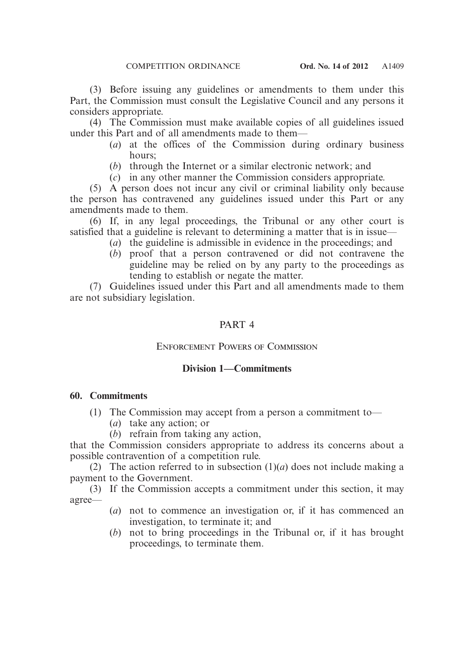(3) Before issuing any guidelines or amendments to them under this Part, the Commission must consult the Legislative Council and any persons it considers appropriate.

 (4) The Commission must make available copies of all guidelines issued under this Part and of all amendments made to them—

- (*a*) at the offices of the Commission during ordinary business hours;
- (*b*) through the Internet or a similar electronic network; and
- (*c*) in any other manner the Commission considers appropriate.

 (5) A person does not incur any civil or criminal liability only because the person has contravened any guidelines issued under this Part or any amendments made to them.

 (6) If, in any legal proceedings, the Tribunal or any other court is satisfied that a guideline is relevant to determining a matter that is in issue—

- (*a*) the guideline is admissible in evidence in the proceedings; and
- (*b*) proof that a person contravened or did not contravene the guideline may be relied on by any party to the proceedings as tending to establish or negate the matter.

 (7) Guidelines issued under this Part and all amendments made to them are not subsidiary legislation.

# PART 4

# Enforcement Powers of Commission

# **Division 1—Commitments**

# **60. Commitments**

- (1) The Commission may accept from a person a commitment to—
	- (*a*) take any action; or
	- (*b*) refrain from taking any action,

that the Commission considers appropriate to address its concerns about a possible contravention of a competition rule.

(2) The action referred to in subsection  $(1)(a)$  does not include making a payment to the Government.

 (3) If the Commission accepts a commitment under this section, it may agree—

- (*a*) not to commence an investigation or, if it has commenced an investigation, to terminate it; and
- (*b*) not to bring proceedings in the Tribunal or, if it has brought proceedings, to terminate them.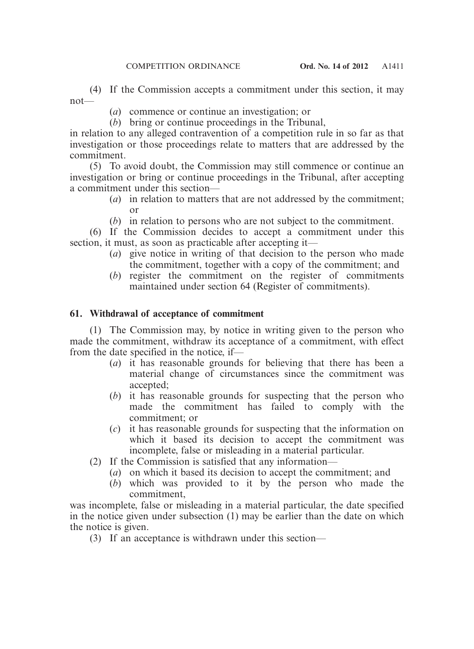(4) If the Commission accepts a commitment under this section, it may not—

- (*a*) commence or continue an investigation; or
- (*b*) bring or continue proceedings in the Tribunal,

in relation to any alleged contravention of a competition rule in so far as that investigation or those proceedings relate to matters that are addressed by the commitment.

 (5) To avoid doubt, the Commission may still commence or continue an investigation or bring or continue proceedings in the Tribunal, after accepting a commitment under this section—

- (*a*) in relation to matters that are not addressed by the commitment;  $\alpha r$
- (*b*) in relation to persons who are not subject to the commitment.

 (6) If the Commission decides to accept a commitment under this section, it must, as soon as practicable after accepting it—

- (*a*) give notice in writing of that decision to the person who made the commitment, together with a copy of the commitment; and
- (*b*) register the commitment on the register of commitments maintained under section 64 (Register of commitments).

### **61. Withdrawal of acceptance of commitment**

 (1) The Commission may, by notice in writing given to the person who made the commitment, withdraw its acceptance of a commitment, with effect from the date specified in the notice, if—

- (*a*) it has reasonable grounds for believing that there has been a material change of circumstances since the commitment was accepted;
- (*b*) it has reasonable grounds for suspecting that the person who made the commitment has failed to comply with the commitment; or
- (*c*) it has reasonable grounds for suspecting that the information on which it based its decision to accept the commitment was incomplete, false or misleading in a material particular.
- (2) If the Commission is satisfied that any information—
	- (*a*) on which it based its decision to accept the commitment; and
	- (*b*) which was provided to it by the person who made the commitment,

was incomplete, false or misleading in a material particular, the date specified in the notice given under subsection (1) may be earlier than the date on which the notice is given.

(3) If an acceptance is withdrawn under this section—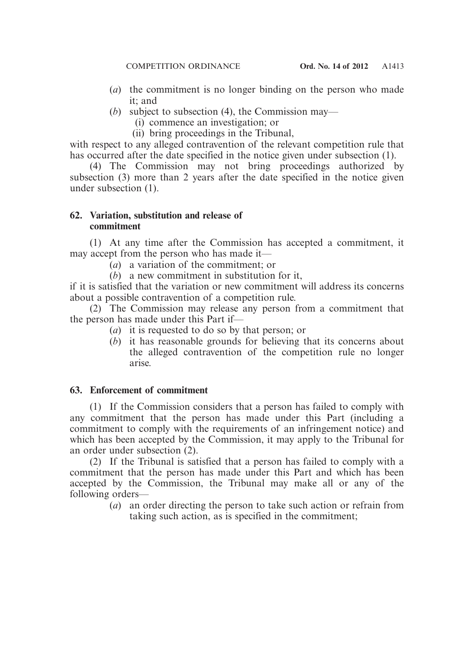- (*a*) the commitment is no longer binding on the person who made it; and
- (*b*) subject to subsection (4), the Commission may—
	- (i) commence an investigation; or
	- (ii) bring proceedings in the Tribunal,

with respect to any alleged contravention of the relevant competition rule that has occurred after the date specified in the notice given under subsection (1).

 (4) The Commission may not bring proceedings authorized by subsection (3) more than 2 years after the date specified in the notice given under subsection (1).

### **62. Variation, substitution and release of commitment**

 (1) At any time after the Commission has accepted a commitment, it may accept from the person who has made it—

- (*a*) a variation of the commitment; or
- (*b*) a new commitment in substitution for it,

if it is satisfied that the variation or new commitment will address its concerns about a possible contravention of a competition rule.

 (2) The Commission may release any person from a commitment that the person has made under this Part if—

- (*a*) it is requested to do so by that person; or
- (*b*) it has reasonable grounds for believing that its concerns about the alleged contravention of the competition rule no longer arise.

### **63. Enforcement of commitment**

 (1) If the Commission considers that a person has failed to comply with any commitment that the person has made under this Part (including a commitment to comply with the requirements of an infringement notice) and which has been accepted by the Commission, it may apply to the Tribunal for an order under subsection (2).

 (2) If the Tribunal is satisfied that a person has failed to comply with a commitment that the person has made under this Part and which has been accepted by the Commission, the Tribunal may make all or any of the following orders—

(*a*) an order directing the person to take such action or refrain from taking such action, as is specified in the commitment;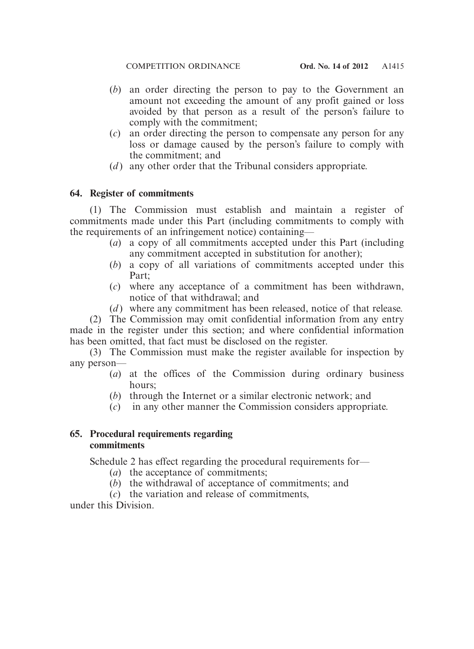- (*b*) an order directing the person to pay to the Government an amount not exceeding the amount of any profit gained or loss avoided by that person as a result of the person's failure to comply with the commitment;
- (*c*) an order directing the person to compensate any person for any loss or damage caused by the person's failure to comply with the commitment; and
- (*d*) any other order that the Tribunal considers appropriate.

### **64. Register of commitments**

 (1) The Commission must establish and maintain a register of commitments made under this Part (including commitments to comply with the requirements of an infringement notice) containing—

- (*a*) a copy of all commitments accepted under this Part (including any commitment accepted in substitution for another);
- (*b*) a copy of all variations of commitments accepted under this Part;
- (*c*) where any acceptance of a commitment has been withdrawn, notice of that withdrawal; and
- (*d*) where any commitment has been released, notice of that release.

 (2) The Commission may omit confidential information from any entry made in the register under this section; and where confidential information has been omitted, that fact must be disclosed on the register.

 (3) The Commission must make the register available for inspection by any person—

- (*a*) at the offices of the Commission during ordinary business hours;
- (*b*) through the Internet or a similar electronic network; and
- (*c*) in any other manner the Commission considers appropriate.

### **65. Procedural requirements regarding commitments**

Schedule 2 has effect regarding the procedural requirements for—

- (*a*) the acceptance of commitments;
- (*b*) the withdrawal of acceptance of commitments; and
- (*c*) the variation and release of commitments,

under this Division.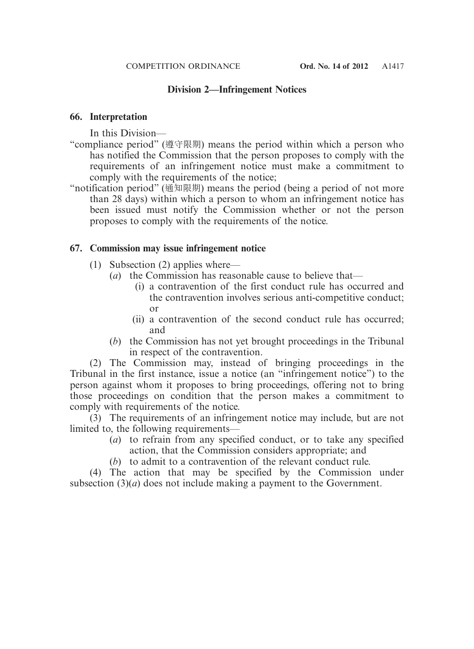#### **Division 2—Infringement Notices**

#### **66. Interpretation**

In this Division—

- "compliance period" (遵守限期) means the period within which a person who has notified the Commission that the person proposes to comply with the requirements of an infringement notice must make a commitment to comply with the requirements of the notice;
- "notification period" (通知限期) means the period (being a period of not more than 28 days) within which a person to whom an infringement notice has been issued must notify the Commission whether or not the person proposes to comply with the requirements of the notice.

### **67. Commission may issue infringement notice**

- (1) Subsection (2) applies where—
	- (*a*) the Commission has reasonable cause to believe that—
		- (i) a contravention of the first conduct rule has occurred and the contravention involves serious anti-competitive conduct; or
		- (ii) a contravention of the second conduct rule has occurred; and
	- (*b*) the Commission has not yet brought proceedings in the Tribunal in respect of the contravention.

 (2) The Commission may, instead of bringing proceedings in the Tribunal in the first instance, issue a notice (an "infringement notice") to the person against whom it proposes to bring proceedings, offering not to bring those proceedings on condition that the person makes a commitment to comply with requirements of the notice.

 (3) The requirements of an infringement notice may include, but are not limited to, the following requirements—

- (*a*) to refrain from any specified conduct, or to take any specified action, that the Commission considers appropriate; and
- (*b*) to admit to a contravention of the relevant conduct rule.

 (4) The action that may be specified by the Commission under subsection (3)(*a*) does not include making a payment to the Government.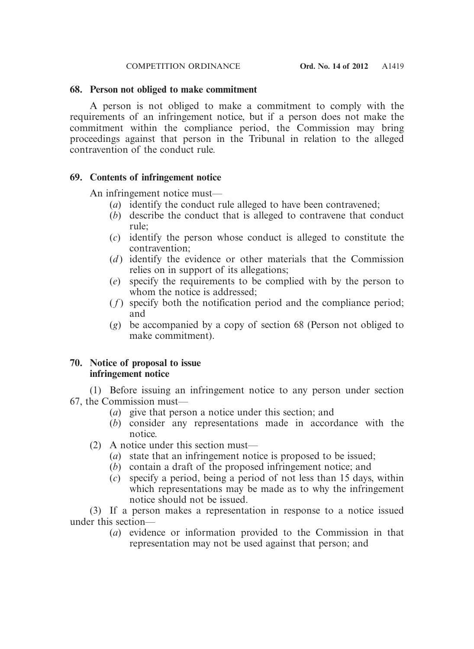#### **68. Person not obliged to make commitment**

 A person is not obliged to make a commitment to comply with the requirements of an infringement notice, but if a person does not make the commitment within the compliance period, the Commission may bring proceedings against that person in the Tribunal in relation to the alleged contravention of the conduct rule.

#### **69. Contents of infringement notice**

An infringement notice must—

- (*a*) identify the conduct rule alleged to have been contravened;
- (*b*) describe the conduct that is alleged to contravene that conduct rule;
- (*c*) identify the person whose conduct is alleged to constitute the contravention;
- (*d*) identify the evidence or other materials that the Commission relies on in support of its allegations;
- (*e*) specify the requirements to be complied with by the person to whom the notice is addressed;
- $(f)$  specify both the notification period and the compliance period; and
- (*g*) be accompanied by a copy of section 68 (Person not obliged to make commitment).

### **70. Notice of proposal to issue infringement notice**

 (1) Before issuing an infringement notice to any person under section 67, the Commission must—

- (*a*) give that person a notice under this section; and
- (*b*) consider any representations made in accordance with the notice.
- (2) A notice under this section must—
	- (*a*) state that an infringement notice is proposed to be issued;
	- (*b*) contain a draft of the proposed infringement notice; and
	- (*c*) specify a period, being a period of not less than 15 days, within which representations may be made as to why the infringement notice should not be issued.

 (3) If a person makes a representation in response to a notice issued under this section—

(*a*) evidence or information provided to the Commission in that representation may not be used against that person; and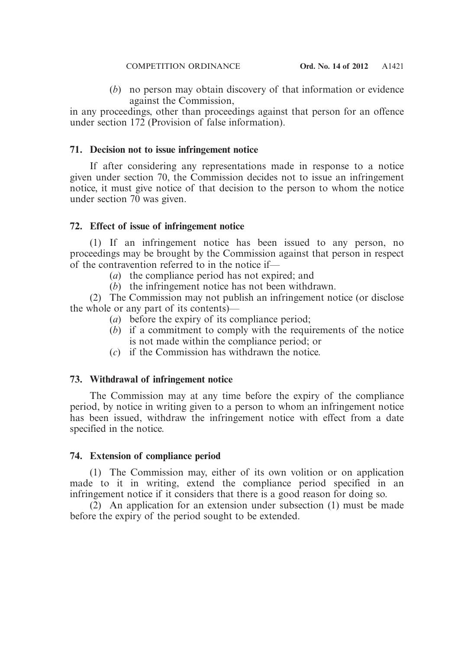(*b*) no person may obtain discovery of that information or evidence against the Commission,

in any proceedings, other than proceedings against that person for an offence under section 172 (Provision of false information).

### **71. Decision not to issue infringement notice**

 If after considering any representations made in response to a notice given under section 70, the Commission decides not to issue an infringement notice, it must give notice of that decision to the person to whom the notice under section 70 was given.

### **72. Effect of issue of infringement notice**

 (1) If an infringement notice has been issued to any person, no proceedings may be brought by the Commission against that person in respect of the contravention referred to in the notice if—

- (*a*) the compliance period has not expired; and
- (*b*) the infringement notice has not been withdrawn.

 (2) The Commission may not publish an infringement notice (or disclose the whole or any part of its contents)—

- (*a*) before the expiry of its compliance period;
- (*b*) if a commitment to comply with the requirements of the notice is not made within the compliance period; or
- (*c*) if the Commission has withdrawn the notice.

# **73. Withdrawal of infringement notice**

 The Commission may at any time before the expiry of the compliance period, by notice in writing given to a person to whom an infringement notice has been issued, withdraw the infringement notice with effect from a date specified in the notice.

### **74. Extension of compliance period**

 (1) The Commission may, either of its own volition or on application made to it in writing, extend the compliance period specified in an infringement notice if it considers that there is a good reason for doing so.

 (2) An application for an extension under subsection (1) must be made before the expiry of the period sought to be extended.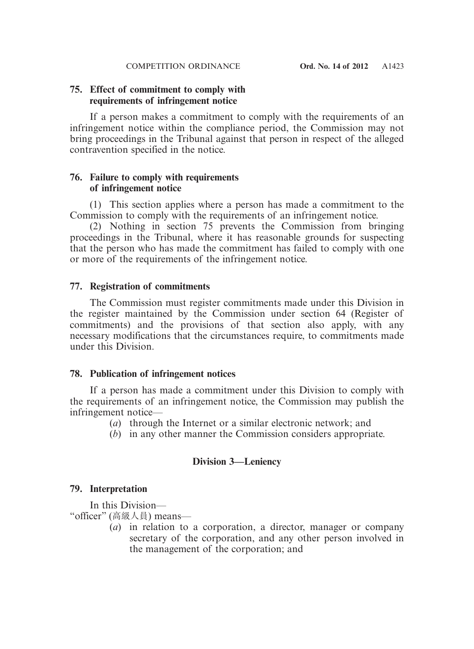### **75. Effect of commitment to comply with requirements of infringement notice**

 If a person makes a commitment to comply with the requirements of an infringement notice within the compliance period, the Commission may not bring proceedings in the Tribunal against that person in respect of the alleged contravention specified in the notice.

### **76. Failure to comply with requirements of infringement notice**

 (1) This section applies where a person has made a commitment to the Commission to comply with the requirements of an infringement notice.

 (2) Nothing in section 75 prevents the Commission from bringing proceedings in the Tribunal, where it has reasonable grounds for suspecting that the person who has made the commitment has failed to comply with one or more of the requirements of the infringement notice.

### **77. Registration of commitments**

 The Commission must register commitments made under this Division in the register maintained by the Commission under section 64 (Register of commitments) and the provisions of that section also apply, with any necessary modifications that the circumstances require, to commitments made under this Division.

### **78. Publication of infringement notices**

 If a person has made a commitment under this Division to comply with the requirements of an infringement notice, the Commission may publish the infringement notice—

- (*a*) through the Internet or a similar electronic network; and
- (*b*) in any other manner the Commission considers appropriate.

# **Division 3—Leniency**

# **79. Interpretation**

In this Division—

"officer" (高級人員) means—

(*a*) in relation to a corporation, a director, manager or company secretary of the corporation, and any other person involved in the management of the corporation; and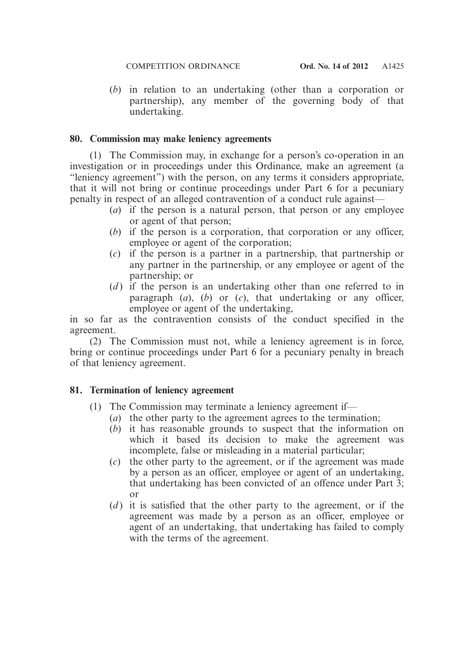(*b*) in relation to an undertaking (other than a corporation or partnership), any member of the governing body of that undertaking.

#### **80. Commission may make leniency agreements**

 (1) The Commission may, in exchange for a person's co-operation in an investigation or in proceedings under this Ordinance, make an agreement (a "leniency agreement") with the person, on any terms it considers appropriate, that it will not bring or continue proceedings under Part 6 for a pecuniary penalty in respect of an alleged contravention of a conduct rule against—

- (*a*) if the person is a natural person, that person or any employee or agent of that person;
- (*b*) if the person is a corporation, that corporation or any officer, employee or agent of the corporation;
- (*c*) if the person is a partner in a partnership, that partnership or any partner in the partnership, or any employee or agent of the partnership; or
- (*d*) if the person is an undertaking other than one referred to in paragraph  $(a)$ ,  $(b)$  or  $(c)$ , that undertaking or any officer, employee or agent of the undertaking,

in so far as the contravention consists of the conduct specified in the agreement.

 (2) The Commission must not, while a leniency agreement is in force, bring or continue proceedings under Part 6 for a pecuniary penalty in breach of that leniency agreement.

### **81. Termination of leniency agreement**

- (1) The Commission may terminate a leniency agreement if—
	- (*a*) the other party to the agreement agrees to the termination;
	- (*b*) it has reasonable grounds to suspect that the information on which it based its decision to make the agreement was incomplete, false or misleading in a material particular;
	- (*c*) the other party to the agreement, or if the agreement was made by a person as an officer, employee or agent of an undertaking, that undertaking has been convicted of an offence under Part 3; or
	- (*d*) it is satisfied that the other party to the agreement, or if the agreement was made by a person as an officer, employee or agent of an undertaking, that undertaking has failed to comply with the terms of the agreement.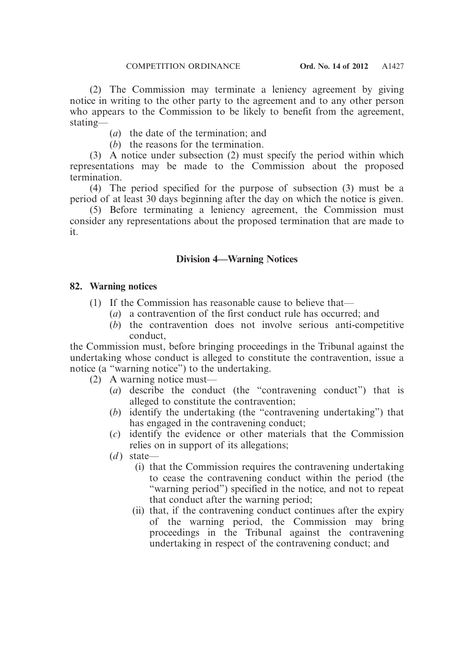(2) The Commission may terminate a leniency agreement by giving notice in writing to the other party to the agreement and to any other person who appears to the Commission to be likely to benefit from the agreement, stating—

- (*a*) the date of the termination; and
- (*b*) the reasons for the termination.

 (3) A notice under subsection (2) must specify the period within which representations may be made to the Commission about the proposed termination.

 (4) The period specified for the purpose of subsection (3) must be a period of at least 30 days beginning after the day on which the notice is given.

 (5) Before terminating a leniency agreement, the Commission must consider any representations about the proposed termination that are made to it.

### **Division 4—Warning Notices**

#### **82. Warning notices**

- (1) If the Commission has reasonable cause to believe that—
	- (*a*) a contravention of the first conduct rule has occurred; and
	- (*b*) the contravention does not involve serious anti-competitive conduct,

the Commission must, before bringing proceedings in the Tribunal against the undertaking whose conduct is alleged to constitute the contravention, issue a notice (a "warning notice") to the undertaking.

(2) A warning notice must—

- (*a*) describe the conduct (the "contravening conduct") that is alleged to constitute the contravention;
- (*b*) identify the undertaking (the "contravening undertaking") that has engaged in the contravening conduct;
- (*c*) identify the evidence or other materials that the Commission relies on in support of its allegations;
- $(d)$  state—
	- (i) that the Commission requires the contravening undertaking to cease the contravening conduct within the period (the "warning period") specified in the notice, and not to repeat that conduct after the warning period;
	- (ii) that, if the contravening conduct continues after the expiry of the warning period, the Commission may bring proceedings in the Tribunal against the contravening undertaking in respect of the contravening conduct; and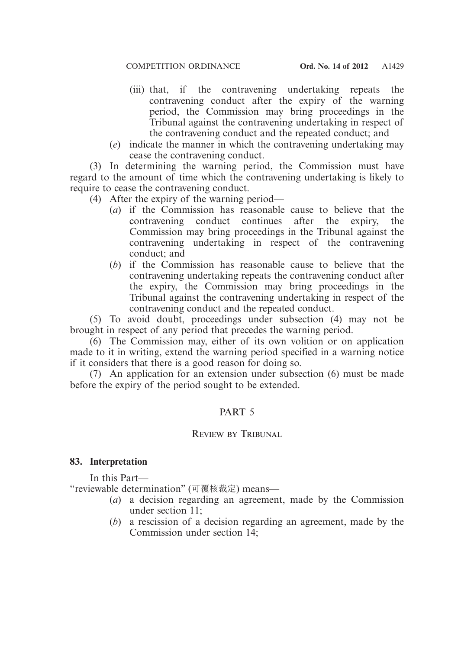- (iii) that, if the contravening undertaking repeats the contravening conduct after the expiry of the warning period, the Commission may bring proceedings in the Tribunal against the contravening undertaking in respect of the contravening conduct and the repeated conduct; and
- (*e*) indicate the manner in which the contravening undertaking may cease the contravening conduct.

 (3) In determining the warning period, the Commission must have regard to the amount of time which the contravening undertaking is likely to require to cease the contravening conduct.

- (4) After the expiry of the warning period—
	- (*a*) if the Commission has reasonable cause to believe that the contravening conduct continues after the expiry, the Commission may bring proceedings in the Tribunal against the contravening undertaking in respect of the contravening conduct; and
	- (*b*) if the Commission has reasonable cause to believe that the contravening undertaking repeats the contravening conduct after the expiry, the Commission may bring proceedings in the Tribunal against the contravening undertaking in respect of the contravening conduct and the repeated conduct.

 (5) To avoid doubt, proceedings under subsection (4) may not be brought in respect of any period that precedes the warning period.

 (6) The Commission may, either of its own volition or on application made to it in writing, extend the warning period specified in a warning notice if it considers that there is a good reason for doing so.

 (7) An application for an extension under subsection (6) must be made before the expiry of the period sought to be extended.

# PART 5

### REVIEW BY TRIBUNAL

### **83. Interpretation**

In this Part—

"reviewable determination" (可覆核裁定) means—

- (*a*) a decision regarding an agreement, made by the Commission under section 11:
- (*b*) a rescission of a decision regarding an agreement, made by the Commission under section 14;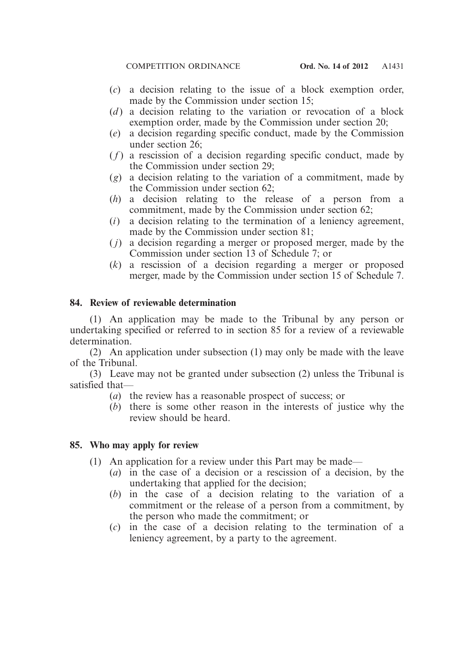- (*c*) a decision relating to the issue of a block exemption order, made by the Commission under section 15;
- (*d*) a decision relating to the variation or revocation of a block exemption order, made by the Commission under section 20;
- (*e*) a decision regarding specific conduct, made by the Commission under section 26;
- $(f)$  a rescission of a decision regarding specific conduct, made by the Commission under section 29;
- (*g*) a decision relating to the variation of a commitment, made by the Commission under section 62;
- (*h*) a decision relating to the release of a person from a commitment, made by the Commission under section 62;
- (*i*) a decision relating to the termination of a leniency agreement, made by the Commission under section 81;
- ( *j*) a decision regarding a merger or proposed merger, made by the Commission under section 13 of Schedule 7; or
- (*k*) a rescission of a decision regarding a merger or proposed merger, made by the Commission under section 15 of Schedule 7.

### **84. Review of reviewable determination**

 (1) An application may be made to the Tribunal by any person or undertaking specified or referred to in section 85 for a review of a reviewable determination.

 (2) An application under subsection (1) may only be made with the leave of the Tribunal.

 (3) Leave may not be granted under subsection (2) unless the Tribunal is satisfied that—

- (*a*) the review has a reasonable prospect of success; or
- (*b*) there is some other reason in the interests of justice why the review should be heard.

### **85. Who may apply for review**

- (1) An application for a review under this Part may be made—
	- (*a*) in the case of a decision or a rescission of a decision, by the undertaking that applied for the decision;
	- (*b*) in the case of a decision relating to the variation of a commitment or the release of a person from a commitment, by the person who made the commitment; or
	- (*c*) in the case of a decision relating to the termination of a leniency agreement, by a party to the agreement.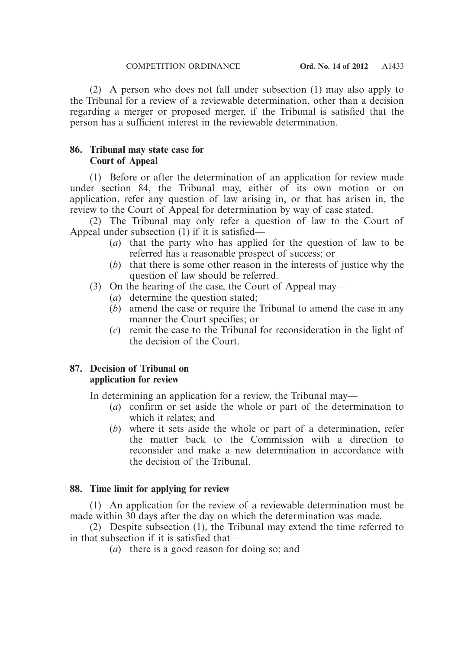(2) A person who does not fall under subsection (1) may also apply to the Tribunal for a review of a reviewable determination, other than a decision regarding a merger or proposed merger, if the Tribunal is satisfied that the person has a sufficient interest in the reviewable determination.

### **86. Tribunal may state case for Court of Appeal**

 (1) Before or after the determination of an application for review made under section 84, the Tribunal may, either of its own motion or on application, refer any question of law arising in, or that has arisen in, the review to the Court of Appeal for determination by way of case stated.

 (2) The Tribunal may only refer a question of law to the Court of Appeal under subsection (1) if it is satisfied—

- (*a*) that the party who has applied for the question of law to be referred has a reasonable prospect of success; or
- (*b*) that there is some other reason in the interests of justice why the question of law should be referred.
- (3) On the hearing of the case, the Court of Appeal may—
	- (*a*) determine the question stated;
	- (*b*) amend the case or require the Tribunal to amend the case in any manner the Court specifies; or
	- (*c*) remit the case to the Tribunal for reconsideration in the light of the decision of the Court.

# **87. Decision of Tribunal on application for review**

In determining an application for a review, the Tribunal may—

- (*a*) confirm or set aside the whole or part of the determination to which it relates; and
- (*b*) where it sets aside the whole or part of a determination, refer the matter back to the Commission with a direction to reconsider and make a new determination in accordance with the decision of the Tribunal.

# **88. Time limit for applying for review**

 (1) An application for the review of a reviewable determination must be made within 30 days after the day on which the determination was made.

 (2) Despite subsection (1), the Tribunal may extend the time referred to in that subsection if it is satisfied that—

(*a*) there is a good reason for doing so; and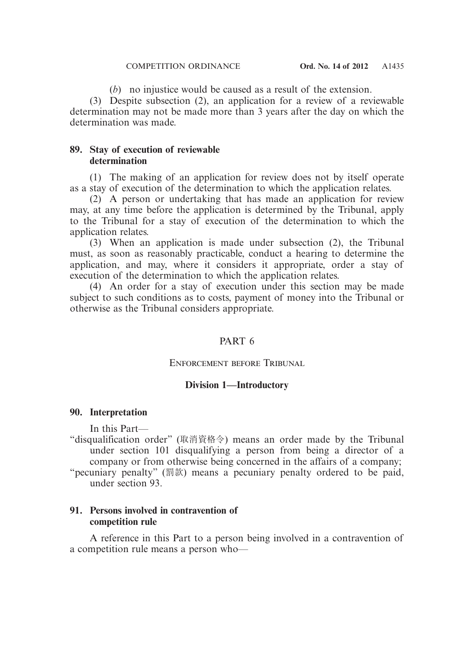(*b*) no injustice would be caused as a result of the extension.

 (3) Despite subsection (2), an application for a review of a reviewable determination may not be made more than 3 years after the day on which the determination was made.

### **89. Stay of execution of reviewable determination**

 (1) The making of an application for review does not by itself operate as a stay of execution of the determination to which the application relates.

 (2) A person or undertaking that has made an application for review may, at any time before the application is determined by the Tribunal, apply to the Tribunal for a stay of execution of the determination to which the application relates.

 (3) When an application is made under subsection (2), the Tribunal must, as soon as reasonably practicable, conduct a hearing to determine the application, and may, where it considers it appropriate, order a stay of execution of the determination to which the application relates.

 (4) An order for a stay of execution under this section may be made subject to such conditions as to costs, payment of money into the Tribunal or otherwise as the Tribunal considers appropriate.

# PART 6

# Enforcement before Tribunal

# **Division 1—Introductory**

### **90. Interpretation**

In this Part—

- "disqualification order" (取消資格令) means an order made by the Tribunal under section 101 disqualifying a person from being a director of a company or from otherwise being concerned in the affairs of a company;
- "pecuniary penalty" (罰款) means a pecuniary penalty ordered to be paid, under section 93.

### **91. Persons involved in contravention of competition rule**

 A reference in this Part to a person being involved in a contravention of a competition rule means a person who—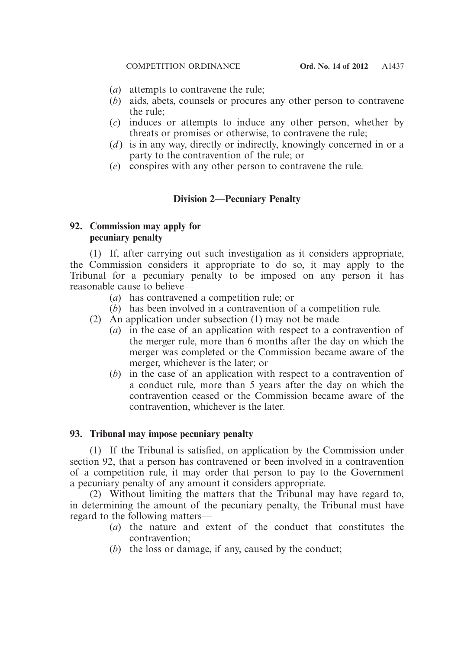- (*a*) attempts to contravene the rule;
- (*b*) aids, abets, counsels or procures any other person to contravene the rule;
- (*c*) induces or attempts to induce any other person, whether by threats or promises or otherwise, to contravene the rule;
- (*d*) is in any way, directly or indirectly, knowingly concerned in or a party to the contravention of the rule; or
- (*e*) conspires with any other person to contravene the rule.

### **Division 2—Pecuniary Penalty**

### **92. Commission may apply for pecuniary penalty**

 (1) If, after carrying out such investigation as it considers appropriate, the Commission considers it appropriate to do so, it may apply to the Tribunal for a pecuniary penalty to be imposed on any person it has reasonable cause to believe—

- (*a*) has contravened a competition rule; or
- (*b*) has been involved in a contravention of a competition rule.
- (2) An application under subsection (1) may not be made—
	- (*a*) in the case of an application with respect to a contravention of the merger rule, more than 6 months after the day on which the merger was completed or the Commission became aware of the merger, whichever is the later; or
	- (*b*) in the case of an application with respect to a contravention of a conduct rule, more than 5 years after the day on which the contravention ceased or the Commission became aware of the contravention, whichever is the later.

### **93. Tribunal may impose pecuniary penalty**

 (1) If the Tribunal is satisfied, on application by the Commission under section 92, that a person has contravened or been involved in a contravention of a competition rule, it may order that person to pay to the Government a pecuniary penalty of any amount it considers appropriate.

 (2) Without limiting the matters that the Tribunal may have regard to, in determining the amount of the pecuniary penalty, the Tribunal must have regard to the following matters—

- (*a*) the nature and extent of the conduct that constitutes the contravention;
- (*b*) the loss or damage, if any, caused by the conduct;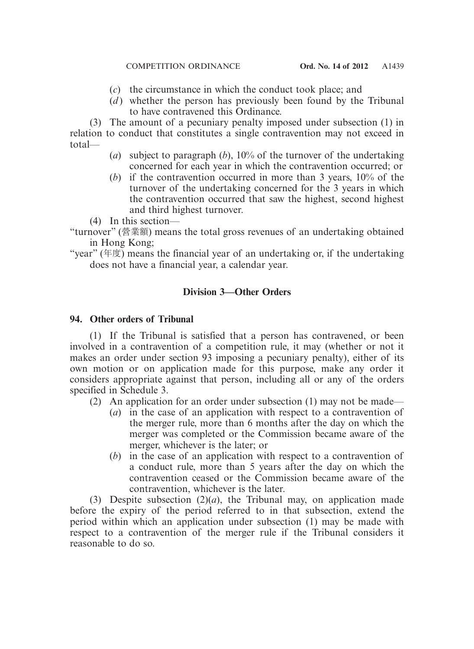- (*c*) the circumstance in which the conduct took place; and
- (*d*) whether the person has previously been found by the Tribunal to have contravened this Ordinance.

 (3) The amount of a pecuniary penalty imposed under subsection (1) in relation to conduct that constitutes a single contravention may not exceed in total—

- (*a*) subject to paragraph (*b*), 10% of the turnover of the undertaking concerned for each year in which the contravention occurred; or
- (*b*) if the contravention occurred in more than 3 years, 10% of the turnover of the undertaking concerned for the 3 years in which the contravention occurred that saw the highest, second highest and third highest turnover.
- (4) In this section—

"turnover" (營業額) means the total gross revenues of an undertaking obtained in Hong Kong;

"year" (年度) means the financial year of an undertaking or, if the undertaking does not have a financial year, a calendar year.

# **Division 3—Other Orders**

### **94. Other orders of Tribunal**

 (1) If the Tribunal is satisfied that a person has contravened, or been involved in a contravention of a competition rule, it may (whether or not it makes an order under section 93 imposing a pecuniary penalty), either of its own motion or on application made for this purpose, make any order it considers appropriate against that person, including all or any of the orders specified in Schedule 3.

(2) An application for an order under subsection (1) may not be made—

- (*a*) in the case of an application with respect to a contravention of the merger rule, more than 6 months after the day on which the merger was completed or the Commission became aware of the merger, whichever is the later; or
- (*b*) in the case of an application with respect to a contravention of a conduct rule, more than 5 years after the day on which the contravention ceased or the Commission became aware of the contravention, whichever is the later.

(3) Despite subsection  $(2)(a)$ , the Tribunal may, on application made before the expiry of the period referred to in that subsection, extend the period within which an application under subsection (1) may be made with respect to a contravention of the merger rule if the Tribunal considers it reasonable to do so.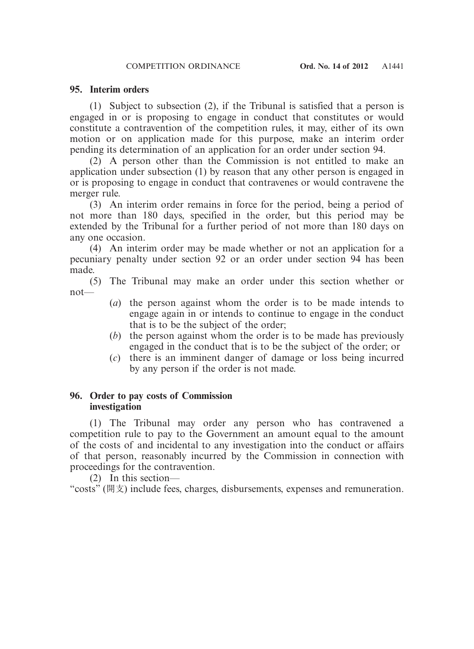### **95. Interim orders**

 (1) Subject to subsection (2), if the Tribunal is satisfied that a person is engaged in or is proposing to engage in conduct that constitutes or would constitute a contravention of the competition rules, it may, either of its own motion or on application made for this purpose, make an interim order pending its determination of an application for an order under section 94.

 (2) A person other than the Commission is not entitled to make an application under subsection (1) by reason that any other person is engaged in or is proposing to engage in conduct that contravenes or would contravene the merger rule.

 (3) An interim order remains in force for the period, being a period of not more than 180 days, specified in the order, but this period may be extended by the Tribunal for a further period of not more than 180 days on any one occasion.

 (4) An interim order may be made whether or not an application for a pecuniary penalty under section 92 or an order under section 94 has been made.

 (5) The Tribunal may make an order under this section whether or not—

- (*a*) the person against whom the order is to be made intends to engage again in or intends to continue to engage in the conduct that is to be the subject of the order;
- (*b*) the person against whom the order is to be made has previously engaged in the conduct that is to be the subject of the order; or
- (*c*) there is an imminent danger of damage or loss being incurred by any person if the order is not made.

### **96. Order to pay costs of Commission investigation**

 (1) The Tribunal may order any person who has contravened a competition rule to pay to the Government an amount equal to the amount of the costs of and incidental to any investigation into the conduct or affairs of that person, reasonably incurred by the Commission in connection with proceedings for the contravention.

 (2) In this section— "costs" (開支) include fees, charges, disbursements, expenses and remuneration.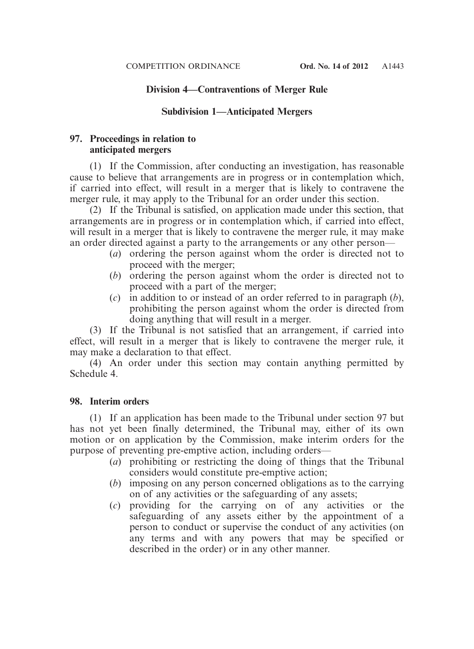### **Division 4—Contraventions of Merger Rule**

#### **Subdivision 1—Anticipated Mergers**

### **97. Proceedings in relation to anticipated mergers**

 (1) If the Commission, after conducting an investigation, has reasonable cause to believe that arrangements are in progress or in contemplation which, if carried into effect, will result in a merger that is likely to contravene the merger rule, it may apply to the Tribunal for an order under this section.

 (2) If the Tribunal is satisfied, on application made under this section, that arrangements are in progress or in contemplation which, if carried into effect, will result in a merger that is likely to contravene the merger rule, it may make an order directed against a party to the arrangements or any other person—

- (*a*) ordering the person against whom the order is directed not to proceed with the merger;
- (*b*) ordering the person against whom the order is directed not to proceed with a part of the merger;
- (*c*) in addition to or instead of an order referred to in paragraph (*b*), prohibiting the person against whom the order is directed from doing anything that will result in a merger.

 (3) If the Tribunal is not satisfied that an arrangement, if carried into effect, will result in a merger that is likely to contravene the merger rule, it may make a declaration to that effect.

 (4) An order under this section may contain anything permitted by Schedule 4.

### **98. Interim orders**

 (1) If an application has been made to the Tribunal under section 97 but has not yet been finally determined, the Tribunal may, either of its own motion or on application by the Commission, make interim orders for the purpose of preventing pre-emptive action, including orders—

- (*a*) prohibiting or restricting the doing of things that the Tribunal considers would constitute pre-emptive action;
- (*b*) imposing on any person concerned obligations as to the carrying on of any activities or the safeguarding of any assets;
- (*c*) providing for the carrying on of any activities or the safeguarding of any assets either by the appointment of a person to conduct or supervise the conduct of any activities (on any terms and with any powers that may be specified or described in the order) or in any other manner.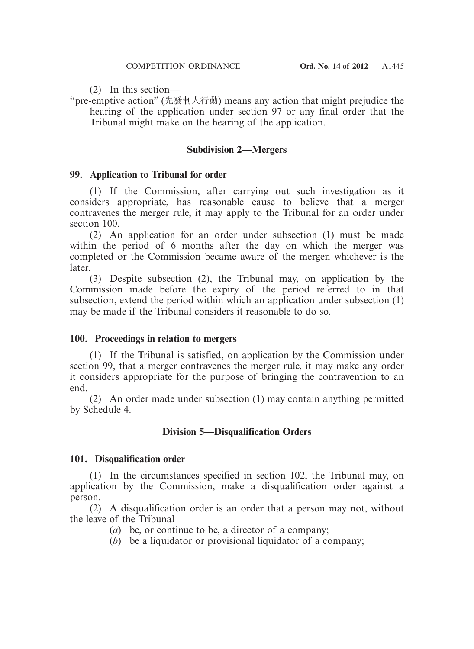(2) In this section—

"pre-emptive action" (先發制人行動) means any action that might prejudice the hearing of the application under section 97 or any final order that the Tribunal might make on the hearing of the application.

### **Subdivision 2—Mergers**

### **99. Application to Tribunal for order**

 (1) If the Commission, after carrying out such investigation as it considers appropriate, has reasonable cause to believe that a merger contravenes the merger rule, it may apply to the Tribunal for an order under section 100.

 (2) An application for an order under subsection (1) must be made within the period of 6 months after the day on which the merger was completed or the Commission became aware of the merger, whichever is the later.

 (3) Despite subsection (2), the Tribunal may, on application by the Commission made before the expiry of the period referred to in that subsection, extend the period within which an application under subsection (1) may be made if the Tribunal considers it reasonable to do so.

### **100. Proceedings in relation to mergers**

 (1) If the Tribunal is satisfied, on application by the Commission under section 99, that a merger contravenes the merger rule, it may make any order it considers appropriate for the purpose of bringing the contravention to an end.

 (2) An order made under subsection (1) may contain anything permitted by Schedule 4.

# **Division 5—Disqualification Orders**

### **101. Disqualification order**

 (1) In the circumstances specified in section 102, the Tribunal may, on application by the Commission, make a disqualification order against a person.

 (2) A disqualification order is an order that a person may not, without the leave of the Tribunal—

- (*a*) be, or continue to be, a director of a company;
- (*b*) be a liquidator or provisional liquidator of a company;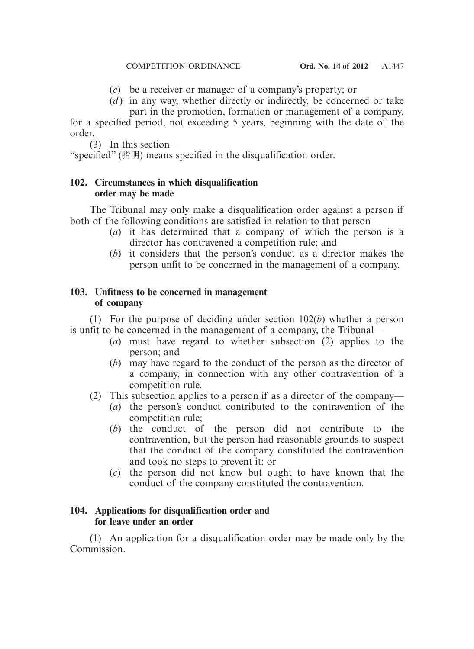- (*c*) be a receiver or manager of a company's property; or
- (*d*) in any way, whether directly or indirectly, be concerned or take part in the promotion, formation or management of a company,

for a specified period, not exceeding 5 years, beginning with the date of the order.

(3) In this section—

"specified" (指明) means specified in the disqualification order.

# **102. Circumstances in which disqualification order may be made**

 The Tribunal may only make a disqualification order against a person if both of the following conditions are satisfied in relation to that person—

- (*a*) it has determined that a company of which the person is a director has contravened a competition rule; and
- (*b*) it considers that the person's conduct as a director makes the person unfit to be concerned in the management of a company.

# **103. Unfitness to be concerned in management of company**

 (1) For the purpose of deciding under section 102(*b*) whether a person is unfit to be concerned in the management of a company, the Tribunal—

- (*a*) must have regard to whether subsection (2) applies to the person; and
- (*b*) may have regard to the conduct of the person as the director of a company, in connection with any other contravention of a competition rule.
- (2) This subsection applies to a person if as a director of the company—
	- (*a*) the person's conduct contributed to the contravention of the competition rule;
	- (*b*) the conduct of the person did not contribute to the contravention, but the person had reasonable grounds to suspect that the conduct of the company constituted the contravention and took no steps to prevent it; or
	- (*c*) the person did not know but ought to have known that the conduct of the company constituted the contravention.

# **104. Applications for disqualification order and for leave under an order**

 (1) An application for a disqualification order may be made only by the Commission.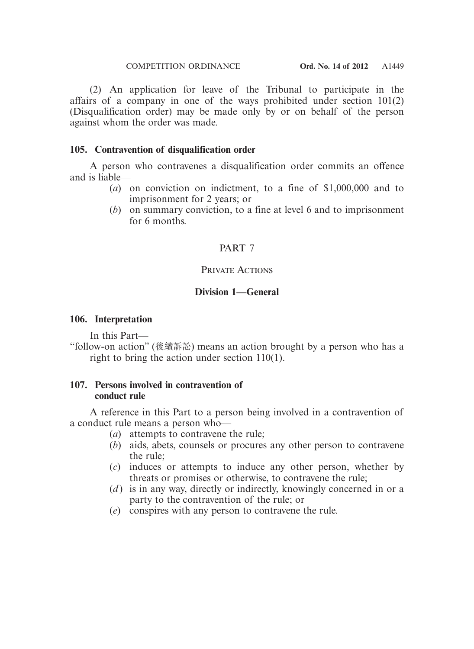(2) An application for leave of the Tribunal to participate in the affairs of a company in one of the ways prohibited under section 101(2) (Disqualification order) may be made only by or on behalf of the person against whom the order was made.

### **105. Contravention of disqualification order**

 A person who contravenes a disqualification order commits an offence and is liable—

- (*a*) on conviction on indictment, to a fine of \$1,000,000 and to imprisonment for 2 years; or
- (*b*) on summary conviction, to a fine at level 6 and to imprisonment for 6 months.

# PART 7

# PRIVATE ACTIONS

### **Division 1—General**

#### **106. Interpretation**

In this Part—

"follow-on action" (後續訴訟) means an action brought by a person who has a right to bring the action under section 110(1).

### **107. Persons involved in contravention of conduct rule**

 A reference in this Part to a person being involved in a contravention of a conduct rule means a person who—

- (*a*) attempts to contravene the rule;
- (*b*) aids, abets, counsels or procures any other person to contravene the rule;
- (*c*) induces or attempts to induce any other person, whether by threats or promises or otherwise, to contravene the rule;
- (*d*) is in any way, directly or indirectly, knowingly concerned in or a party to the contravention of the rule; or
- (*e*) conspires with any person to contravene the rule.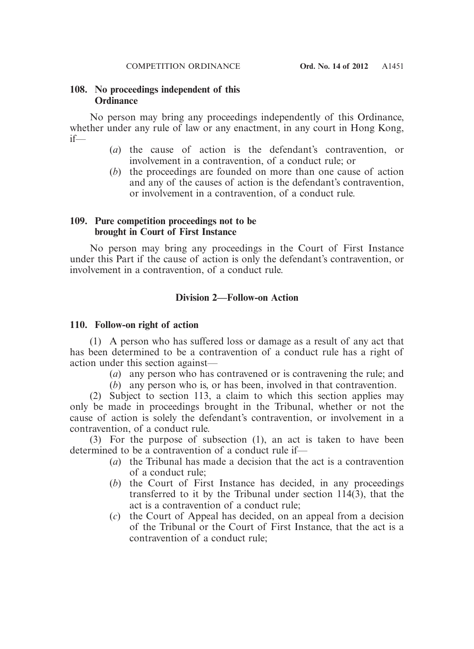#### **108. No proceedings independent of this Ordinance**

 No person may bring any proceedings independently of this Ordinance, whether under any rule of law or any enactment, in any court in Hong Kong, if—

- (*a*) the cause of action is the defendant's contravention, or involvement in a contravention, of a conduct rule; or
- (*b*) the proceedings are founded on more than one cause of action and any of the causes of action is the defendant's contravention, or involvement in a contravention, of a conduct rule.

### **109. Pure competition proceedings not to be brought in Court of First Instance**

 No person may bring any proceedings in the Court of First Instance under this Part if the cause of action is only the defendant's contravention, or involvement in a contravention, of a conduct rule.

### **Division 2—Follow-on Action**

### **110. Follow-on right of action**

 (1) A person who has suffered loss or damage as a result of any act that has been determined to be a contravention of a conduct rule has a right of action under this section against—

(*a*) any person who has contravened or is contravening the rule; and

(*b*) any person who is, or has been, involved in that contravention.

 (2) Subject to section 113, a claim to which this section applies may only be made in proceedings brought in the Tribunal, whether or not the cause of action is solely the defendant's contravention, or involvement in a contravention, of a conduct rule.

 (3) For the purpose of subsection (1), an act is taken to have been determined to be a contravention of a conduct rule if—

- (*a*) the Tribunal has made a decision that the act is a contravention of a conduct rule;
- (*b*) the Court of First Instance has decided, in any proceedings transferred to it by the Tribunal under section 114(3), that the act is a contravention of a conduct rule;
- (*c*) the Court of Appeal has decided, on an appeal from a decision of the Tribunal or the Court of First Instance, that the act is a contravention of a conduct rule;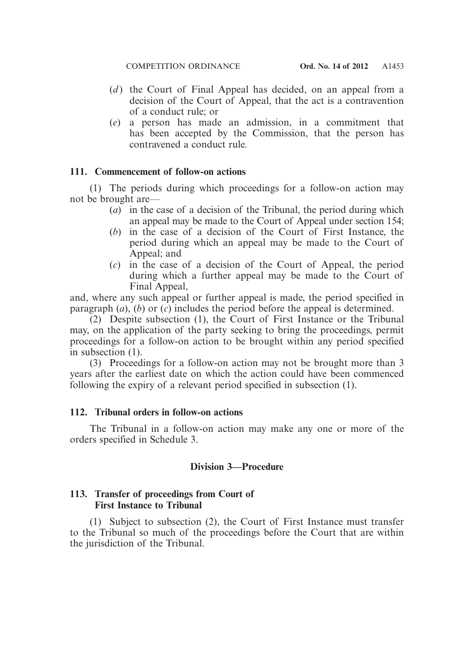- (*d*) the Court of Final Appeal has decided, on an appeal from a decision of the Court of Appeal, that the act is a contravention of a conduct rule; or
- (*e*) a person has made an admission, in a commitment that has been accepted by the Commission, that the person has contravened a conduct rule.

### **111. Commencement of follow-on actions**

 (1) The periods during which proceedings for a follow-on action may not be brought are—

- (*a*) in the case of a decision of the Tribunal, the period during which an appeal may be made to the Court of Appeal under section 154;
- (*b*) in the case of a decision of the Court of First Instance, the period during which an appeal may be made to the Court of Appeal; and
- (*c*) in the case of a decision of the Court of Appeal, the period during which a further appeal may be made to the Court of Final Appeal,

and, where any such appeal or further appeal is made, the period specified in paragraph (*a*), (*b*) or (*c*) includes the period before the appeal is determined.

 (2) Despite subsection (1), the Court of First Instance or the Tribunal may, on the application of the party seeking to bring the proceedings, permit proceedings for a follow-on action to be brought within any period specified in subsection (1).

 (3) Proceedings for a follow-on action may not be brought more than 3 years after the earliest date on which the action could have been commenced following the expiry of a relevant period specified in subsection (1).

### **112. Tribunal orders in follow-on actions**

 The Tribunal in a follow-on action may make any one or more of the orders specified in Schedule 3.

### **Division 3—Procedure**

### **113. Transfer of proceedings from Court of First Instance to Tribunal**

 (1) Subject to subsection (2), the Court of First Instance must transfer to the Tribunal so much of the proceedings before the Court that are within the jurisdiction of the Tribunal.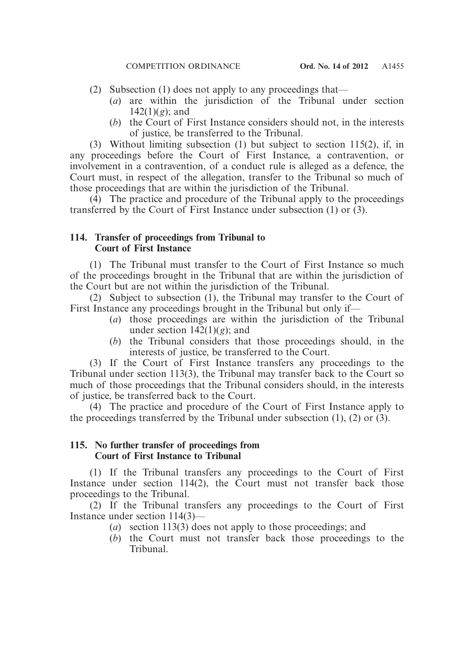- (2) Subsection (1) does not apply to any proceedings that—
	- (*a*) are within the jurisdiction of the Tribunal under section  $142(1)(g)$ ; and
	- (*b*) the Court of First Instance considers should not, in the interests of justice, be transferred to the Tribunal.

 (3) Without limiting subsection (1) but subject to section 115(2), if, in any proceedings before the Court of First Instance, a contravention, or involvement in a contravention, of a conduct rule is alleged as a defence, the Court must, in respect of the allegation, transfer to the Tribunal so much of those proceedings that are within the jurisdiction of the Tribunal.

 (4) The practice and procedure of the Tribunal apply to the proceedings transferred by the Court of First Instance under subsection (1) or (3).

### **114. Transfer of proceedings from Tribunal to Court of First Instance**

 (1) The Tribunal must transfer to the Court of First Instance so much of the proceedings brought in the Tribunal that are within the jurisdiction of the Court but are not within the jurisdiction of the Tribunal.

 (2) Subject to subsection (1), the Tribunal may transfer to the Court of First Instance any proceedings brought in the Tribunal but only if—

- (*a*) those proceedings are within the jurisdiction of the Tribunal under section  $142(1)(g)$ ; and
- (*b*) the Tribunal considers that those proceedings should, in the interests of justice, be transferred to the Court.

 (3) If the Court of First Instance transfers any proceedings to the Tribunal under section 113(3), the Tribunal may transfer back to the Court so much of those proceedings that the Tribunal considers should, in the interests of justice, be transferred back to the Court.

 (4) The practice and procedure of the Court of First Instance apply to the proceedings transferred by the Tribunal under subsection (1), (2) or (3).

### **115. No further transfer of proceedings from Court of First Instance to Tribunal**

 (1) If the Tribunal transfers any proceedings to the Court of First Instance under section 114(2), the Court must not transfer back those proceedings to the Tribunal.

 (2) If the Tribunal transfers any proceedings to the Court of First Instance under section 114(3)—

- (*a*) section 113(3) does not apply to those proceedings; and
- (*b*) the Court must not transfer back those proceedings to the Tribunal.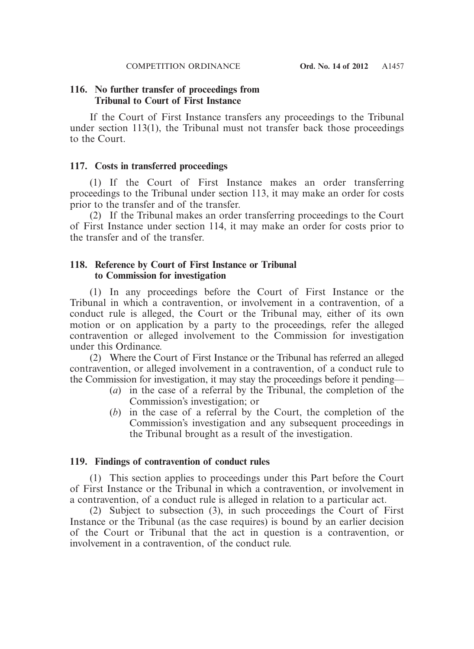#### **116. No further transfer of proceedings from Tribunal to Court of First Instance**

 If the Court of First Instance transfers any proceedings to the Tribunal under section  $113(1)$ , the Tribunal must not transfer back those proceedings to the Court.

#### **117. Costs in transferred proceedings**

 (1) If the Court of First Instance makes an order transferring proceedings to the Tribunal under section 113, it may make an order for costs prior to the transfer and of the transfer.

 (2) If the Tribunal makes an order transferring proceedings to the Court of First Instance under section 114, it may make an order for costs prior to the transfer and of the transfer.

### **118. Reference by Court of First Instance or Tribunal to Commission for investigation**

 (1) In any proceedings before the Court of First Instance or the Tribunal in which a contravention, or involvement in a contravention, of a conduct rule is alleged, the Court or the Tribunal may, either of its own motion or on application by a party to the proceedings, refer the alleged contravention or alleged involvement to the Commission for investigation under this Ordinance.

 (2) Where the Court of First Instance or the Tribunal has referred an alleged contravention, or alleged involvement in a contravention, of a conduct rule to the Commission for investigation, it may stay the proceedings before it pending—

- (*a*) in the case of a referral by the Tribunal, the completion of the Commission's investigation; or
- (*b*) in the case of a referral by the Court, the completion of the Commission's investigation and any subsequent proceedings in the Tribunal brought as a result of the investigation.

#### **119. Findings of contravention of conduct rules**

 (1) This section applies to proceedings under this Part before the Court of First Instance or the Tribunal in which a contravention, or involvement in a contravention, of a conduct rule is alleged in relation to a particular act.

 (2) Subject to subsection (3), in such proceedings the Court of First Instance or the Tribunal (as the case requires) is bound by an earlier decision of the Court or Tribunal that the act in question is a contravention, or involvement in a contravention, of the conduct rule.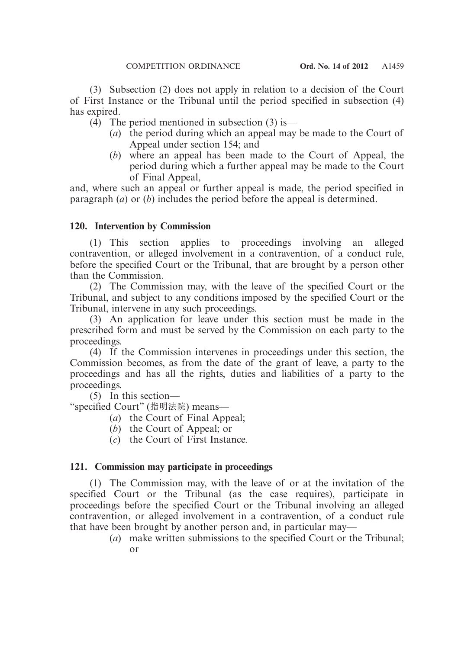(3) Subsection (2) does not apply in relation to a decision of the Court of First Instance or the Tribunal until the period specified in subsection (4) has expired.

(4) The period mentioned in subsection (3) is—

- (*a*) the period during which an appeal may be made to the Court of Appeal under section 154; and
- (*b*) where an appeal has been made to the Court of Appeal, the period during which a further appeal may be made to the Court of Final Appeal,

and, where such an appeal or further appeal is made, the period specified in paragraph (*a*) or (*b*) includes the period before the appeal is determined.

# **120. Intervention by Commission**

 (1) This section applies to proceedings involving an alleged contravention, or alleged involvement in a contravention, of a conduct rule, before the specified Court or the Tribunal, that are brought by a person other than the Commission.

 (2) The Commission may, with the leave of the specified Court or the Tribunal, and subject to any conditions imposed by the specified Court or the Tribunal, intervene in any such proceedings.

 (3) An application for leave under this section must be made in the prescribed form and must be served by the Commission on each party to the proceedings.

 (4) If the Commission intervenes in proceedings under this section, the Commission becomes, as from the date of the grant of leave, a party to the proceedings and has all the rights, duties and liabilities of a party to the proceedings.

(5) In this section—

"specified Court" (指明法院) means—

- (*a*) the Court of Final Appeal;
- (*b*) the Court of Appeal; or
- (*c*) the Court of First Instance.

# **121. Commission may participate in proceedings**

 (1) The Commission may, with the leave of or at the invitation of the specified Court or the Tribunal (as the case requires), participate in proceedings before the specified Court or the Tribunal involving an alleged contravention, or alleged involvement in a contravention, of a conduct rule that have been brought by another person and, in particular may—

(*a*) make written submissions to the specified Court or the Tribunal; or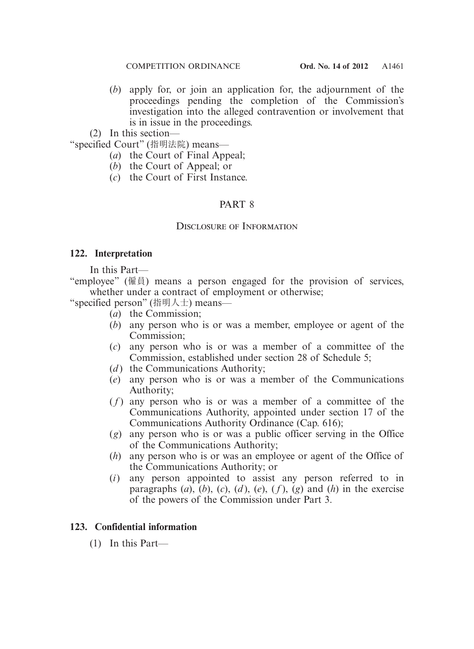(*b*) apply for, or join an application for, the adjournment of the proceedings pending the completion of the Commission's investigation into the alleged contravention or involvement that is in issue in the proceedings.

(2) In this section—

"specified Court" (指明法院) means—

- (*a*) the Court of Final Appeal;
- (*b*) the Court of Appeal; or
- (*c*) the Court of First Instance.

# PART 8

#### DISCLOSURE OF INFORMATION

### **122. Interpretation**

In this Part—

"employee" (僱員) means a person engaged for the provision of services, whether under a contract of employment or otherwise;

"specified person" (指明人士) means—

- (*a*) the Commission;
- (*b*) any person who is or was a member, employee or agent of the Commission;
- (*c*) any person who is or was a member of a committee of the Commission, established under section 28 of Schedule 5;
- (*d*) the Communications Authority;
- (*e*) any person who is or was a member of the Communications Authority;
- $(f)$  any person who is or was a member of a committee of the Communications Authority, appointed under section 17 of the Communications Authority Ordinance (Cap. 616);
- (*g*) any person who is or was a public officer serving in the Office of the Communications Authority;
- (*h*) any person who is or was an employee or agent of the Office of the Communications Authority; or
- (*i*) any person appointed to assist any person referred to in paragraphs (*a*), (*b*), (*c*), (*d*), (*e*), (*f*), (*g*) and (*h*) in the exercise of the powers of the Commission under Part 3.

# **123. Confidential information**

(1) In this Part—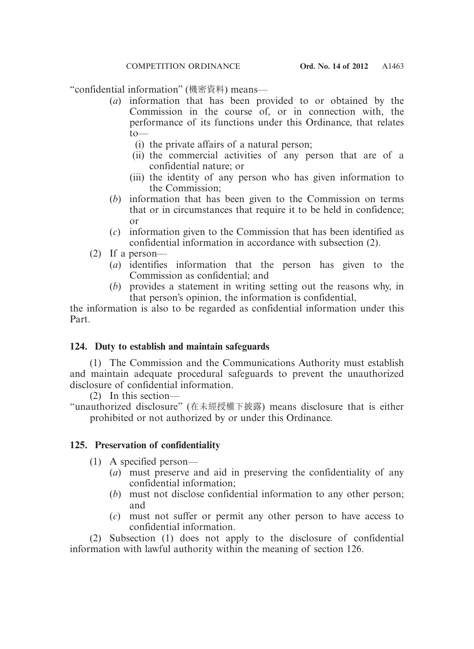"confidential information" (機密資料) means—

- (*a*) information that has been provided to or obtained by the Commission in the course of, or in connection with, the performance of its functions under this Ordinance, that relates  $to$ 
	- (i) the private affairs of a natural person;
	- (ii) the commercial activities of any person that are of a confidential nature; or
	- (iii) the identity of any person who has given information to the Commission;
- (*b*) information that has been given to the Commission on terms that or in circumstances that require it to be held in confidence; or
- (*c*) information given to the Commission that has been identified as confidential information in accordance with subsection (2).
- (2) If a person—
	- (*a*) identifies information that the person has given to the Commission as confidential; and
	- (*b*) provides a statement in writing setting out the reasons why, in that person's opinion, the information is confidential,

the information is also to be regarded as confidential information under this Part.

# **124. Duty to establish and maintain safeguards**

 (1) The Commission and the Communications Authority must establish and maintain adequate procedural safeguards to prevent the unauthorized disclosure of confidential information.

(2) In this section—

"unauthorized disclosure" (在未經授權下披露) means disclosure that is either prohibited or not authorized by or under this Ordinance.

# **125. Preservation of confidentiality**

- (1) A specified person—
	- (*a*) must preserve and aid in preserving the confidentiality of any confidential information;
	- (*b*) must not disclose confidential information to any other person; and
	- (*c*) must not suffer or permit any other person to have access to confidential information.

 (2) Subsection (1) does not apply to the disclosure of confidential information with lawful authority within the meaning of section 126.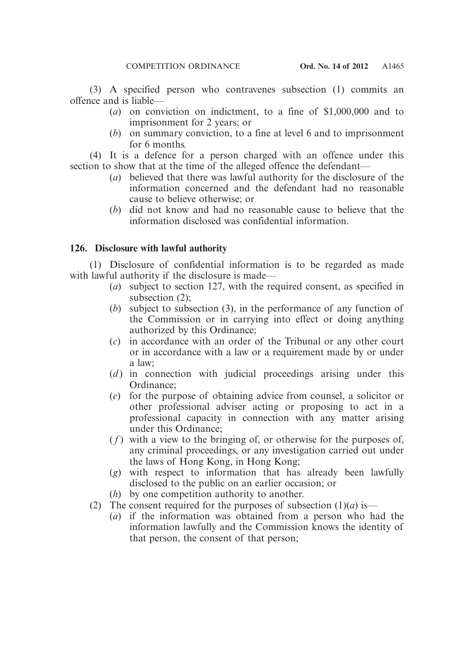(3) A specified person who contravenes subsection (1) commits an offence and is liable—

- (*a*) on conviction on indictment, to a fine of \$1,000,000 and to imprisonment for 2 years; or
- (*b*) on summary conviction, to a fine at level 6 and to imprisonment for 6 months.

 (4) It is a defence for a person charged with an offence under this section to show that at the time of the alleged offence the defendant—

- (*a*) believed that there was lawful authority for the disclosure of the information concerned and the defendant had no reasonable cause to believe otherwise; or
- (*b*) did not know and had no reasonable cause to believe that the information disclosed was confidential information.

### **126. Disclosure with lawful authority**

 (1) Disclosure of confidential information is to be regarded as made with lawful authority if the disclosure is made—

- (*a*) subject to section 127, with the required consent, as specified in subsection (2);
- (*b*) subject to subsection (3), in the performance of any function of the Commission or in carrying into effect or doing anything authorized by this Ordinance;
- (*c*) in accordance with an order of the Tribunal or any other court or in accordance with a law or a requirement made by or under a law;
- (*d*) in connection with judicial proceedings arising under this Ordinance;
- (*e*) for the purpose of obtaining advice from counsel, a solicitor or other professional adviser acting or proposing to act in a professional capacity in connection with any matter arising under this Ordinance;
- $(f)$  with a view to the bringing of, or otherwise for the purposes of, any criminal proceedings, or any investigation carried out under the laws of Hong Kong, in Hong Kong;
- (*g*) with respect to information that has already been lawfully disclosed to the public on an earlier occasion; or
- (*h*) by one competition authority to another.
- (2) The consent required for the purposes of subsection  $(1)(a)$  is—
	- (*a*) if the information was obtained from a person who had the information lawfully and the Commission knows the identity of that person, the consent of that person;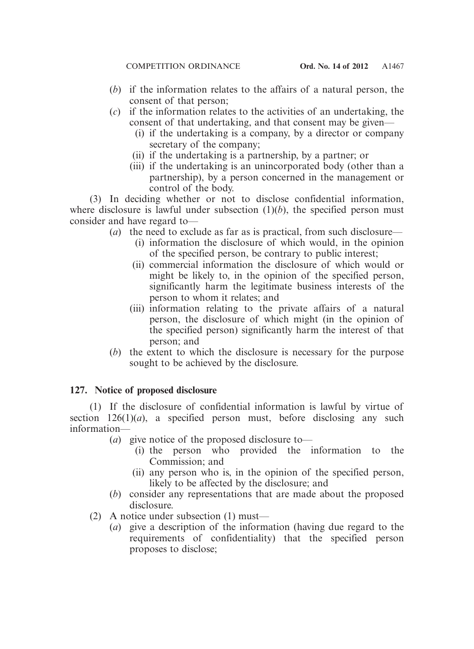- (*b*) if the information relates to the affairs of a natural person, the consent of that person;
- (*c*) if the information relates to the activities of an undertaking, the consent of that undertaking, and that consent may be given—
	- (i) if the undertaking is a company, by a director or company secretary of the company;
	- (ii) if the undertaking is a partnership, by a partner; or
	- (iii) if the undertaking is an unincorporated body (other than a partnership), by a person concerned in the management or control of the body.

 (3) In deciding whether or not to disclose confidential information, where disclosure is lawful under subsection  $(1)(b)$ , the specified person must consider and have regard to—

- (*a*) the need to exclude as far as is practical, from such disclosure—
	- (i) information the disclosure of which would, in the opinion of the specified person, be contrary to public interest;
	- (ii) commercial information the disclosure of which would or might be likely to, in the opinion of the specified person, significantly harm the legitimate business interests of the person to whom it relates; and
	- (iii) information relating to the private affairs of a natural person, the disclosure of which might (in the opinion of the specified person) significantly harm the interest of that person; and
- (*b*) the extent to which the disclosure is necessary for the purpose sought to be achieved by the disclosure.

## **127. Notice of proposed disclosure**

 (1) If the disclosure of confidential information is lawful by virtue of section  $126(1)(a)$ , a specified person must, before disclosing any such information—

- (*a*) give notice of the proposed disclosure to—
	- (i) the person who provided the information to the Commission; and
	- (ii) any person who is, in the opinion of the specified person, likely to be affected by the disclosure; and
- (*b*) consider any representations that are made about the proposed disclosure.
- (2) A notice under subsection (1) must—
	- (*a*) give a description of the information (having due regard to the requirements of confidentiality) that the specified person proposes to disclose;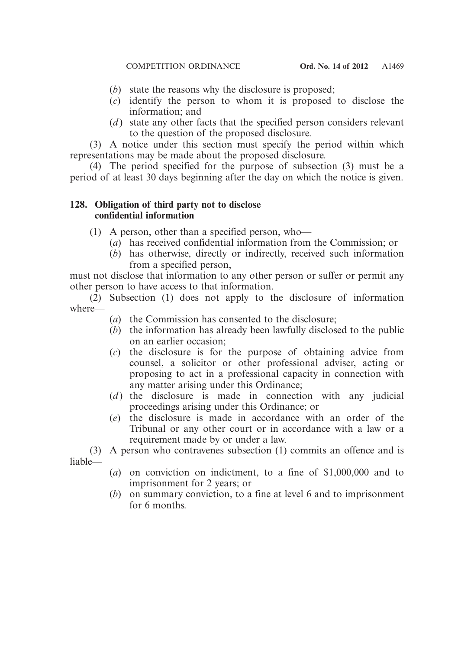- (*b*) state the reasons why the disclosure is proposed;
- (*c*) identify the person to whom it is proposed to disclose the information; and
- (*d*) state any other facts that the specified person considers relevant to the question of the proposed disclosure.

 (3) A notice under this section must specify the period within which representations may be made about the proposed disclosure.

 (4) The period specified for the purpose of subsection (3) must be a period of at least 30 days beginning after the day on which the notice is given.

## **128. Obligation of third party not to disclose confidential information**

- (1) A person, other than a specified person, who—
	- (*a*) has received confidential information from the Commission; or
	- (*b*) has otherwise, directly or indirectly, received such information from a specified person,

must not disclose that information to any other person or suffer or permit any other person to have access to that information.

 (2) Subsection (1) does not apply to the disclosure of information where—

- (*a*) the Commission has consented to the disclosure;
- (*b*) the information has already been lawfully disclosed to the public on an earlier occasion;
- (*c*) the disclosure is for the purpose of obtaining advice from counsel, a solicitor or other professional adviser, acting or proposing to act in a professional capacity in connection with any matter arising under this Ordinance;
- (*d*) the disclosure is made in connection with any judicial proceedings arising under this Ordinance; or
- (*e*) the disclosure is made in accordance with an order of the Tribunal or any other court or in accordance with a law or a requirement made by or under a law.
- (3) A person who contravenes subsection (1) commits an offence and is liable—
	- (*a*) on conviction on indictment, to a fine of \$1,000,000 and to imprisonment for 2 years; or
	- (*b*) on summary conviction, to a fine at level 6 and to imprisonment for 6 months.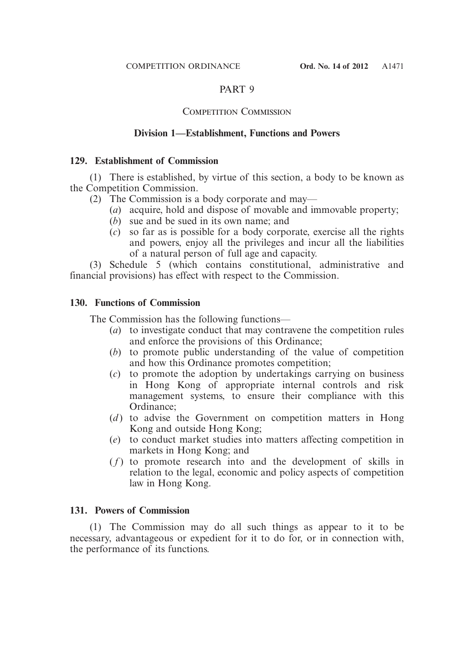## PART 9

## COMPETITION COMMISSION

## **Division 1—Establishment, Functions and Powers**

#### **129. Establishment of Commission**

 (1) There is established, by virtue of this section, a body to be known as the Competition Commission.

- (2) The Commission is a body corporate and may—
	- (*a*) acquire, hold and dispose of movable and immovable property;
	- (*b*) sue and be sued in its own name; and
	- (*c*) so far as is possible for a body corporate, exercise all the rights and powers, enjoy all the privileges and incur all the liabilities of a natural person of full age and capacity.

 (3) Schedule 5 (which contains constitutional, administrative and financial provisions) has effect with respect to the Commission.

## **130. Functions of Commission**

The Commission has the following functions—

- (*a*) to investigate conduct that may contravene the competition rules and enforce the provisions of this Ordinance;
- (*b*) to promote public understanding of the value of competition and how this Ordinance promotes competition;
- (*c*) to promote the adoption by undertakings carrying on business in Hong Kong of appropriate internal controls and risk management systems, to ensure their compliance with this Ordinance;
- (*d*) to advise the Government on competition matters in Hong Kong and outside Hong Kong;
- (*e*) to conduct market studies into matters affecting competition in markets in Hong Kong; and
- $(f)$  to promote research into and the development of skills in relation to the legal, economic and policy aspects of competition law in Hong Kong.

#### **131. Powers of Commission**

 (1) The Commission may do all such things as appear to it to be necessary, advantageous or expedient for it to do for, or in connection with, the performance of its functions.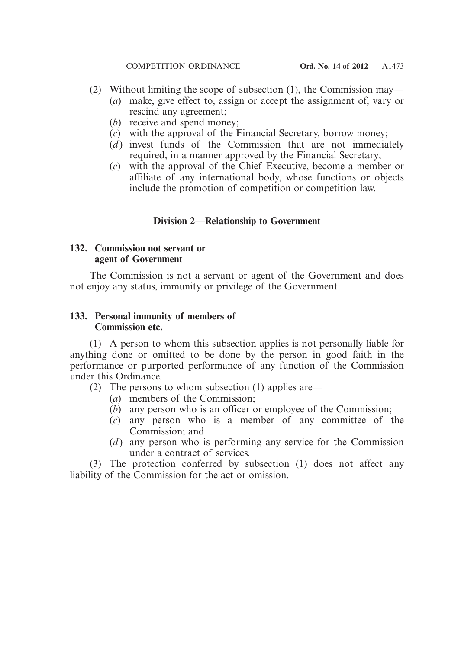- (2) Without limiting the scope of subsection (1), the Commission may—
	- (*a*) make, give effect to, assign or accept the assignment of, vary or rescind any agreement;
	- (*b*) receive and spend money;
	- (*c*) with the approval of the Financial Secretary, borrow money;
	- $(d)$  invest funds of the Commission that are not immediately required, in a manner approved by the Financial Secretary;
	- (*e*) with the approval of the Chief Executive, become a member or affiliate of any international body, whose functions or objects include the promotion of competition or competition law.

#### **Division 2—Relationship to Government**

#### **132. Commission not servant or agent of Government**

 The Commission is not a servant or agent of the Government and does not enjoy any status, immunity or privilege of the Government.

### **133. Personal immunity of members of Commission etc.**

 (1) A person to whom this subsection applies is not personally liable for anything done or omitted to be done by the person in good faith in the performance or purported performance of any function of the Commission under this Ordinance.

- (2) The persons to whom subsection (1) applies are—
	- (*a*) members of the Commission;
	- (*b*) any person who is an officer or employee of the Commission;
	- (*c*) any person who is a member of any committee of the Commission; and
	- (*d*) any person who is performing any service for the Commission under a contract of services.

 (3) The protection conferred by subsection (1) does not affect any liability of the Commission for the act or omission.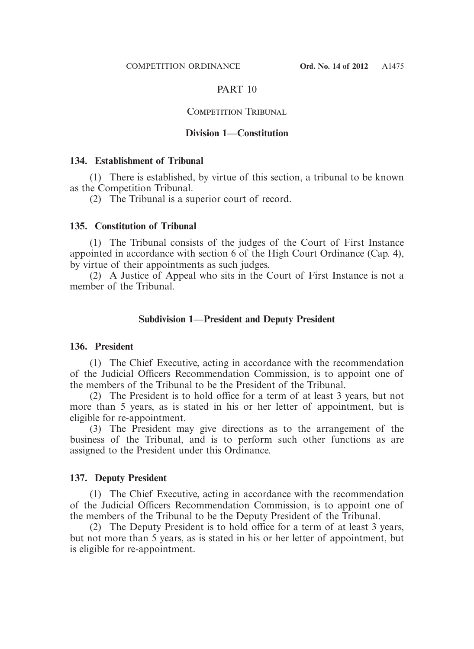#### PART 10

#### COMPETITION TRIBUNAL

#### **Division 1—Constitution**

#### **134. Establishment of Tribunal**

 (1) There is established, by virtue of this section, a tribunal to be known as the Competition Tribunal.

(2) The Tribunal is a superior court of record.

#### **135. Constitution of Tribunal**

 (1) The Tribunal consists of the judges of the Court of First Instance appointed in accordance with section 6 of the High Court Ordinance (Cap. 4), by virtue of their appointments as such judges.

 (2) A Justice of Appeal who sits in the Court of First Instance is not a member of the Tribunal.

#### **Subdivision 1—President and Deputy President**

#### **136. President**

 (1) The Chief Executive, acting in accordance with the recommendation of the Judicial Officers Recommendation Commission, is to appoint one of the members of the Tribunal to be the President of the Tribunal.

 (2) The President is to hold office for a term of at least 3 years, but not more than 5 years, as is stated in his or her letter of appointment, but is eligible for re-appointment.

 (3) The President may give directions as to the arrangement of the business of the Tribunal, and is to perform such other functions as are assigned to the President under this Ordinance.

#### **137. Deputy President**

 (1) The Chief Executive, acting in accordance with the recommendation of the Judicial Officers Recommendation Commission, is to appoint one of the members of the Tribunal to be the Deputy President of the Tribunal.

 (2) The Deputy President is to hold office for a term of at least 3 years, but not more than 5 years, as is stated in his or her letter of appointment, but is eligible for re-appointment.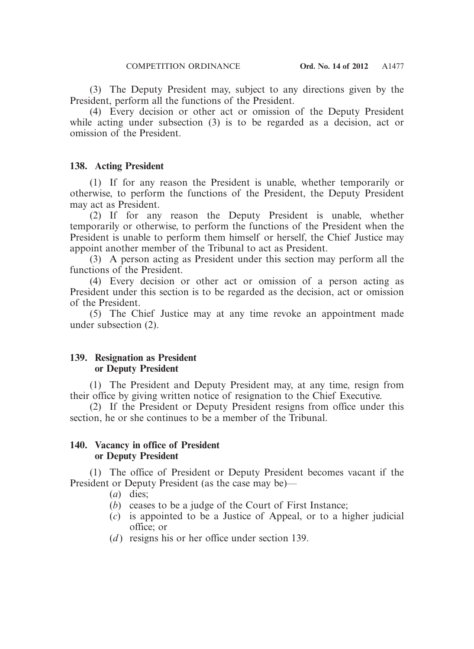(3) The Deputy President may, subject to any directions given by the President, perform all the functions of the President.

 (4) Every decision or other act or omission of the Deputy President while acting under subsection (3) is to be regarded as a decision, act or omission of the President.

## **138. Acting President**

 (1) If for any reason the President is unable, whether temporarily or otherwise, to perform the functions of the President, the Deputy President may act as President.

 (2) If for any reason the Deputy President is unable, whether temporarily or otherwise, to perform the functions of the President when the President is unable to perform them himself or herself, the Chief Justice may appoint another member of the Tribunal to act as President.

 (3) A person acting as President under this section may perform all the functions of the President.

 (4) Every decision or other act or omission of a person acting as President under this section is to be regarded as the decision, act or omission of the President.

 (5) The Chief Justice may at any time revoke an appointment made under subsection (2).

#### **139. Resignation as President or Deputy President**

 (1) The President and Deputy President may, at any time, resign from their office by giving written notice of resignation to the Chief Executive.

 (2) If the President or Deputy President resigns from office under this section, he or she continues to be a member of the Tribunal.

## **140. Vacancy in office of President or Deputy President**

 (1) The office of President or Deputy President becomes vacant if the President or Deputy President (as the case may be)—

- (*a*) dies;
- (*b*) ceases to be a judge of the Court of First Instance;
- (*c*) is appointed to be a Justice of Appeal, or to a higher judicial office; or
- (*d*) resigns his or her office under section 139.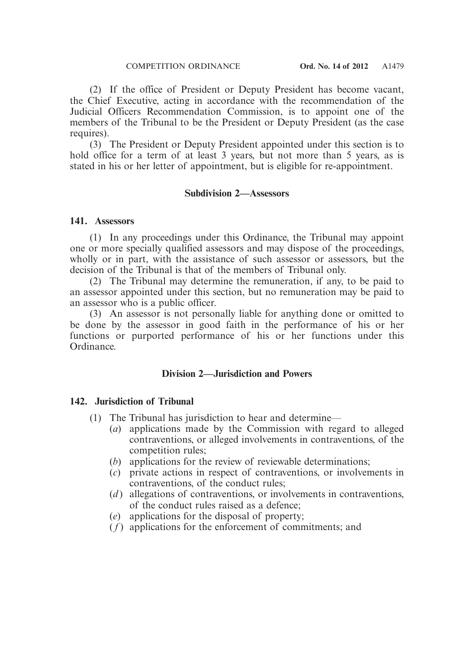(2) If the office of President or Deputy President has become vacant, the Chief Executive, acting in accordance with the recommendation of the Judicial Officers Recommendation Commission, is to appoint one of the members of the Tribunal to be the President or Deputy President (as the case requires).

 (3) The President or Deputy President appointed under this section is to hold office for a term of at least 3 years, but not more than 5 years, as is stated in his or her letter of appointment, but is eligible for re-appointment.

#### **Subdivision 2—Assessors**

#### **141. Assessors**

 (1) In any proceedings under this Ordinance, the Tribunal may appoint one or more specially qualified assessors and may dispose of the proceedings, wholly or in part, with the assistance of such assessor or assessors, but the decision of the Tribunal is that of the members of Tribunal only.

 (2) The Tribunal may determine the remuneration, if any, to be paid to an assessor appointed under this section, but no remuneration may be paid to an assessor who is a public officer.

 (3) An assessor is not personally liable for anything done or omitted to be done by the assessor in good faith in the performance of his or her functions or purported performance of his or her functions under this Ordinance.

#### **Division 2—Jurisdiction and Powers**

#### **142. Jurisdiction of Tribunal**

- (1) The Tribunal has jurisdiction to hear and determine—
	- (*a*) applications made by the Commission with regard to alleged contraventions, or alleged involvements in contraventions, of the competition rules;
	- (*b*) applications for the review of reviewable determinations;
	- (*c*) private actions in respect of contraventions, or involvements in contraventions, of the conduct rules;
	- (*d*) allegations of contraventions, or involvements in contraventions, of the conduct rules raised as a defence;
	- (*e*) applications for the disposal of property;
	- ( *f* ) applications for the enforcement of commitments; and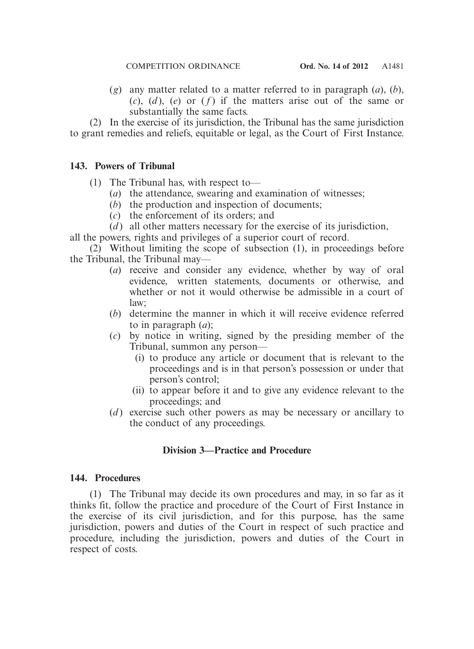(*g*) any matter related to a matter referred to in paragraph (*a*), (*b*),  $(c)$ ,  $(d)$ ,  $(e)$  or  $(f)$  if the matters arise out of the same or substantially the same facts.

 (2) In the exercise of its jurisdiction, the Tribunal has the same jurisdiction to grant remedies and reliefs, equitable or legal, as the Court of First Instance.

## **143. Powers of Tribunal**

- (1) The Tribunal has, with respect to—
	- (*a*) the attendance, swearing and examination of witnesses;
	- (*b*) the production and inspection of documents;
	- (*c*) the enforcement of its orders; and
	- (*d*) all other matters necessary for the exercise of its jurisdiction.

all the powers, rights and privileges of a superior court of record.

 (2) Without limiting the scope of subsection (1), in proceedings before the Tribunal, the Tribunal may—

- (*a*) receive and consider any evidence, whether by way of oral evidence, written statements, documents or otherwise, and whether or not it would otherwise be admissible in a court of  $law<sup>2</sup>$
- (*b*) determine the manner in which it will receive evidence referred to in paragraph (*a*);
- (*c*) by notice in writing, signed by the presiding member of the Tribunal, summon any person—
	- (i) to produce any article or document that is relevant to the proceedings and is in that person's possession or under that person's control;
	- (ii) to appear before it and to give any evidence relevant to the proceedings; and
- (*d*) exercise such other powers as may be necessary or ancillary to the conduct of any proceedings.

## **Division 3—Practice and Procedure**

#### **144. Procedures**

 (1) The Tribunal may decide its own procedures and may, in so far as it thinks fit, follow the practice and procedure of the Court of First Instance in the exercise of its civil jurisdiction, and for this purpose, has the same jurisdiction, powers and duties of the Court in respect of such practice and procedure, including the jurisdiction, powers and duties of the Court in respect of costs.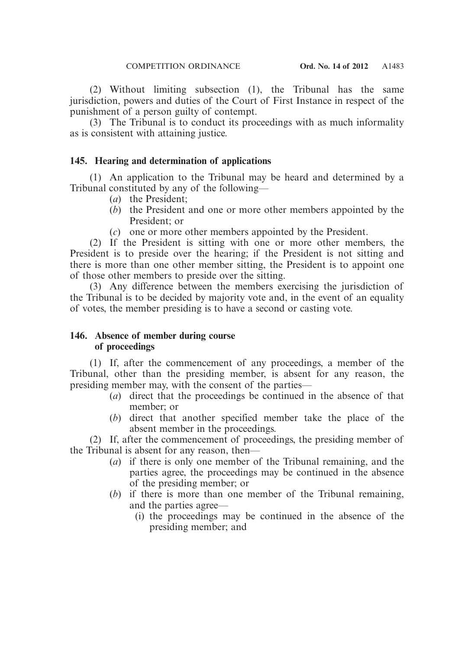(2) Without limiting subsection (1), the Tribunal has the same jurisdiction, powers and duties of the Court of First Instance in respect of the punishment of a person guilty of contempt.

 (3) The Tribunal is to conduct its proceedings with as much informality as is consistent with attaining justice.

#### **145. Hearing and determination of applications**

 (1) An application to the Tribunal may be heard and determined by a Tribunal constituted by any of the following—

- (*a*) the President;
- (*b*) the President and one or more other members appointed by the President; or
- (*c*) one or more other members appointed by the President.

 (2) If the President is sitting with one or more other members, the President is to preside over the hearing; if the President is not sitting and there is more than one other member sitting, the President is to appoint one of those other members to preside over the sitting.

 (3) Any difference between the members exercising the jurisdiction of the Tribunal is to be decided by majority vote and, in the event of an equality of votes, the member presiding is to have a second or casting vote.

#### **146. Absence of member during course of proceedings**

 (1) If, after the commencement of any proceedings, a member of the Tribunal, other than the presiding member, is absent for any reason, the presiding member may, with the consent of the parties—

- (*a*) direct that the proceedings be continued in the absence of that member; or
- (*b*) direct that another specified member take the place of the absent member in the proceedings.

 (2) If, after the commencement of proceedings, the presiding member of the Tribunal is absent for any reason, then—

- (*a*) if there is only one member of the Tribunal remaining, and the parties agree, the proceedings may be continued in the absence of the presiding member; or
- (*b*) if there is more than one member of the Tribunal remaining, and the parties agree—
	- (i) the proceedings may be continued in the absence of the presiding member; and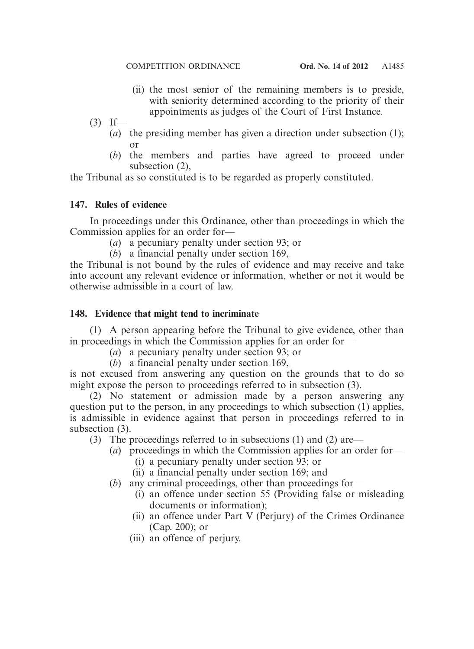- (ii) the most senior of the remaining members is to preside, with seniority determined according to the priority of their appointments as judges of the Court of First Instance.
- $(3)$  If—
	- (*a*) the presiding member has given a direction under subsection (1); or
	- (*b*) the members and parties have agreed to proceed under subsection (2),

the Tribunal as so constituted is to be regarded as properly constituted.

## **147. Rules of evidence**

 In proceedings under this Ordinance, other than proceedings in which the Commission applies for an order for—

- (*a*) a pecuniary penalty under section 93; or
- (*b*) a financial penalty under section 169,

the Tribunal is not bound by the rules of evidence and may receive and take into account any relevant evidence or information, whether or not it would be otherwise admissible in a court of law.

## **148. Evidence that might tend to incriminate**

 (1) A person appearing before the Tribunal to give evidence, other than in proceedings in which the Commission applies for an order for—

- (*a*) a pecuniary penalty under section 93; or
- (*b*) a financial penalty under section 169,

is not excused from answering any question on the grounds that to do so might expose the person to proceedings referred to in subsection (3).

 (2) No statement or admission made by a person answering any question put to the person, in any proceedings to which subsection (1) applies, is admissible in evidence against that person in proceedings referred to in subsection (3).

- (3) The proceedings referred to in subsections (1) and (2) are—
	- (*a*) proceedings in which the Commission applies for an order for—
		- (i) a pecuniary penalty under section 93; or
		- (ii) a financial penalty under section 169; and
	- (*b*) any criminal proceedings, other than proceedings for—
		- (i) an offence under section 55 (Providing false or misleading documents or information);
		- (ii) an offence under Part V (Perjury) of the Crimes Ordinance (Cap. 200); or
		- (iii) an offence of perjury.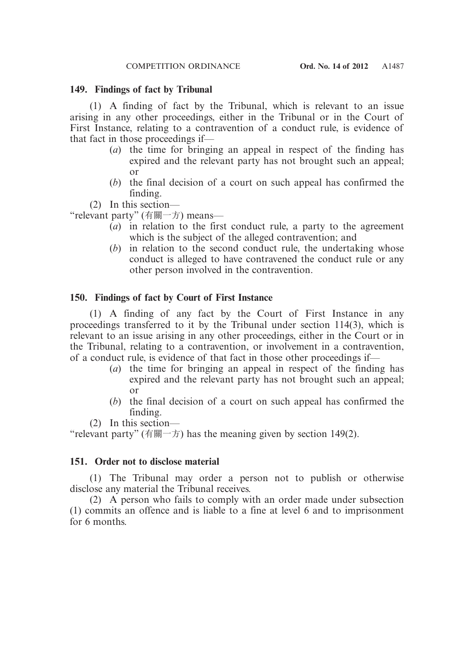## **149. Findings of fact by Tribunal**

 (1) A finding of fact by the Tribunal, which is relevant to an issue arising in any other proceedings, either in the Tribunal or in the Court of First Instance, relating to a contravention of a conduct rule, is evidence of that fact in those proceedings if—

- (*a*) the time for bringing an appeal in respect of the finding has expired and the relevant party has not brought such an appeal; or
- (*b*) the final decision of a court on such appeal has confirmed the finding.
- (2) In this section—

"relevant party" (有關一方) means—

- (*a*) in relation to the first conduct rule, a party to the agreement which is the subject of the alleged contravention; and
- (*b*) in relation to the second conduct rule, the undertaking whose conduct is alleged to have contravened the conduct rule or any other person involved in the contravention.

## **150. Findings of fact by Court of First Instance**

 (1) A finding of any fact by the Court of First Instance in any proceedings transferred to it by the Tribunal under section 114(3), which is relevant to an issue arising in any other proceedings, either in the Court or in the Tribunal, relating to a contravention, or involvement in a contravention, of a conduct rule, is evidence of that fact in those other proceedings if—

- (*a*) the time for bringing an appeal in respect of the finding has expired and the relevant party has not brought such an appeal; or
- (*b*) the final decision of a court on such appeal has confirmed the finding.

(2) In this section—

"relevant party" (有關一方) has the meaning given by section 149(2).

## **151. Order not to disclose material**

 (1) The Tribunal may order a person not to publish or otherwise disclose any material the Tribunal receives.

 (2) A person who fails to comply with an order made under subsection (1) commits an offence and is liable to a fine at level 6 and to imprisonment for 6 months.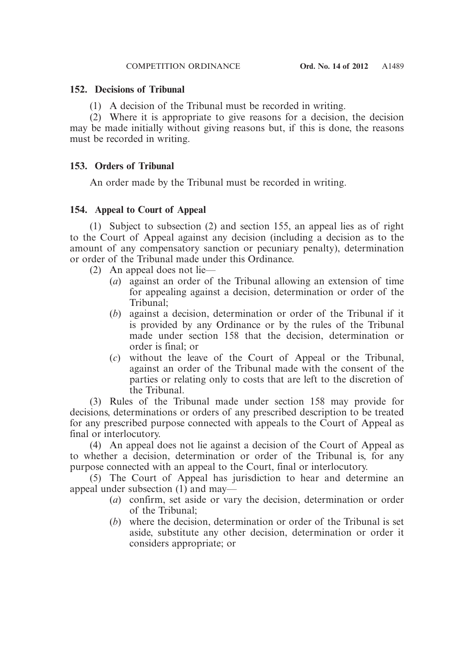## **152. Decisions of Tribunal**

(1) A decision of the Tribunal must be recorded in writing.

 (2) Where it is appropriate to give reasons for a decision, the decision may be made initially without giving reasons but, if this is done, the reasons must be recorded in writing.

## **153. Orders of Tribunal**

An order made by the Tribunal must be recorded in writing.

## **154. Appeal to Court of Appeal**

 (1) Subject to subsection (2) and section 155, an appeal lies as of right to the Court of Appeal against any decision (including a decision as to the amount of any compensatory sanction or pecuniary penalty), determination or order of the Tribunal made under this Ordinance.

(2) An appeal does not lie—

- (*a*) against an order of the Tribunal allowing an extension of time for appealing against a decision, determination or order of the Tribunal;
- (*b*) against a decision, determination or order of the Tribunal if it is provided by any Ordinance or by the rules of the Tribunal made under section 158 that the decision, determination or order is final; or
- (*c*) without the leave of the Court of Appeal or the Tribunal, against an order of the Tribunal made with the consent of the parties or relating only to costs that are left to the discretion of the Tribunal.

 (3) Rules of the Tribunal made under section 158 may provide for decisions, determinations or orders of any prescribed description to be treated for any prescribed purpose connected with appeals to the Court of Appeal as final or interlocutory.

 (4) An appeal does not lie against a decision of the Court of Appeal as to whether a decision, determination or order of the Tribunal is, for any purpose connected with an appeal to the Court, final or interlocutory.

 (5) The Court of Appeal has jurisdiction to hear and determine an appeal under subsection (1) and may—

- (*a*) confirm, set aside or vary the decision, determination or order of the Tribunal;
- (*b*) where the decision, determination or order of the Tribunal is set aside, substitute any other decision, determination or order it considers appropriate; or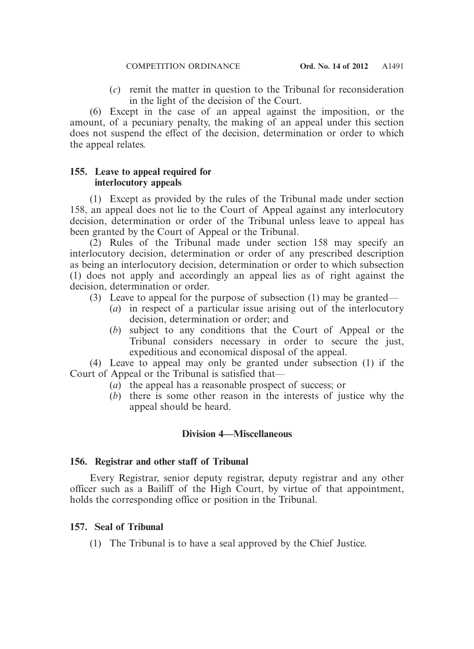(*c*) remit the matter in question to the Tribunal for reconsideration in the light of the decision of the Court.

 (6) Except in the case of an appeal against the imposition, or the amount, of a pecuniary penalty, the making of an appeal under this section does not suspend the effect of the decision, determination or order to which the appeal relates.

## **155. Leave to appeal required for interlocutory appeals**

 (1) Except as provided by the rules of the Tribunal made under section 158, an appeal does not lie to the Court of Appeal against any interlocutory decision, determination or order of the Tribunal unless leave to appeal has been granted by the Court of Appeal or the Tribunal.

 (2) Rules of the Tribunal made under section 158 may specify an interlocutory decision, determination or order of any prescribed description as being an interlocutory decision, determination or order to which subsection (1) does not apply and accordingly an appeal lies as of right against the decision, determination or order.

- (3) Leave to appeal for the purpose of subsection (1) may be granted—
	- (*a*) in respect of a particular issue arising out of the interlocutory decision, determination or order; and
	- (*b*) subject to any conditions that the Court of Appeal or the Tribunal considers necessary in order to secure the just, expeditious and economical disposal of the appeal.

 (4) Leave to appeal may only be granted under subsection (1) if the Court of Appeal or the Tribunal is satisfied that—

- (*a*) the appeal has a reasonable prospect of success; or
- (*b*) there is some other reason in the interests of justice why the appeal should be heard.

## **Division 4—Miscellaneous**

#### **156. Registrar and other staff of Tribunal**

 Every Registrar, senior deputy registrar, deputy registrar and any other officer such as a Bailiff of the High Court, by virtue of that appointment, holds the corresponding office or position in the Tribunal.

## **157. Seal of Tribunal**

(1) The Tribunal is to have a seal approved by the Chief Justice.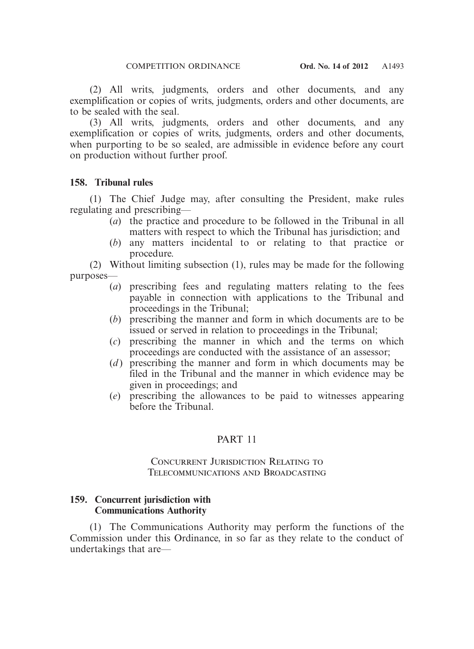(2) All writs, judgments, orders and other documents, and any exemplification or copies of writs, judgments, orders and other documents, are to be sealed with the seal.

 (3) All writs, judgments, orders and other documents, and any exemplification or copies of writs, judgments, orders and other documents, when purporting to be so sealed, are admissible in evidence before any court on production without further proof.

#### **158. Tribunal rules**

 (1) The Chief Judge may, after consulting the President, make rules regulating and prescribing—

- (*a*) the practice and procedure to be followed in the Tribunal in all matters with respect to which the Tribunal has jurisdiction; and
- (*b*) any matters incidental to or relating to that practice or procedure.

 (2) Without limiting subsection (1), rules may be made for the following purposes—

- (*a*) prescribing fees and regulating matters relating to the fees payable in connection with applications to the Tribunal and proceedings in the Tribunal;
- (*b*) prescribing the manner and form in which documents are to be issued or served in relation to proceedings in the Tribunal;
- (*c*) prescribing the manner in which and the terms on which proceedings are conducted with the assistance of an assessor;
- (*d*) prescribing the manner and form in which documents may be filed in the Tribunal and the manner in which evidence may be given in proceedings; and
- (*e*) prescribing the allowances to be paid to witnesses appearing before the Tribunal

## PART 11

## Concurrent Jurisdiction Relating to Telecommunications and Broadcasting

#### **159. Concurrent jurisdiction with Communications Authority**

 (1) The Communications Authority may perform the functions of the Commission under this Ordinance, in so far as they relate to the conduct of undertakings that are—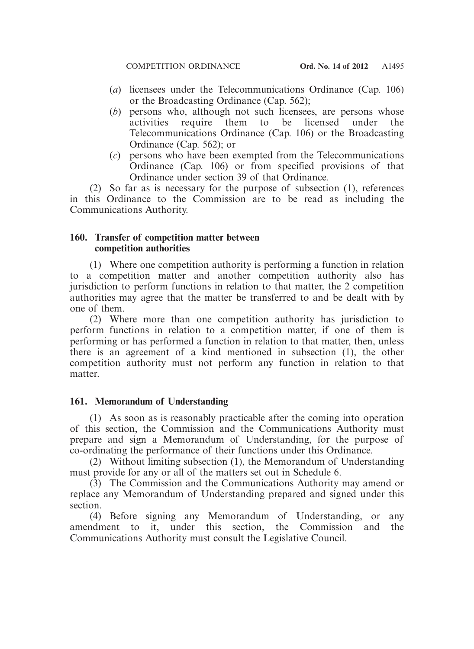- (*a*) licensees under the Telecommunications Ordinance (Cap. 106) or the Broadcasting Ordinance (Cap. 562);
- (*b*) persons who, although not such licensees, are persons whose activities require them to be licensed under the Telecommunications Ordinance (Cap. 106) or the Broadcasting Ordinance (Cap. 562); or
- (*c*) persons who have been exempted from the Telecommunications Ordinance (Cap. 106) or from specified provisions of that Ordinance under section 39 of that Ordinance.

 (2) So far as is necessary for the purpose of subsection (1), references in this Ordinance to the Commission are to be read as including the Communications Authority.

#### **160. Transfer of competition matter between competition authorities**

 (1) Where one competition authority is performing a function in relation to a competition matter and another competition authority also has jurisdiction to perform functions in relation to that matter, the 2 competition authorities may agree that the matter be transferred to and be dealt with by one of them.

 (2) Where more than one competition authority has jurisdiction to perform functions in relation to a competition matter, if one of them is performing or has performed a function in relation to that matter, then, unless there is an agreement of a kind mentioned in subsection (1), the other competition authority must not perform any function in relation to that matter.

# **161. Memorandum of Understanding**

 (1) As soon as is reasonably practicable after the coming into operation of this section, the Commission and the Communications Authority must prepare and sign a Memorandum of Understanding, for the purpose of co-ordinating the performance of their functions under this Ordinance.

 (2) Without limiting subsection (1), the Memorandum of Understanding must provide for any or all of the matters set out in Schedule 6.

 (3) The Commission and the Communications Authority may amend or replace any Memorandum of Understanding prepared and signed under this section.

 (4) Before signing any Memorandum of Understanding, or any amendment to it, under this section, the Commission and the Communications Authority must consult the Legislative Council.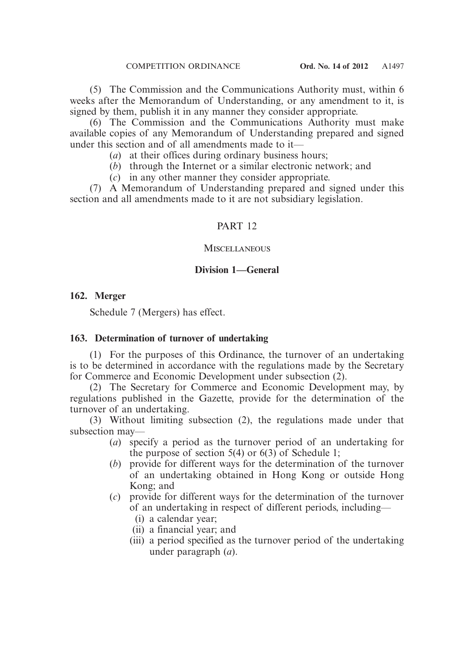(5) The Commission and the Communications Authority must, within 6 weeks after the Memorandum of Understanding, or any amendment to it, is signed by them, publish it in any manner they consider appropriate.

 (6) The Commission and the Communications Authority must make available copies of any Memorandum of Understanding prepared and signed under this section and of all amendments made to it—

- (*a*) at their offices during ordinary business hours;
- (*b*) through the Internet or a similar electronic network; and
- (*c*) in any other manner they consider appropriate.

 (7) A Memorandum of Understanding prepared and signed under this section and all amendments made to it are not subsidiary legislation.

## PART 12

#### **MISCELLANEOUS**

#### **Division 1—General**

#### **162. Merger**

Schedule 7 (Mergers) has effect.

#### **163. Determination of turnover of undertaking**

 (1) For the purposes of this Ordinance, the turnover of an undertaking is to be determined in accordance with the regulations made by the Secretary for Commerce and Economic Development under subsection (2).

 (2) The Secretary for Commerce and Economic Development may, by regulations published in the Gazette, provide for the determination of the turnover of an undertaking.

 (3) Without limiting subsection (2), the regulations made under that subsection may—

- (*a*) specify a period as the turnover period of an undertaking for the purpose of section  $5(4)$  or  $6(3)$  of Schedule 1;
- (*b*) provide for different ways for the determination of the turnover of an undertaking obtained in Hong Kong or outside Hong Kong; and
- (*c*) provide for different ways for the determination of the turnover of an undertaking in respect of different periods, including—
	- (i) a calendar year;
	- (ii) a financial year; and
	- (iii) a period specified as the turnover period of the undertaking under paragraph (*a*).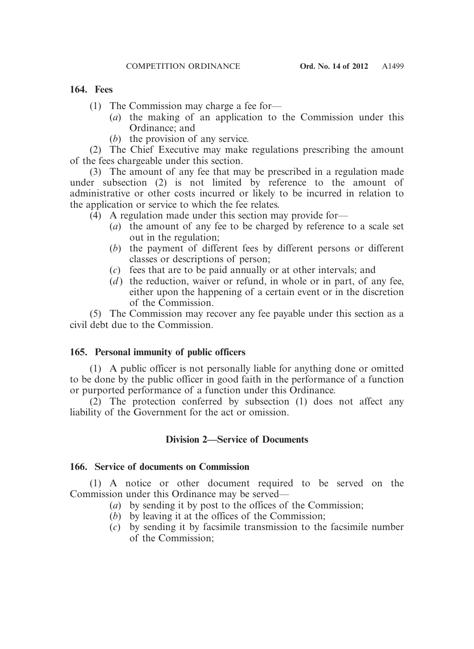## **164. Fees**

- (1) The Commission may charge a fee for—
	- (*a*) the making of an application to the Commission under this Ordinance; and
	- (*b*) the provision of any service.

 (2) The Chief Executive may make regulations prescribing the amount of the fees chargeable under this section.

 (3) The amount of any fee that may be prescribed in a regulation made under subsection (2) is not limited by reference to the amount of administrative or other costs incurred or likely to be incurred in relation to the application or service to which the fee relates.

(4) A regulation made under this section may provide for—

- (*a*) the amount of any fee to be charged by reference to a scale set out in the regulation;
- (*b*) the payment of different fees by different persons or different classes or descriptions of person;
- (*c*) fees that are to be paid annually or at other intervals; and
- (*d*) the reduction, waiver or refund, in whole or in part, of any fee, either upon the happening of a certain event or in the discretion of the Commission.

 (5) The Commission may recover any fee payable under this section as a civil debt due to the Commission.

## **165. Personal immunity of public officers**

 (1) A public officer is not personally liable for anything done or omitted to be done by the public officer in good faith in the performance of a function or purported performance of a function under this Ordinance.

 (2) The protection conferred by subsection (1) does not affect any liability of the Government for the act or omission.

## **Division 2—Service of Documents**

## **166. Service of documents on Commission**

 (1) A notice or other document required to be served on the Commission under this Ordinance may be served—

- (*a*) by sending it by post to the offices of the Commission;
- (*b*) by leaving it at the offices of the Commission;
- (*c*) by sending it by facsimile transmission to the facsimile number of the Commission;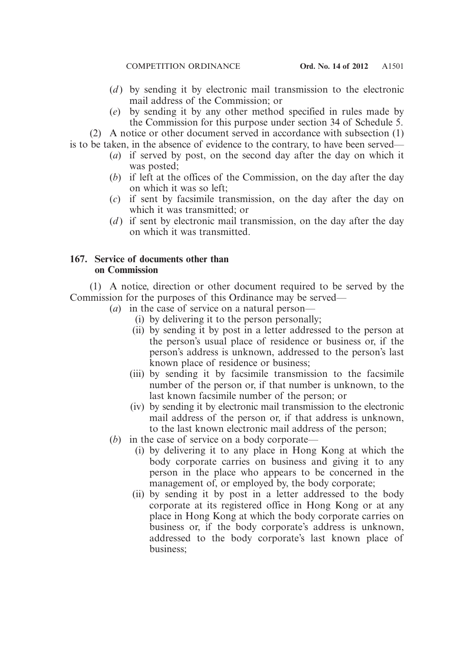- (*d*) by sending it by electronic mail transmission to the electronic mail address of the Commission; or
- (*e*) by sending it by any other method specified in rules made by the Commission for this purpose under section 34 of Schedule 5.

 (2) A notice or other document served in accordance with subsection (1) is to be taken, in the absence of evidence to the contrary, to have been served—

- (*a*) if served by post, on the second day after the day on which it was posted;
- (*b*) if left at the offices of the Commission, on the day after the day on which it was so left;
- (*c*) if sent by facsimile transmission, on the day after the day on which it was transmitted; or
- (*d*) if sent by electronic mail transmission, on the day after the day on which it was transmitted.

## **167. Service of documents other than on Commission**

 (1) A notice, direction or other document required to be served by the Commission for the purposes of this Ordinance may be served—

- (*a*) in the case of service on a natural person—
	- (i) by delivering it to the person personally;
	- (ii) by sending it by post in a letter addressed to the person at the person's usual place of residence or business or, if the person's address is unknown, addressed to the person's last known place of residence or business;
	- (iii) by sending it by facsimile transmission to the facsimile number of the person or, if that number is unknown, to the last known facsimile number of the person; or
	- (iv) by sending it by electronic mail transmission to the electronic mail address of the person or, if that address is unknown, to the last known electronic mail address of the person;
- (*b*) in the case of service on a body corporate—
	- (i) by delivering it to any place in Hong Kong at which the body corporate carries on business and giving it to any person in the place who appears to be concerned in the management of, or employed by, the body corporate;
	- (ii) by sending it by post in a letter addressed to the body corporate at its registered office in Hong Kong or at any place in Hong Kong at which the body corporate carries on business or, if the body corporate's address is unknown, addressed to the body corporate's last known place of business;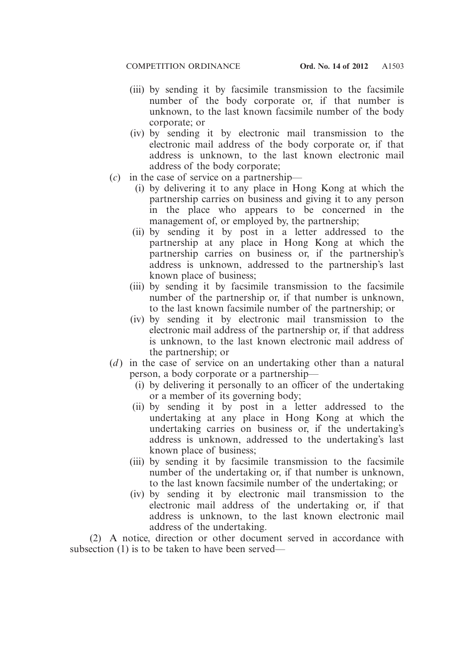- (iii) by sending it by facsimile transmission to the facsimile number of the body corporate or, if that number is unknown, to the last known facsimile number of the body corporate; or
- (iv) by sending it by electronic mail transmission to the electronic mail address of the body corporate or, if that address is unknown, to the last known electronic mail address of the body corporate;
- (*c*) in the case of service on a partnership—
	- (i) by delivering it to any place in Hong Kong at which the partnership carries on business and giving it to any person in the place who appears to be concerned in the management of, or employed by, the partnership;
	- (ii) by sending it by post in a letter addressed to the partnership at any place in Hong Kong at which the partnership carries on business or, if the partnership's address is unknown, addressed to the partnership's last known place of business;
	- (iii) by sending it by facsimile transmission to the facsimile number of the partnership or, if that number is unknown, to the last known facsimile number of the partnership; or
	- (iv) by sending it by electronic mail transmission to the electronic mail address of the partnership or, if that address is unknown, to the last known electronic mail address of the partnership; or
- (*d*) in the case of service on an undertaking other than a natural person, a body corporate or a partnership—
	- (i) by delivering it personally to an officer of the undertaking or a member of its governing body;
	- (ii) by sending it by post in a letter addressed to the undertaking at any place in Hong Kong at which the undertaking carries on business or, if the undertaking's address is unknown, addressed to the undertaking's last known place of business;
	- (iii) by sending it by facsimile transmission to the facsimile number of the undertaking or, if that number is unknown, to the last known facsimile number of the undertaking; or
	- (iv) by sending it by electronic mail transmission to the electronic mail address of the undertaking or, if that address is unknown, to the last known electronic mail address of the undertaking.

 (2) A notice, direction or other document served in accordance with subsection (1) is to be taken to have been served—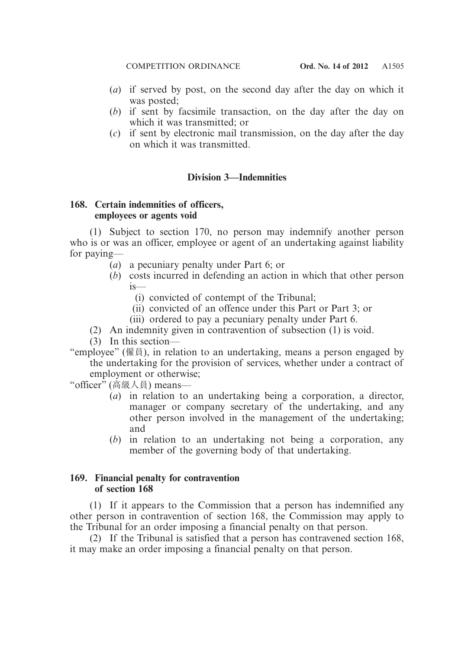- (*a*) if served by post, on the second day after the day on which it was posted;
- (*b*) if sent by facsimile transaction, on the day after the day on which it was transmitted; or
- (*c*) if sent by electronic mail transmission, on the day after the day on which it was transmitted.

## **Division 3—Indemnities**

## **168. Certain indemnities of officers, employees or agents void**

 (1) Subject to section 170, no person may indemnify another person who is or was an officer, employee or agent of an undertaking against liability for paying—

- (*a*) a pecuniary penalty under Part 6; or
- (*b*) costs incurred in defending an action in which that other person is—
	- (i) convicted of contempt of the Tribunal;
	- (ii) convicted of an offence under this Part or Part 3; or
	- (iii) ordered to pay a pecuniary penalty under Part 6.
- (2) An indemnity given in contravention of subsection (1) is void.
- (3) In this section—

"employee" (僱員), in relation to an undertaking, means a person engaged by the undertaking for the provision of services, whether under a contract of employment or otherwise;

"officer" (高級人員) means—

- (*a*) in relation to an undertaking being a corporation, a director, manager or company secretary of the undertaking, and any other person involved in the management of the undertaking; and
- (*b*) in relation to an undertaking not being a corporation, any member of the governing body of that undertaking.

#### **169. Financial penalty for contravention of section 168**

 (1) If it appears to the Commission that a person has indemnified any other person in contravention of section 168, the Commission may apply to the Tribunal for an order imposing a financial penalty on that person.

 (2) If the Tribunal is satisfied that a person has contravened section 168, it may make an order imposing a financial penalty on that person.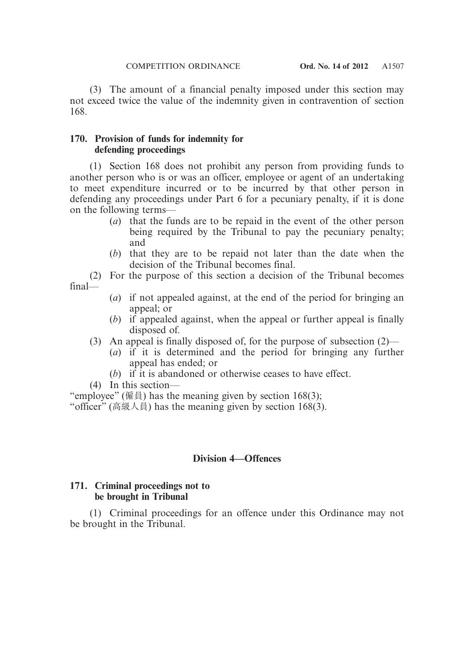(3) The amount of a financial penalty imposed under this section may not exceed twice the value of the indemnity given in contravention of section 168.

## **170. Provision of funds for indemnity for defending proceedings**

 (1) Section 168 does not prohibit any person from providing funds to another person who is or was an officer, employee or agent of an undertaking to meet expenditure incurred or to be incurred by that other person in defending any proceedings under Part 6 for a pecuniary penalty, if it is done on the following terms—

- (*a*) that the funds are to be repaid in the event of the other person being required by the Tribunal to pay the pecuniary penalty; and
- (*b*) that they are to be repaid not later than the date when the decision of the Tribunal becomes final.

 (2) For the purpose of this section a decision of the Tribunal becomes final—

- (*a*) if not appealed against, at the end of the period for bringing an appeal; or
- (*b*) if appealed against, when the appeal or further appeal is finally disposed of.
- (3) An appeal is finally disposed of, for the purpose of subsection (2)—
	- (*a*) if it is determined and the period for bringing any further appeal has ended; or
	- (*b*) if it is abandoned or otherwise ceases to have effect.
- (4) In this section—

"employee" (僱員) has the meaning given by section 168(3);

"officer" (高級人員) has the meaning given by section 168(3).

## **Division 4—Offences**

#### **171. Criminal proceedings not to be brought in Tribunal**

 (1) Criminal proceedings for an offence under this Ordinance may not be brought in the Tribunal.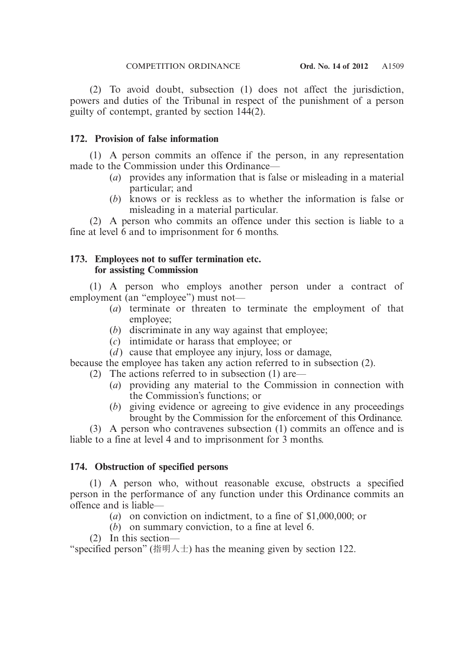(2) To avoid doubt, subsection (1) does not affect the jurisdiction, powers and duties of the Tribunal in respect of the punishment of a person guilty of contempt, granted by section  $144(2)$ .

## **172. Provision of false information**

 (1) A person commits an offence if the person, in any representation made to the Commission under this Ordinance—

- (*a*) provides any information that is false or misleading in a material particular; and
- (*b*) knows or is reckless as to whether the information is false or misleading in a material particular.

 (2) A person who commits an offence under this section is liable to a fine at level 6 and to imprisonment for 6 months.

## **173. Employees not to suffer termination etc. for assisting Commission**

 (1) A person who employs another person under a contract of employment (an "employee") must not—

- (*a*) terminate or threaten to terminate the employment of that employee;
- (*b*) discriminate in any way against that employee;
- (*c*) intimidate or harass that employee; or
- (*d*) cause that employee any injury, loss or damage,

because the employee has taken any action referred to in subsection (2).

- (2) The actions referred to in subsection (1) are—
	- (*a*) providing any material to the Commission in connection with the Commission's functions; or
	- (*b*) giving evidence or agreeing to give evidence in any proceedings brought by the Commission for the enforcement of this Ordinance.

 (3) A person who contravenes subsection (1) commits an offence and is liable to a fine at level 4 and to imprisonment for 3 months.

## **174. Obstruction of specified persons**

 (1) A person who, without reasonable excuse, obstructs a specified person in the performance of any function under this Ordinance commits an offence and is liable—

- (*a*) on conviction on indictment, to a fine of \$1,000,000; or
- (*b*) on summary conviction, to a fine at level 6.
- (2) In this section—

"specified person" (指明人士) has the meaning given by section 122.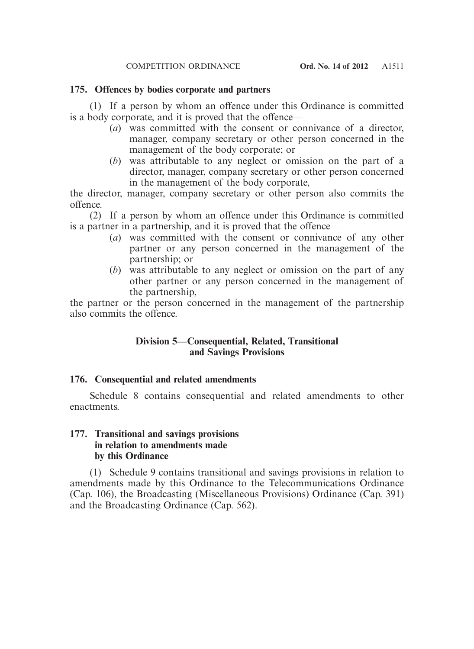## **175. Offences by bodies corporate and partners**

 (1) If a person by whom an offence under this Ordinance is committed is a body corporate, and it is proved that the offence—

- (*a*) was committed with the consent or connivance of a director, manager, company secretary or other person concerned in the management of the body corporate; or
- (*b*) was attributable to any neglect or omission on the part of a director, manager, company secretary or other person concerned in the management of the body corporate,

the director, manager, company secretary or other person also commits the offence.

 (2) If a person by whom an offence under this Ordinance is committed is a partner in a partnership, and it is proved that the offence—

- (*a*) was committed with the consent or connivance of any other partner or any person concerned in the management of the partnership; or
- (*b*) was attributable to any neglect or omission on the part of any other partner or any person concerned in the management of the partnership,

the partner or the person concerned in the management of the partnership also commits the offence.

## **Division 5—Consequential, Related, Transitional and Savings Provisions**

## **176. Consequential and related amendments**

 Schedule 8 contains consequential and related amendments to other enactments.

## **177. Transitional and savings provisions in relation to amendments made by this Ordinance**

 (1) Schedule 9 contains transitional and savings provisions in relation to amendments made by this Ordinance to the Telecommunications Ordinance (Cap. 106), the Broadcasting (Miscellaneous Provisions) Ordinance (Cap. 391) and the Broadcasting Ordinance (Cap. 562).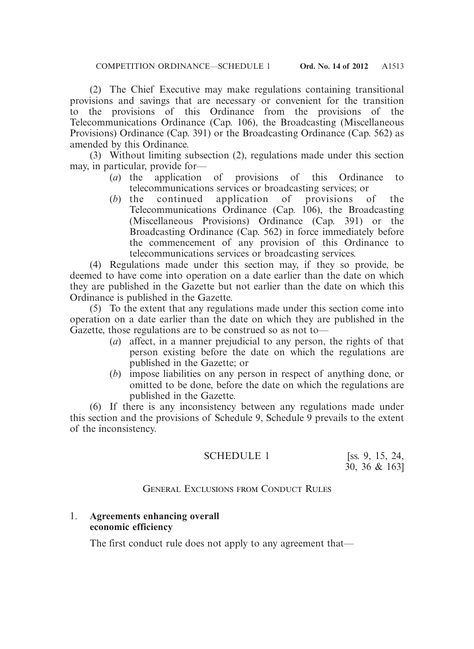(2) The Chief Executive may make regulations containing transitional provisions and savings that are necessary or convenient for the transition to the provisions of this Ordinance from the provisions of the Telecommunications Ordinance (Cap. 106), the Broadcasting (Miscellaneous Provisions) Ordinance (Cap. 391) or the Broadcasting Ordinance (Cap. 562) as amended by this Ordinance.

 (3) Without limiting subsection (2), regulations made under this section may, in particular, provide for—

- (*a*) the application of provisions of this Ordinance to telecommunications services or broadcasting services; or
- (*b*) the continued application of provisions of the Telecommunications Ordinance (Cap. 106), the Broadcasting (Miscellaneous Provisions) Ordinance (Cap. 391) or the Broadcasting Ordinance (Cap. 562) in force immediately before the commencement of any provision of this Ordinance to telecommunications services or broadcasting services.

 (4) Regulations made under this section may, if they so provide, be deemed to have come into operation on a date earlier than the date on which they are published in the Gazette but not earlier than the date on which this Ordinance is published in the Gazette.

 (5) To the extent that any regulations made under this section come into operation on a date earlier than the date on which they are published in the Gazette, those regulations are to be construed so as not to—

- (*a*) affect, in a manner prejudicial to any person, the rights of that person existing before the date on which the regulations are published in the Gazette; or
- (*b*) impose liabilities on any person in respect of anything done, or omitted to be done, before the date on which the regulations are published in the Gazette.

 (6) If there is any inconsistency between any regulations made under this section and the provisions of Schedule 9, Schedule  $\overline{9}$  prevails to the extent of the inconsistency.

# **SCHEDULE** 1 [ss. 9, 15, 24,] 30, 36 & 163]

## General Exclusions from Conduct Rules

#### 1. **Agreements enhancing overall economic efficiency**

The first conduct rule does not apply to any agreement that—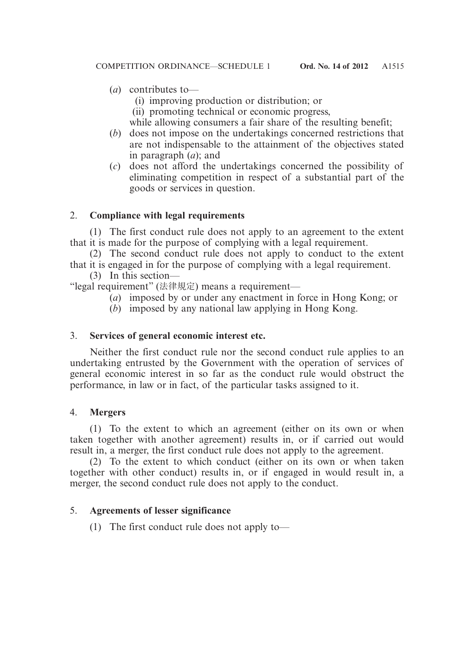- (*a*) contributes to—
	- (i) improving production or distribution; or
	- (ii) promoting technical or economic progress,
	- while allowing consumers a fair share of the resulting benefit;
- (*b*) does not impose on the undertakings concerned restrictions that are not indispensable to the attainment of the objectives stated in paragraph (*a*); and
- (*c*) does not afford the undertakings concerned the possibility of eliminating competition in respect of a substantial part of the goods or services in question.

## 2. **Compliance with legal requirements**

 (1) The first conduct rule does not apply to an agreement to the extent that it is made for the purpose of complying with a legal requirement.

 (2) The second conduct rule does not apply to conduct to the extent that it is engaged in for the purpose of complying with a legal requirement.

(3) In this section—

"legal requirement" (法律規定) means a requirement—

- (*a*) imposed by or under any enactment in force in Hong Kong; or
- (*b*) imposed by any national law applying in Hong Kong.

#### 3. **Services of general economic interest etc.**

 Neither the first conduct rule nor the second conduct rule applies to an undertaking entrusted by the Government with the operation of services of general economic interest in so far as the conduct rule would obstruct the performance, in law or in fact, of the particular tasks assigned to it.

#### 4. **Mergers**

 (1) To the extent to which an agreement (either on its own or when taken together with another agreement) results in, or if carried out would result in, a merger, the first conduct rule does not apply to the agreement.

 (2) To the extent to which conduct (either on its own or when taken together with other conduct) results in, or if engaged in would result in, a merger, the second conduct rule does not apply to the conduct.

## 5. **Agreements of lesser significance**

(1) The first conduct rule does not apply to—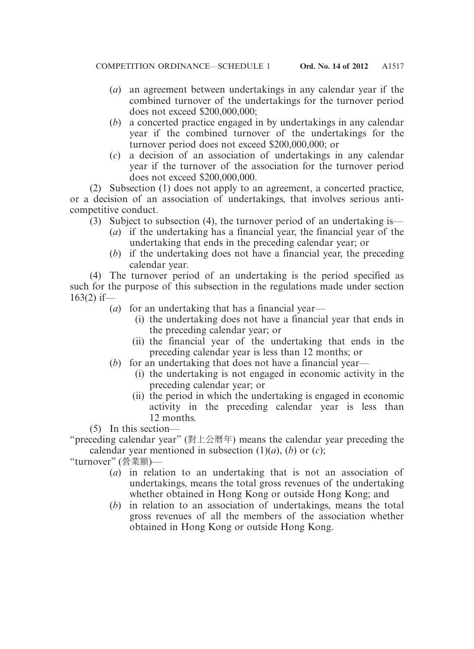- (*a*) an agreement between undertakings in any calendar year if the combined turnover of the undertakings for the turnover period does not exceed \$200,000,000;
- (*b*) a concerted practice engaged in by undertakings in any calendar year if the combined turnover of the undertakings for the turnover period does not exceed \$200,000,000; or
- (*c*) a decision of an association of undertakings in any calendar year if the turnover of the association for the turnover period does not exceed \$200,000,000.

 (2) Subsection (1) does not apply to an agreement, a concerted practice, or a decision of an association of undertakings, that involves serious anticompetitive conduct.

- (3) Subject to subsection (4), the turnover period of an undertaking is—
	- (*a*) if the undertaking has a financial year, the financial year of the undertaking that ends in the preceding calendar year; or
	- (*b*) if the undertaking does not have a financial year, the preceding calendar year.

 (4) The turnover period of an undertaking is the period specified as such for the purpose of this subsection in the regulations made under section 163 $(2)$  if—

- (*a*) for an undertaking that has a financial year—
	- (i) the undertaking does not have a financial year that ends in the preceding calendar year; or
	- (ii) the financial year of the undertaking that ends in the preceding calendar year is less than 12 months; or
- (*b*) for an undertaking that does not have a financial year—
	- (i) the undertaking is not engaged in economic activity in the preceding calendar year; or
	- (ii) the period in which the undertaking is engaged in economic activity in the preceding calendar year is less than 12 months.

(5) In this section—

"preceding calendar year" (對上公曆年) means the calendar year preceding the calendar year mentioned in subsection  $(1)(a)$ ,  $(b)$  or  $(c)$ ;

"turnover" (營業額)—

- (*a*) in relation to an undertaking that is not an association of undertakings, means the total gross revenues of the undertaking whether obtained in Hong Kong or outside Hong Kong; and
- (*b*) in relation to an association of undertakings, means the total gross revenues of all the members of the association whether obtained in Hong Kong or outside Hong Kong.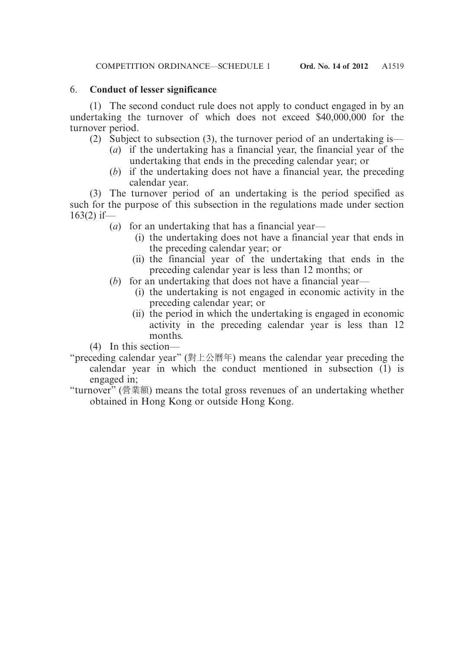COMPETITION ORDINANCE—SCHEDULE 1 Ord. No. 14 of 2012 A1519

## 6. **Conduct of lesser significance**

 (1) The second conduct rule does not apply to conduct engaged in by an undertaking the turnover of which does not exceed \$40,000,000 for the turnover period.

- (2) Subject to subsection (3), the turnover period of an undertaking is—
	- (*a*) if the undertaking has a financial year, the financial year of the undertaking that ends in the preceding calendar year; or
	- (*b*) if the undertaking does not have a financial year, the preceding calendar year.

 (3) The turnover period of an undertaking is the period specified as such for the purpose of this subsection in the regulations made under section  $163(2)$  if—

(*a*) for an undertaking that has a financial year—

- (i) the undertaking does not have a financial year that ends in the preceding calendar year; or
- (ii) the financial year of the undertaking that ends in the preceding calendar year is less than 12 months; or
- (*b*) for an undertaking that does not have a financial year—
	- (i) the undertaking is not engaged in economic activity in the preceding calendar year; or
	- (ii) the period in which the undertaking is engaged in economic activity in the preceding calendar year is less than 12 months.

(4) In this section—

- "preceding calendar year" (對上公曆年) means the calendar year preceding the calendar year in which the conduct mentioned in subsection (1) is engaged in;
- "turnover" (營業額) means the total gross revenues of an undertaking whether obtained in Hong Kong or outside Hong Kong.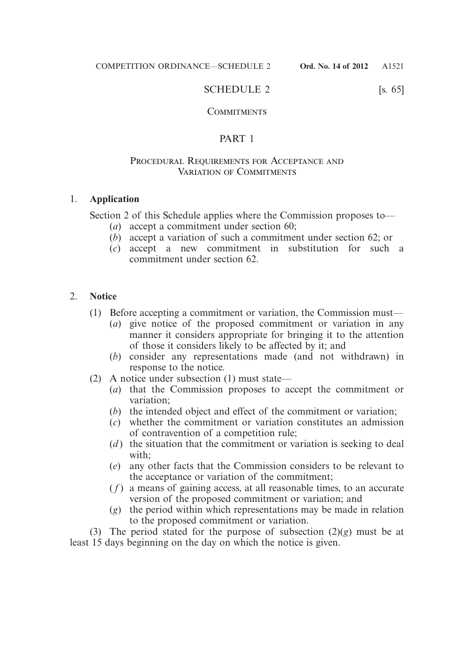## SCHEDULE 2 [s. 65]

#### **COMMITMENTS**

## PART 1

#### Procedural Requirements for Acceptance and Variation of Commitments

#### 1. **Application**

Section 2 of this Schedule applies where the Commission proposes to—

- (*a*) accept a commitment under section 60;
- (*b*) accept a variation of such a commitment under section 62; or
- (*c*) accept a new commitment in substitution for such a commitment under section 62.

## 2. **Notice**

- (1) Before accepting a commitment or variation, the Commission must—
	- (*a*) give notice of the proposed commitment or variation in any manner it considers appropriate for bringing it to the attention of those it considers likely to be affected by it; and
	- (*b*) consider any representations made (and not withdrawn) in response to the notice.
- (2) A notice under subsection (1) must state—
	- (*a*) that the Commission proposes to accept the commitment or variation;
	- (*b*) the intended object and effect of the commitment or variation;
	- (*c*) whether the commitment or variation constitutes an admission of contravention of a competition rule;
	- (*d*) the situation that the commitment or variation is seeking to deal with;
	- (*e*) any other facts that the Commission considers to be relevant to the acceptance or variation of the commitment;
	- $(f)$  a means of gaining access, at all reasonable times, to an accurate version of the proposed commitment or variation; and
	- (*g*) the period within which representations may be made in relation to the proposed commitment or variation.

 (3) The period stated for the purpose of subsection (2)(*g*) must be at least 15 days beginning on the day on which the notice is given.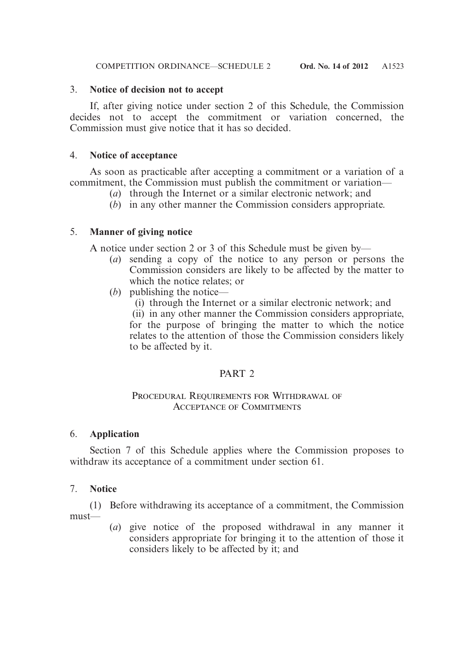## 3. **Notice of decision not to accept**

 If, after giving notice under section 2 of this Schedule, the Commission decides not to accept the commitment or variation concerned, the Commission must give notice that it has so decided.

## 4. **Notice of acceptance**

 As soon as practicable after accepting a commitment or a variation of a commitment, the Commission must publish the commitment or variation—

- (*a*) through the Internet or a similar electronic network; and
- (*b*) in any other manner the Commission considers appropriate.

## 5. **Manner of giving notice**

A notice under section 2 or 3 of this Schedule must be given by—

- (*a*) sending a copy of the notice to any person or persons the Commission considers are likely to be affected by the matter to which the notice relates; or
- (*b*) publishing the notice—
	- (i) through the Internet or a similar electronic network; and

 (ii) in any other manner the Commission considers appropriate, for the purpose of bringing the matter to which the notice relates to the attention of those the Commission considers likely to be affected by it.

## PART 2

## PROCEDURAL REQUIREMENTS FOR WITHDRAWAL OF ACCEPTANCE OF COMMITMENTS

#### 6. **Application**

 Section 7 of this Schedule applies where the Commission proposes to withdraw its acceptance of a commitment under section 61.

## 7. **Notice**

 (1) Before withdrawing its acceptance of a commitment, the Commission must—

> (*a*) give notice of the proposed withdrawal in any manner it considers appropriate for bringing it to the attention of those it considers likely to be affected by it; and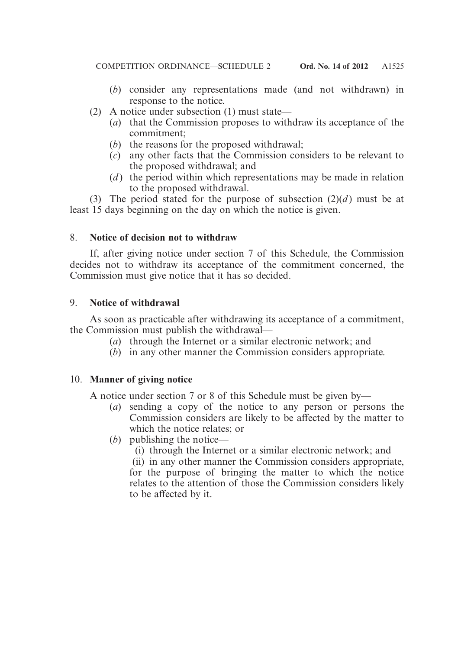- (*b*) consider any representations made (and not withdrawn) in response to the notice.
- (2) A notice under subsection (1) must state—
	- (*a*) that the Commission proposes to withdraw its acceptance of the commitment;
	- (*b*) the reasons for the proposed withdrawal;
	- (*c*) any other facts that the Commission considers to be relevant to the proposed withdrawal; and
	- (*d*) the period within which representations may be made in relation to the proposed withdrawal.

(3) The period stated for the purpose of subsection  $(2)(d)$  must be at least 15 days beginning on the day on which the notice is given.

## 8. **Notice of decision not to withdraw**

 If, after giving notice under section 7 of this Schedule, the Commission decides not to withdraw its acceptance of the commitment concerned, the Commission must give notice that it has so decided.

## 9. **Notice of withdrawal**

 As soon as practicable after withdrawing its acceptance of a commitment, the Commission must publish the withdrawal—

- (*a*) through the Internet or a similar electronic network; and
- (*b*) in any other manner the Commission considers appropriate.

## 10. **Manner of giving notice**

A notice under section 7 or 8 of this Schedule must be given by—

- (*a*) sending a copy of the notice to any person or persons the Commission considers are likely to be affected by the matter to which the notice relates; or
- (*b*) publishing the notice—
	- (i) through the Internet or a similar electronic network; and

 (ii) in any other manner the Commission considers appropriate, for the purpose of bringing the matter to which the notice relates to the attention of those the Commission considers likely to be affected by it.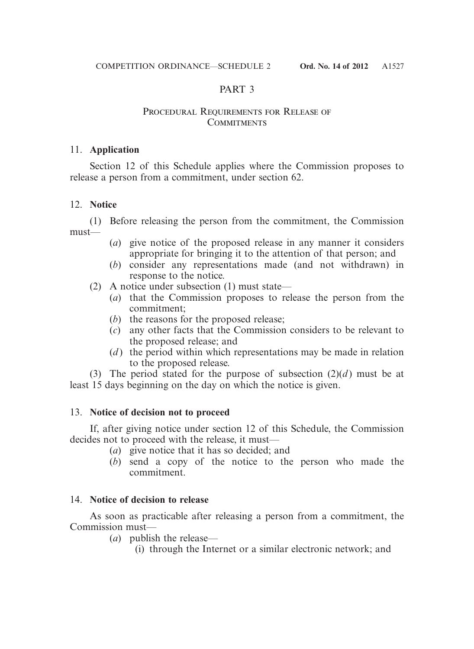## PART 3

#### Procedural Requirements for Release of **COMMITMENTS**

#### 11. **Application**

 Section 12 of this Schedule applies where the Commission proposes to release a person from a commitment, under section 62.

## 12. **Notice**

 (1) Before releasing the person from the commitment, the Commission must—

- (*a*) give notice of the proposed release in any manner it considers appropriate for bringing it to the attention of that person; and
- (*b*) consider any representations made (and not withdrawn) in response to the notice.
- (2) A notice under subsection (1) must state—
	- (*a*) that the Commission proposes to release the person from the commitment;
	- (*b*) the reasons for the proposed release;
	- (*c*) any other facts that the Commission considers to be relevant to the proposed release; and
	- (*d*) the period within which representations may be made in relation to the proposed release.

(3) The period stated for the purpose of subsection  $(2)(d)$  must be at least 15 days beginning on the day on which the notice is given.

#### 13. **Notice of decision not to proceed**

 If, after giving notice under section 12 of this Schedule, the Commission decides not to proceed with the release, it must—

- (*a*) give notice that it has so decided; and
- (*b*) send a copy of the notice to the person who made the commitment.

### 14. **Notice of decision to release**

 As soon as practicable after releasing a person from a commitment, the Commission must—

(*a*) publish the release—

(i) through the Internet or a similar electronic network; and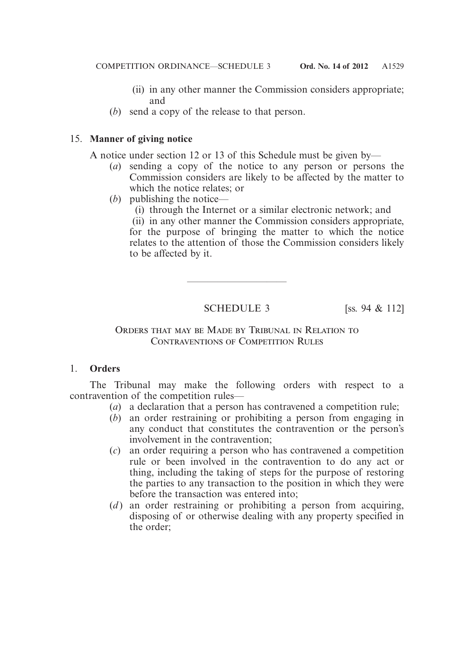- (ii) in any other manner the Commission considers appropriate; and
- (*b*) send a copy of the release to that person.

#### 15. **Manner of giving notice**

A notice under section 12 or 13 of this Schedule must be given by—

- (*a*) sending a copy of the notice to any person or persons the Commission considers are likely to be affected by the matter to which the notice relates; or
- (*b*) publishing the notice—
	- (i) through the Internet or a similar electronic network; and

 (ii) in any other manner the Commission considers appropriate, for the purpose of bringing the matter to which the notice relates to the attention of those the Commission considers likely to be affected by it.

SCHEDULE 3 [SS. 94 & 112]

————————————————————

#### Orders that may be Made by Tribunal in Relation to Contraventions of Competition Rules

#### 1. **Orders**

 The Tribunal may make the following orders with respect to a contravention of the competition rules—

- (*a*) a declaration that a person has contravened a competition rule;
- (*b*) an order restraining or prohibiting a person from engaging in any conduct that constitutes the contravention or the person's involvement in the contravention;
- (*c*) an order requiring a person who has contravened a competition rule or been involved in the contravention to do any act or thing, including the taking of steps for the purpose of restoring the parties to any transaction to the position in which they were before the transaction was entered into;
- (*d*) an order restraining or prohibiting a person from acquiring, disposing of or otherwise dealing with any property specified in the order;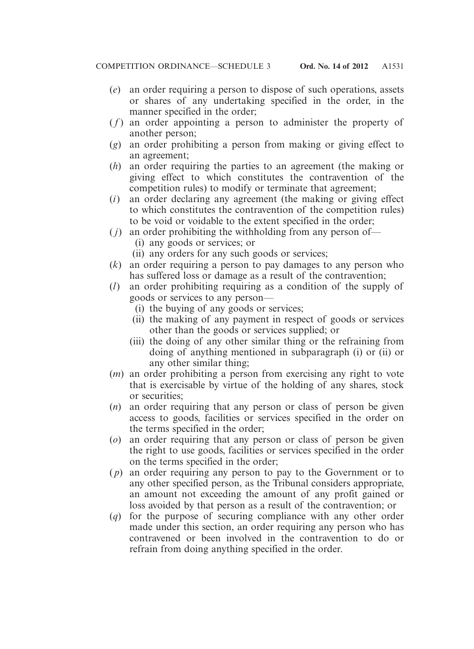- (*e*) an order requiring a person to dispose of such operations, assets or shares of any undertaking specified in the order, in the manner specified in the order;
- (*f*) an order appointing a person to administer the property of another person;
- (*g*) an order prohibiting a person from making or giving effect to an agreement;
- (*h*) an order requiring the parties to an agreement (the making or giving effect to which constitutes the contravention of the competition rules) to modify or terminate that agreement;
- (*i*) an order declaring any agreement (the making or giving effect to which constitutes the contravention of the competition rules) to be void or voidable to the extent specified in the order;
- $(j)$  an order prohibiting the withholding from any person of-
	- (i) any goods or services; or
	- (ii) any orders for any such goods or services;
- (*k*) an order requiring a person to pay damages to any person who has suffered loss or damage as a result of the contravention;
- (*l*) an order prohibiting requiring as a condition of the supply of goods or services to any person—
	- (i) the buying of any goods or services;
	- (ii) the making of any payment in respect of goods or services other than the goods or services supplied; or
	- (iii) the doing of any other similar thing or the refraining from doing of anything mentioned in subparagraph (i) or (ii) or any other similar thing;
- (*m*) an order prohibiting a person from exercising any right to vote that is exercisable by virtue of the holding of any shares, stock or securities;
- (*n*) an order requiring that any person or class of person be given access to goods, facilities or services specified in the order on the terms specified in the order;
- (*o*) an order requiring that any person or class of person be given the right to use goods, facilities or services specified in the order on the terms specified in the order;
- ( *p*) an order requiring any person to pay to the Government or to any other specified person, as the Tribunal considers appropriate, an amount not exceeding the amount of any profit gained or loss avoided by that person as a result of the contravention; or
- (*q*) for the purpose of securing compliance with any other order made under this section, an order requiring any person who has contravened or been involved in the contravention to do or refrain from doing anything specified in the order.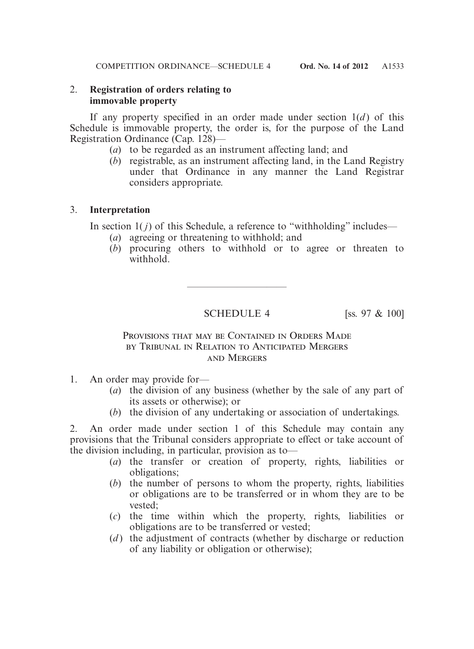## 2. **Registration of orders relating to immovable property**

If any property specified in an order made under section  $1(d)$  of this Schedule is immovable property, the order is, for the purpose of the Land Registration Ordinance (Cap. 128)—

- (*a*) to be regarded as an instrument affecting land; and
- (*b*) registrable, as an instrument affecting land, in the Land Registry under that Ordinance in any manner the Land Registrar considers appropriate.

## 3. **Interpretation**

In section  $1(j)$  of this Schedule, a reference to "withholding" includes—

- (*a*) agreeing or threatening to withhold; and
- (*b*) procuring others to withhold or to agree or threaten to withhold.

SCHEDULE 4 [ss. 97 & 100]

 $\frac{1}{\sqrt{2}}$  , and the set of  $\frac{1}{\sqrt{2}}$  , and the set of  $\frac{1}{\sqrt{2}}$ 

### PROVISIONS THAT MAY BE CONTAINED IN ORDERS MADE by Tribunal in Relation to Anticipated Mergers and Mergers

- 1. An order may provide for—
	- (*a*) the division of any business (whether by the sale of any part of its assets or otherwise); or
	- (*b*) the division of any undertaking or association of undertakings.

2. An order made under section 1 of this Schedule may contain any provisions that the Tribunal considers appropriate to effect or take account of the division including, in particular, provision as to—

- (*a*) the transfer or creation of property, rights, liabilities or obligations;
- (*b*) the number of persons to whom the property, rights, liabilities or obligations are to be transferred or in whom they are to be vested;
- (*c*) the time within which the property, rights, liabilities or obligations are to be transferred or vested;
- (*d*) the adjustment of contracts (whether by discharge or reduction of any liability or obligation or otherwise);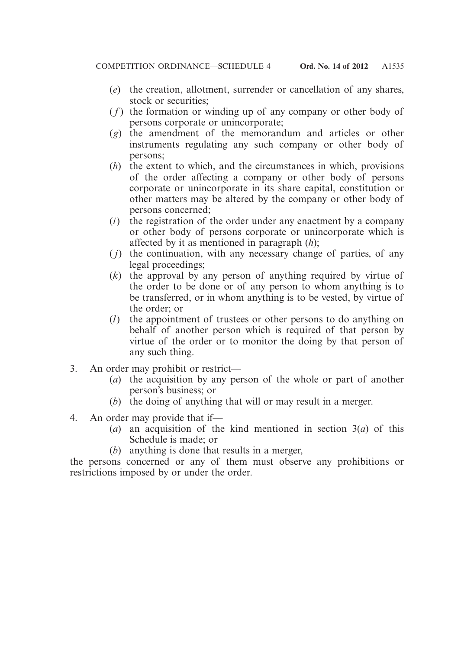- (*e*) the creation, allotment, surrender or cancellation of any shares, stock or securities;
- $(f)$  the formation or winding up of any company or other body of persons corporate or unincorporate;
- (*g*) the amendment of the memorandum and articles or other instruments regulating any such company or other body of persons;
- (*h*) the extent to which, and the circumstances in which, provisions of the order affecting a company or other body of persons corporate or unincorporate in its share capital, constitution or other matters may be altered by the company or other body of persons concerned;
- (*i*) the registration of the order under any enactment by a company or other body of persons corporate or unincorporate which is affected by it as mentioned in paragraph (*h*);
- (*i*) the continuation, with any necessary change of parties, of any legal proceedings;
- (*k*) the approval by any person of anything required by virtue of the order to be done or of any person to whom anything is to be transferred, or in whom anything is to be vested, by virtue of the order; or
- (*l*) the appointment of trustees or other persons to do anything on behalf of another person which is required of that person by virtue of the order or to monitor the doing by that person of any such thing.
- 3. An order may prohibit or restrict—
	- (*a*) the acquisition by any person of the whole or part of another person's business; or
	- (*b*) the doing of anything that will or may result in a merger.
- 4. An order may provide that if—
	- (*a*) an acquisition of the kind mentioned in section 3(*a*) of this Schedule is made; or
	- (*b*) anything is done that results in a merger,

the persons concerned or any of them must observe any prohibitions or restrictions imposed by or under the order.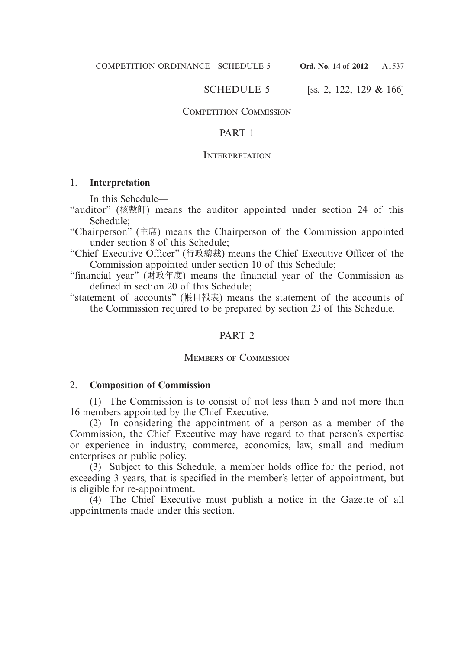SCHEDULE 5 [ss. 2, 122, 129 & 166]

#### COMPETITION COMMISSION

## PART 1

#### **INTERPRETATION**

#### 1. **Interpretation**

In this Schedule—

"auditor" (核數師) means the auditor appointed under section 24 of this Schedule;

"Chairperson" (主席) means the Chairperson of the Commission appointed under section 8 of this Schedule;

- "Chief Executive Officer" (行政總裁) means the Chief Executive Officer of the Commission appointed under section 10 of this Schedule;
- "financial year" (財政年度) means the financial year of the Commission as defined in section 20 of this Schedule;

"statement of accounts" (帳目報表) means the statement of the accounts of the Commission required to be prepared by section 23 of this Schedule.

## PART 2

#### Members of Commission

#### 2. **Composition of Commission**

 (1) The Commission is to consist of not less than 5 and not more than 16 members appointed by the Chief Executive.

 (2) In considering the appointment of a person as a member of the Commission, the Chief Executive may have regard to that person's expertise or experience in industry, commerce, economics, law, small and medium enterprises or public policy.

 (3) Subject to this Schedule, a member holds office for the period, not exceeding 3 years, that is specified in the member's letter of appointment, but is eligible for re-appointment.

 (4) The Chief Executive must publish a notice in the Gazette of all appointments made under this section.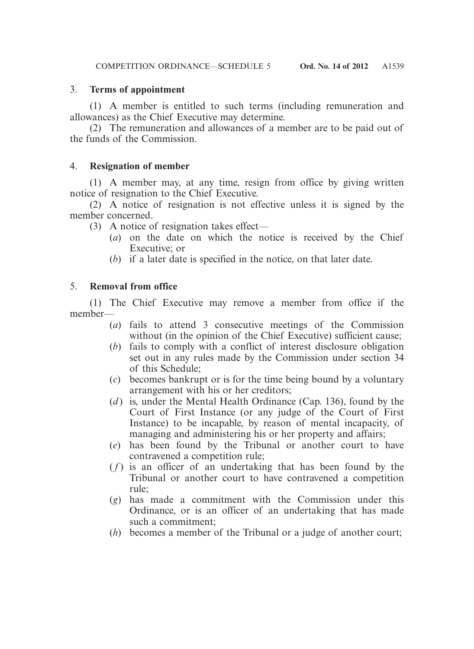### 3. **Terms of appointment**

 (1) A member is entitled to such terms (including remuneration and allowances) as the Chief Executive may determine.

 (2) The remuneration and allowances of a member are to be paid out of the funds of the Commission.

### 4. **Resignation of member**

 (1) A member may, at any time, resign from office by giving written notice of resignation to the Chief Executive.

 (2) A notice of resignation is not effective unless it is signed by the member concerned.

(3) A notice of resignation takes effect—

- (*a*) on the date on which the notice is received by the Chief Executive; or
- (*b*) if a later date is specified in the notice, on that later date.

## 5. **Removal from office**

 (1) The Chief Executive may remove a member from office if the member—

- (*a*) fails to attend 3 consecutive meetings of the Commission without (in the opinion of the Chief Executive) sufficient cause;
- (*b*) fails to comply with a conflict of interest disclosure obligation set out in any rules made by the Commission under section 34 of this Schedule;
- (*c*) becomes bankrupt or is for the time being bound by a voluntary arrangement with his or her creditors;
- (*d* ) is, under the Mental Health Ordinance (Cap. 136), found by the Court of First Instance (or any judge of the Court of First Instance) to be incapable, by reason of mental incapacity, of managing and administering his or her property and affairs;
- (*e*) has been found by the Tribunal or another court to have contravened a competition rule;
- $(f)$  is an officer of an undertaking that has been found by the Tribunal or another court to have contravened a competition rule;
- (*g*) has made a commitment with the Commission under this Ordinance, or is an officer of an undertaking that has made such a commitment;
- (*h*) becomes a member of the Tribunal or a judge of another court;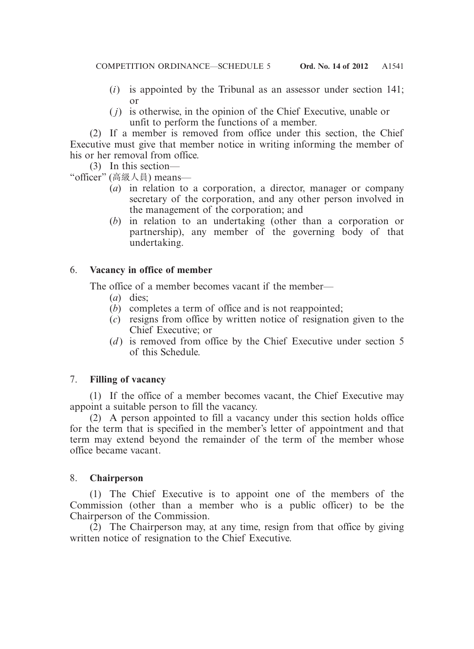- (*i*) is appointed by the Tribunal as an assessor under section 141; or
- ( *j*) is otherwise, in the opinion of the Chief Executive, unable or unfit to perform the functions of a member.

 (2) If a member is removed from office under this section, the Chief Executive must give that member notice in writing informing the member of his or her removal from office.

(3) In this section—

"officer" (高級人員) means—

- (*a*) in relation to a corporation, a director, manager or company secretary of the corporation, and any other person involved in the management of the corporation; and
- (*b*) in relation to an undertaking (other than a corporation or partnership), any member of the governing body of that undertaking.

## 6. **Vacancy in office of member**

The office of a member becomes vacant if the member—

- (*a*) dies;
- (*b*) completes a term of office and is not reappointed;
- (*c*) resigns from office by written notice of resignation given to the Chief Executive; or
- (*d*) is removed from office by the Chief Executive under section 5 of this Schedule.

## 7. **Filling of vacancy**

 (1) If the office of a member becomes vacant, the Chief Executive may appoint a suitable person to fill the vacancy.

 (2) A person appointed to fill a vacancy under this section holds office for the term that is specified in the member's letter of appointment and that term may extend beyond the remainder of the term of the member whose office became vacant.

### 8. **Chairperson**

 (1) The Chief Executive is to appoint one of the members of the Commission (other than a member who is a public officer) to be the Chairperson of the Commission.

 (2) The Chairperson may, at any time, resign from that office by giving written notice of resignation to the Chief Executive.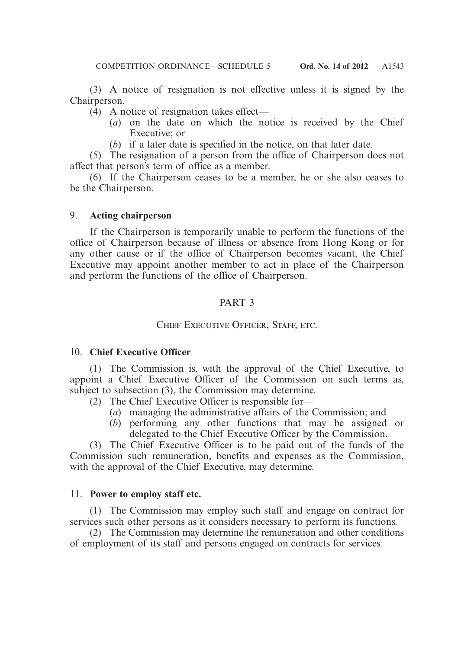(3) A notice of resignation is not effective unless it is signed by the Chairperson.

- (4) A notice of resignation takes effect—
	- (*a*) on the date on which the notice is received by the Chief Executive; or
	- (*b*) if a later date is specified in the notice, on that later date.

 (5) The resignation of a person from the office of Chairperson does not affect that person's term of office as a member.

 (6) If the Chairperson ceases to be a member, he or she also ceases to be the Chairperson.

### 9. **Acting chairperson**

 If the Chairperson is temporarily unable to perform the functions of the office of Chairperson because of illness or absence from Hong Kong or for any other cause or if the office of Chairperson becomes vacant, the Chief Executive may appoint another member to act in place of the Chairperson and perform the functions of the office of Chairperson.

# PART 3

### CHIEF EXECUTIVE OFFICER, STAFF, ETC.

### 10. **Chief Executive Officer**

 (1) The Commission is, with the approval of the Chief Executive, to appoint a Chief Executive Officer of the Commission on such terms as, subject to subsection (3), the Commission may determine.

- (2) The Chief Executive Officer is responsible for—
	- (*a*) managing the administrative affairs of the Commission; and
	- (*b*) performing any other functions that may be assigned or delegated to the Chief Executive Officer by the Commission.

 (3) The Chief Executive Officer is to be paid out of the funds of the Commission such remuneration, benefits and expenses as the Commission, with the approval of the Chief Executive, may determine.

## 11. **Power to employ staff etc.**

 (1) The Commission may employ such staff and engage on contract for services such other persons as it considers necessary to perform its functions.

 (2) The Commission may determine the remuneration and other conditions of employment of its staff and persons engaged on contracts for services.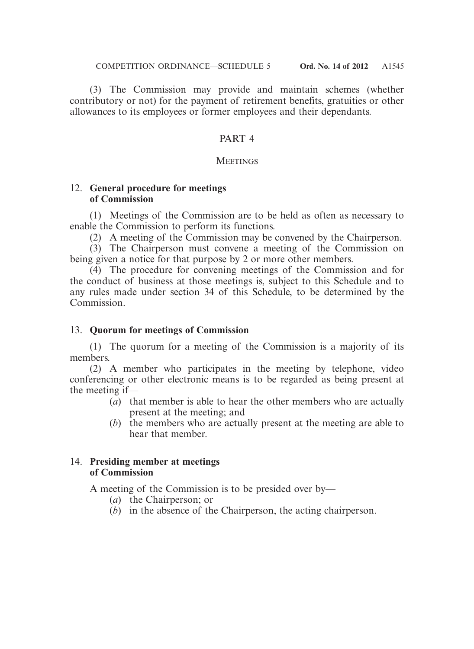(3) The Commission may provide and maintain schemes (whether contributory or not) for the payment of retirement benefits, gratuities or other allowances to its employees or former employees and their dependants.

## PART 4

### **MEETINGS**

## 12. **General procedure for meetings of Commission**

 (1) Meetings of the Commission are to be held as often as necessary to enable the Commission to perform its functions.

(2) A meeting of the Commission may be convened by the Chairperson.

 (3) The Chairperson must convene a meeting of the Commission on being given a notice for that purpose by 2 or more other members.

 (4) The procedure for convening meetings of the Commission and for the conduct of business at those meetings is, subject to this Schedule and to any rules made under section 34 of this Schedule, to be determined by the Commission.

## 13. **Quorum for meetings of Commission**

 (1) The quorum for a meeting of the Commission is a majority of its members.

 (2) A member who participates in the meeting by telephone, video conferencing or other electronic means is to be regarded as being present at the meeting if—

- (*a*) that member is able to hear the other members who are actually present at the meeting; and
- (*b*) the members who are actually present at the meeting are able to hear that member.

### 14. **Presiding member at meetings of Commission**

A meeting of the Commission is to be presided over by—

- (*a*) the Chairperson; or
- (*b*) in the absence of the Chairperson, the acting chairperson.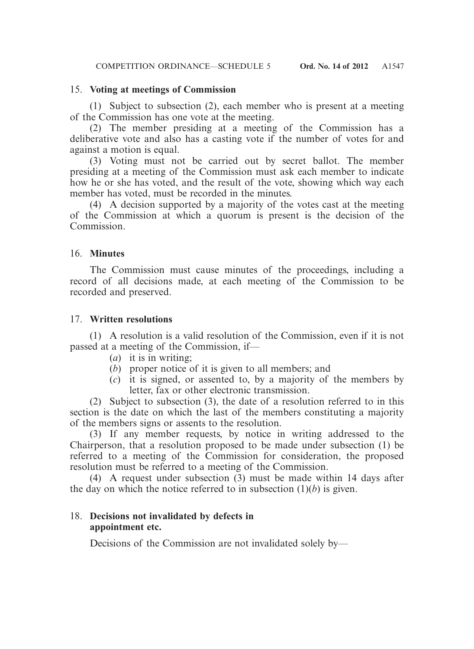COMPETITION ORDINANCE—SCHEDULE 5 Ord. No. 14 of 2012 A1547

### 15. **Voting at meetings of Commission**

 (1) Subject to subsection (2), each member who is present at a meeting of the Commission has one vote at the meeting.

 (2) The member presiding at a meeting of the Commission has a deliberative vote and also has a casting vote if the number of votes for and against a motion is equal.

 (3) Voting must not be carried out by secret ballot. The member presiding at a meeting of the Commission must ask each member to indicate how he or she has voted, and the result of the vote, showing which way each member has voted, must be recorded in the minutes.

 (4) A decision supported by a majority of the votes cast at the meeting of the Commission at which a quorum is present is the decision of the Commission.

### 16. **Minutes**

 The Commission must cause minutes of the proceedings, including a record of all decisions made, at each meeting of the Commission to be recorded and preserved.

### 17. **Written resolutions**

 (1) A resolution is a valid resolution of the Commission, even if it is not passed at a meeting of the Commission, if—

- (*a*) it is in writing;
- (*b*) proper notice of it is given to all members; and
- (*c*) it is signed, or assented to, by a majority of the members by letter, fax or other electronic transmission.

 (2) Subject to subsection (3), the date of a resolution referred to in this section is the date on which the last of the members constituting a majority of the members signs or assents to the resolution.

 (3) If any member requests, by notice in writing addressed to the Chairperson, that a resolution proposed to be made under subsection (1) be referred to a meeting of the Commission for consideration, the proposed resolution must be referred to a meeting of the Commission.

 (4) A request under subsection (3) must be made within 14 days after the day on which the notice referred to in subsection  $(1)(b)$  is given.

### 18. **Decisions not invalidated by defects in appointment etc.**

Decisions of the Commission are not invalidated solely by—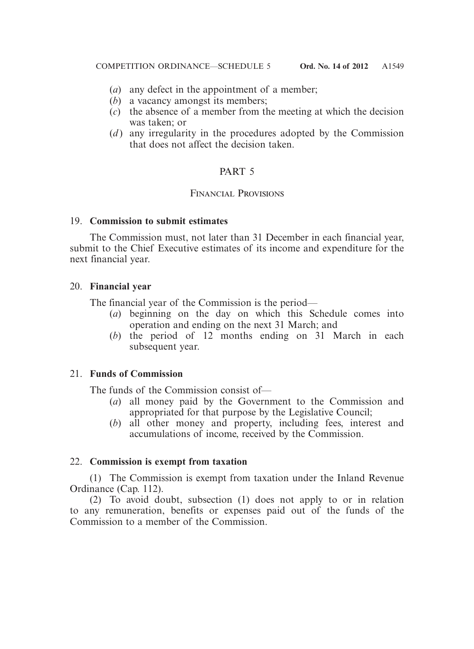- (*a*) any defect in the appointment of a member;
- (*b*) a vacancy amongst its members;
- (*c*) the absence of a member from the meeting at which the decision was taken; or
- (*d*) any irregularity in the procedures adopted by the Commission that does not affect the decision taken.

## PART 5

### Financial Provisions

#### 19. **Commission to submit estimates**

 The Commission must, not later than 31 December in each financial year, submit to the Chief Executive estimates of its income and expenditure for the next financial year.

### 20. **Financial year**

The financial year of the Commission is the period—

- (*a*) beginning on the day on which this Schedule comes into operation and ending on the next 31 March; and
- (*b*) the period of 12 months ending on 31 March in each subsequent year.

## 21. **Funds of Commission**

The funds of the Commission consist of—

- (*a*) all money paid by the Government to the Commission and appropriated for that purpose by the Legislative Council;
- (*b*) all other money and property, including fees, interest and accumulations of income, received by the Commission.

## 22. **Commission is exempt from taxation**

 (1) The Commission is exempt from taxation under the Inland Revenue Ordinance (Cap. 112).

 (2) To avoid doubt, subsection (1) does not apply to or in relation to any remuneration, benefits or expenses paid out of the funds of the Commission to a member of the Commission.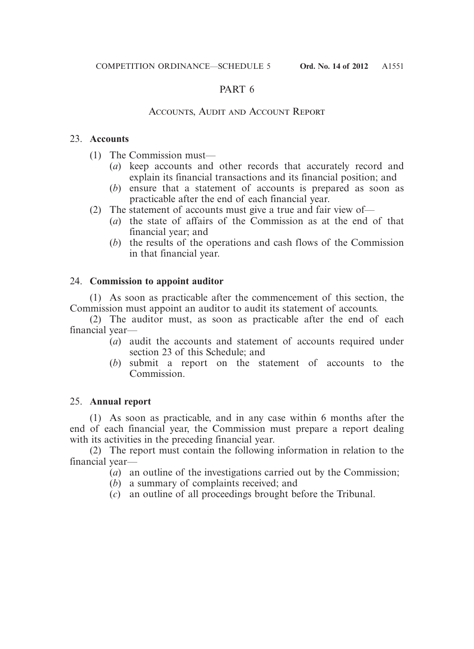# PART<sub>6</sub>

### Accounts, Audit and Account Report

### 23. **Accounts**

- (1) The Commission must—
	- (*a*) keep accounts and other records that accurately record and explain its financial transactions and its financial position; and
	- (*b*) ensure that a statement of accounts is prepared as soon as practicable after the end of each financial year.
- (2) The statement of accounts must give a true and fair view of—
	- (*a*) the state of affairs of the Commission as at the end of that financial year; and
	- (*b*) the results of the operations and cash flows of the Commission in that financial year.

### 24. **Commission to appoint auditor**

 (1) As soon as practicable after the commencement of this section, the Commission must appoint an auditor to audit its statement of accounts.

 (2) The auditor must, as soon as practicable after the end of each financial year—

- (*a*) audit the accounts and statement of accounts required under section 23 of this Schedule; and
- (*b*) submit a report on the statement of accounts to the Commission.

## 25. **Annual report**

 (1) As soon as practicable, and in any case within 6 months after the end of each financial year, the Commission must prepare a report dealing with its activities in the preceding financial year.

 (2) The report must contain the following information in relation to the financial year—

- (*a*) an outline of the investigations carried out by the Commission;
- (*b*) a summary of complaints received; and
- (*c*) an outline of all proceedings brought before the Tribunal.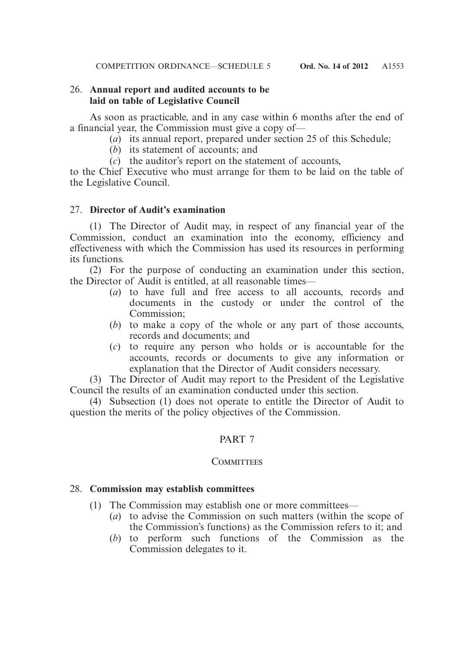#### 26. **Annual report and audited accounts to be laid on table of Legislative Council**

 As soon as practicable, and in any case within 6 months after the end of a financial year, the Commission must give a copy of—

- (*a*) its annual report, prepared under section 25 of this Schedule;
- (*b*) its statement of accounts; and
- (*c*) the auditor's report on the statement of accounts,

to the Chief Executive who must arrange for them to be laid on the table of the Legislative Council.

### 27. **Director of Audit's examination**

 (1) The Director of Audit may, in respect of any financial year of the Commission, conduct an examination into the economy, efficiency and effectiveness with which the Commission has used its resources in performing its functions.

 (2) For the purpose of conducting an examination under this section, the Director of Audit is entitled, at all reasonable times—

- (*a*) to have full and free access to all accounts, records and documents in the custody or under the control of the Commission;
- (*b*) to make a copy of the whole or any part of those accounts, records and documents; and
- (*c*) to require any person who holds or is accountable for the accounts, records or documents to give any information or explanation that the Director of Audit considers necessary.

 (3) The Director of Audit may report to the President of the Legislative Council the results of an examination conducted under this section.

 (4) Subsection (1) does not operate to entitle the Director of Audit to question the merits of the policy objectives of the Commission.

# PART 7

### **COMMITTEES**

### 28. **Commission may establish committees**

- (1) The Commission may establish one or more committees—
	- (*a*) to advise the Commission on such matters (within the scope of the Commission's functions) as the Commission refers to it; and
	- (*b*) to perform such functions of the Commission as the Commission delegates to it.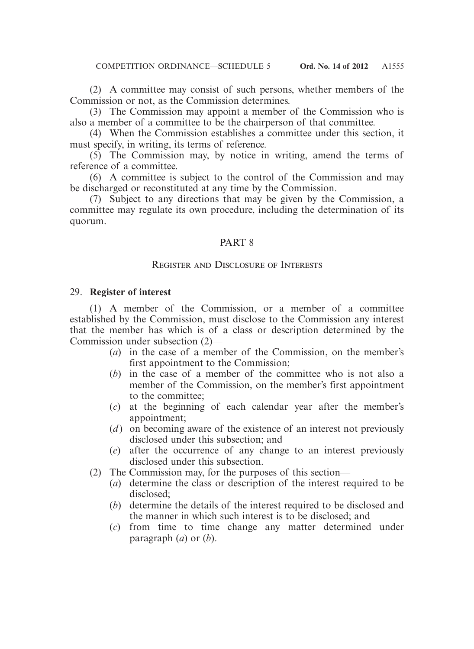(2) A committee may consist of such persons, whether members of the Commission or not, as the Commission determines.

 (3) The Commission may appoint a member of the Commission who is also a member of a committee to be the chairperson of that committee.

 (4) When the Commission establishes a committee under this section, it must specify, in writing, its terms of reference.

 (5) The Commission may, by notice in writing, amend the terms of reference of a committee.

 (6) A committee is subject to the control of the Commission and may be discharged or reconstituted at any time by the Commission.

 (7) Subject to any directions that may be given by the Commission, a committee may regulate its own procedure, including the determination of its quorum.

#### PART 8

#### Register and Disclosure of Interests

#### 29. **Register of interest**

 (1) A member of the Commission, or a member of a committee established by the Commission, must disclose to the Commission any interest that the member has which is of a class or description determined by the Commission under subsection (2)—

- (*a*) in the case of a member of the Commission, on the member's first appointment to the Commission;
- (*b*) in the case of a member of the committee who is not also a member of the Commission, on the member's first appointment to the committee;
- (*c*) at the beginning of each calendar year after the member's appointment;
- (*d*) on becoming aware of the existence of an interest not previously disclosed under this subsection; and
- (*e*) after the occurrence of any change to an interest previously disclosed under this subsection.
- (2) The Commission may, for the purposes of this section—
	- (*a*) determine the class or description of the interest required to be disclosed;
	- (*b*) determine the details of the interest required to be disclosed and the manner in which such interest is to be disclosed; and
	- (*c*) from time to time change any matter determined under paragraph (*a*) or (*b*).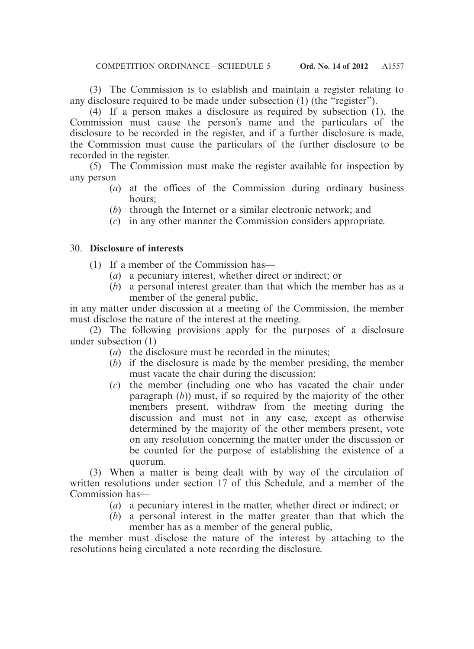(3) The Commission is to establish and maintain a register relating to any disclosure required to be made under subsection (1) (the  $\epsilon$  register").

 (4) If a person makes a disclosure as required by subsection (1), the Commission must cause the person's name and the particulars of the disclosure to be recorded in the register, and if a further disclosure is made, the Commission must cause the particulars of the further disclosure to be recorded in the register.

 (5) The Commission must make the register available for inspection by any person—

- (*a*) at the offices of the Commission during ordinary business hours;
- (*b*) through the Internet or a similar electronic network; and
- (*c*) in any other manner the Commission considers appropriate.

### 30. **Disclosure of interests**

- (1) If a member of the Commission has—
	- (*a*) a pecuniary interest, whether direct or indirect; or
	- (*b*) a personal interest greater than that which the member has as a member of the general public,

in any matter under discussion at a meeting of the Commission, the member must disclose the nature of the interest at the meeting.

 (2) The following provisions apply for the purposes of a disclosure under subsection (1)—

- (*a*) the disclosure must be recorded in the minutes;
- (*b*) if the disclosure is made by the member presiding, the member must vacate the chair during the discussion;
- (*c*) the member (including one who has vacated the chair under paragraph (*b*)) must, if so required by the majority of the other members present, withdraw from the meeting during the discussion and must not in any case, except as otherwise determined by the majority of the other members present, vote on any resolution concerning the matter under the discussion or be counted for the purpose of establishing the existence of a quorum.

 (3) When a matter is being dealt with by way of the circulation of written resolutions under section 17 of this Schedule, and a member of the Commission has—

- (*a*) a pecuniary interest in the matter, whether direct or indirect; or
- (*b*) a personal interest in the matter greater than that which the member has as a member of the general public,

the member must disclose the nature of the interest by attaching to the resolutions being circulated a note recording the disclosure.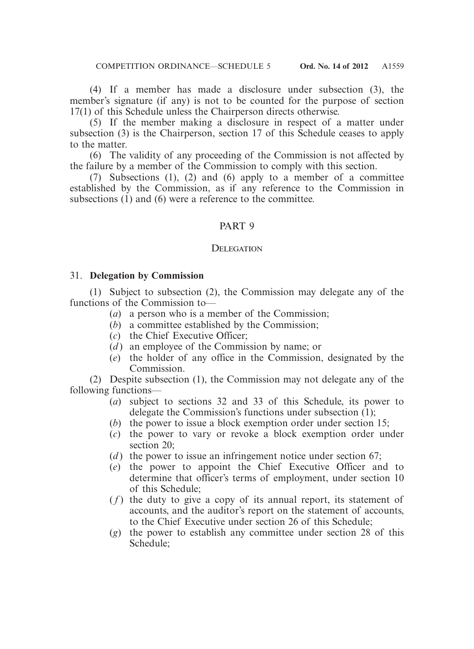(4) If a member has made a disclosure under subsection (3), the member's signature (if any) is not to be counted for the purpose of section 17(1) of this Schedule unless the Chairperson directs otherwise.

 (5) If the member making a disclosure in respect of a matter under subsection (3) is the Chairperson, section 17 of this Schedule ceases to apply to the matter.

 (6) The validity of any proceeding of the Commission is not affected by the failure by a member of the Commission to comply with this section.

 (7) Subsections (1), (2) and (6) apply to a member of a committee established by the Commission, as if any reference to the Commission in subsections (1) and (6) were a reference to the committee.

### PART 9

#### DELEGATION

#### 31. **Delegation by Commission**

 (1) Subject to subsection (2), the Commission may delegate any of the functions of the Commission to—

- (*a*) a person who is a member of the Commission;
- (*b*) a committee established by the Commission;
- (*c*) the Chief Executive Officer;
- (*d*) an employee of the Commission by name; or
- (*e*) the holder of any office in the Commission, designated by the Commission.

 (2) Despite subsection (1), the Commission may not delegate any of the following functions—

- (*a*) subject to sections 32 and 33 of this Schedule, its power to delegate the Commission's functions under subsection (1);
- (*b*) the power to issue a block exemption order under section 15;
- (*c*) the power to vary or revoke a block exemption order under section 20;
- (*d*) the power to issue an infringement notice under section 67;
- (*e*) the power to appoint the Chief Executive Officer and to determine that officer's terms of employment, under section 10 of this Schedule;
- $(f)$  the duty to give a copy of its annual report, its statement of accounts, and the auditor's report on the statement of accounts, to the Chief Executive under section 26 of this Schedule;
- (*g*) the power to establish any committee under section 28 of this Schedule;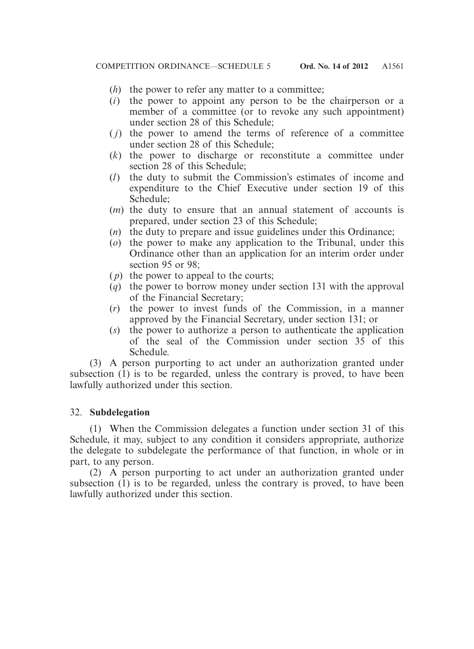- (*h*) the power to refer any matter to a committee;
- (*i*) the power to appoint any person to be the chairperson or a member of a committee (or to revoke any such appointment) under section 28 of this Schedule;
- ( *j*) the power to amend the terms of reference of a committee under section 28 of this Schedule;
- (*k*) the power to discharge or reconstitute a committee under section 28 of this Schedule;
- (*l*) the duty to submit the Commission's estimates of income and expenditure to the Chief Executive under section 19 of this Schedule;
- (*m*) the duty to ensure that an annual statement of accounts is prepared, under section 23 of this Schedule;
- (*n*) the duty to prepare and issue guidelines under this Ordinance;
- (*o*) the power to make any application to the Tribunal, under this Ordinance other than an application for an interim order under section 95 or 98:
- ( *p*) the power to appeal to the courts;
- (*q*) the power to borrow money under section 131 with the approval of the Financial Secretary;
- (*r*) the power to invest funds of the Commission, in a manner approved by the Financial Secretary, under section 131; or
- (*s*) the power to authorize a person to authenticate the application of the seal of the Commission under section 35 of this Schedule.

 (3) A person purporting to act under an authorization granted under subsection (1) is to be regarded, unless the contrary is proved, to have been lawfully authorized under this section.

## 32. **Subdelegation**

 (1) When the Commission delegates a function under section 31 of this Schedule, it may, subject to any condition it considers appropriate, authorize the delegate to subdelegate the performance of that function, in whole or in part, to any person.

 (2) A person purporting to act under an authorization granted under subsection (1) is to be regarded, unless the contrary is proved, to have been lawfully authorized under this section.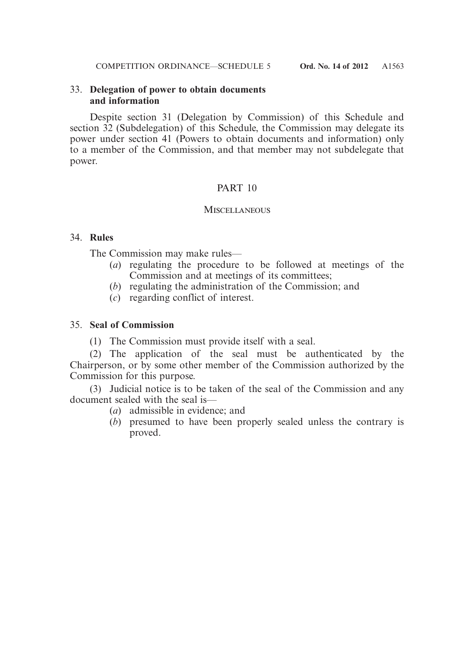#### 33. **Delegation of power to obtain documents and information**

 Despite section 31 (Delegation by Commission) of this Schedule and section 32 (Subdelegation) of this Schedule, the Commission may delegate its power under section 41 (Powers to obtain documents and information) only to a member of the Commission, and that member may not subdelegate that power.

### PART 10

#### **MISCELLANEOUS**

#### 34. **Rules**

The Commission may make rules—

- (*a*) regulating the procedure to be followed at meetings of the Commission and at meetings of its committees;
- (*b*) regulating the administration of the Commission; and
- (*c*) regarding conflict of interest.

### 35. **Seal of Commission**

(1) The Commission must provide itself with a seal.

 (2) The application of the seal must be authenticated by the Chairperson, or by some other member of the Commission authorized by the Commission for this purpose.

 (3) Judicial notice is to be taken of the seal of the Commission and any document sealed with the seal is—

- (*a*) admissible in evidence; and
- (*b*) presumed to have been properly sealed unless the contrary is proved.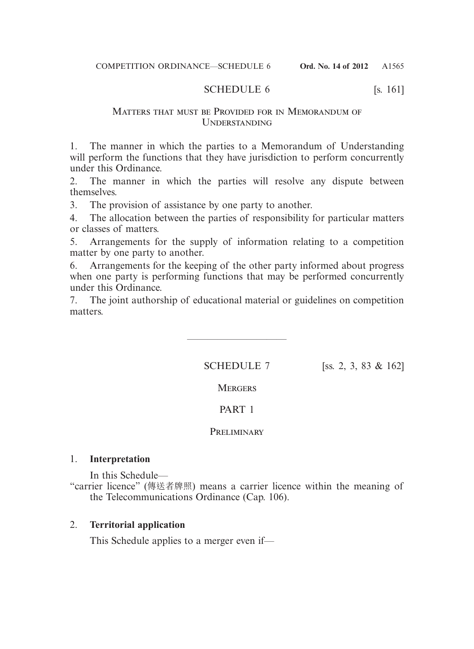### SCHEDULE 6 [s. 161]

### Matters that must be Provided for in Memorandum of Understanding

1. The manner in which the parties to a Memorandum of Understanding will perform the functions that they have jurisdiction to perform concurrently under this Ordinance.

2. The manner in which the parties will resolve any dispute between themselves.

3. The provision of assistance by one party to another.

4. The allocation between the parties of responsibility for particular matters or classes of matters.

5. Arrangements for the supply of information relating to a competition matter by one party to another.

6. Arrangements for the keeping of the other party informed about progress when one party is performing functions that may be performed concurrently under this Ordinance.

7. The joint authorship of educational material or guidelines on competition matters.

————————————————————

SCHEDULE 7 [ss. 2, 3, 83 & 162]

**MERGERS** 

## PART 1

## PRELIMINARY

## 1. **Interpretation**

In this Schedule—

"carrier licence" (傳送者牌照) means a carrier licence within the meaning of the Telecommunications Ordinance (Cap. 106).

## 2. **Territorial application**

This Schedule applies to a merger even if—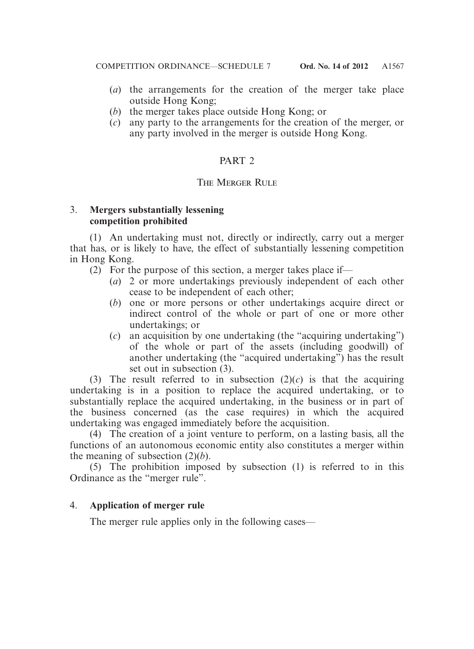- (*a*) the arrangements for the creation of the merger take place outside Hong Kong;
- (*b*) the merger takes place outside Hong Kong; or
- (*c*) any party to the arrangements for the creation of the merger, or any party involved in the merger is outside Hong Kong.

## PART 2

## THE MERGER RULE

### 3. **Mergers substantially lessening competition prohibited**

 (1) An undertaking must not, directly or indirectly, carry out a merger that has, or is likely to have, the effect of substantially lessening competition in Hong Kong.

- (2) For the purpose of this section, a merger takes place if—
	- (*a*) 2 or more undertakings previously independent of each other cease to be independent of each other;
	- (*b*) one or more persons or other undertakings acquire direct or indirect control of the whole or part of one or more other undertakings; or
	- (*c*) an acquisition by one undertaking (the "acquiring undertaking") of the whole or part of the assets (including goodwill) of another undertaking (the "acquired undertaking") has the result set out in subsection (3).

(3) The result referred to in subsection  $(2)(c)$  is that the acquiring undertaking is in a position to replace the acquired undertaking, or to substantially replace the acquired undertaking, in the business or in part of the business concerned (as the case requires) in which the acquired undertaking was engaged immediately before the acquisition.

 (4) The creation of a joint venture to perform, on a lasting basis, all the functions of an autonomous economic entity also constitutes a merger within the meaning of subsection (2)(*b*).

 (5) The prohibition imposed by subsection (1) is referred to in this Ordinance as the "merger rule".

## 4. **Application of merger rule**

The merger rule applies only in the following cases—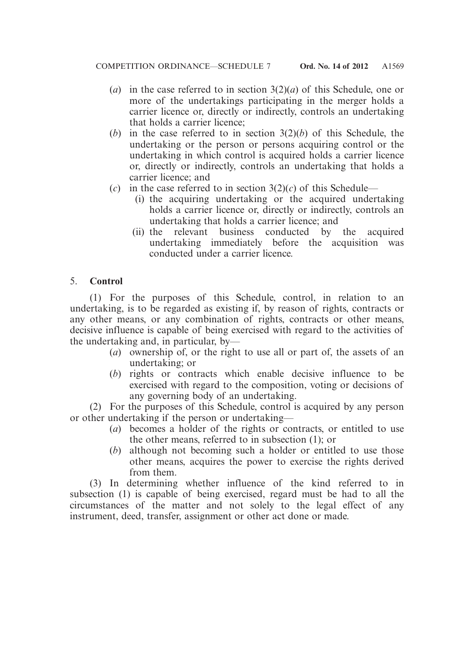- (*a*) in the case referred to in section 3(2)(*a*) of this Schedule, one or more of the undertakings participating in the merger holds a carrier licence or, directly or indirectly, controls an undertaking that holds a carrier licence;
- (*b*) in the case referred to in section 3(2)(*b*) of this Schedule, the undertaking or the person or persons acquiring control or the undertaking in which control is acquired holds a carrier licence or, directly or indirectly, controls an undertaking that holds a carrier licence; and
- (*c*) in the case referred to in section  $3(2)(c)$  of this Schedule—
	- (i) the acquiring undertaking or the acquired undertaking holds a carrier licence or, directly or indirectly, controls an undertaking that holds a carrier licence; and
	- (ii) the relevant business conducted by the acquired undertaking immediately before the acquisition was conducted under a carrier licence.

# 5. **Control**

 (1) For the purposes of this Schedule, control, in relation to an undertaking, is to be regarded as existing if, by reason of rights, contracts or any other means, or any combination of rights, contracts or other means, decisive influence is capable of being exercised with regard to the activities of the undertaking and, in particular, by—

- (*a*) ownership of, or the right to use all or part of, the assets of an undertaking; or
- (*b*) rights or contracts which enable decisive influence to be exercised with regard to the composition, voting or decisions of any governing body of an undertaking.

 (2) For the purposes of this Schedule, control is acquired by any person or other undertaking if the person or undertaking—

- (*a*) becomes a holder of the rights or contracts, or entitled to use the other means, referred to in subsection (1); or
- (*b*) although not becoming such a holder or entitled to use those other means, acquires the power to exercise the rights derived from them.

 (3) In determining whether influence of the kind referred to in subsection (1) is capable of being exercised, regard must be had to all the circumstances of the matter and not solely to the legal effect of any instrument, deed, transfer, assignment or other act done or made.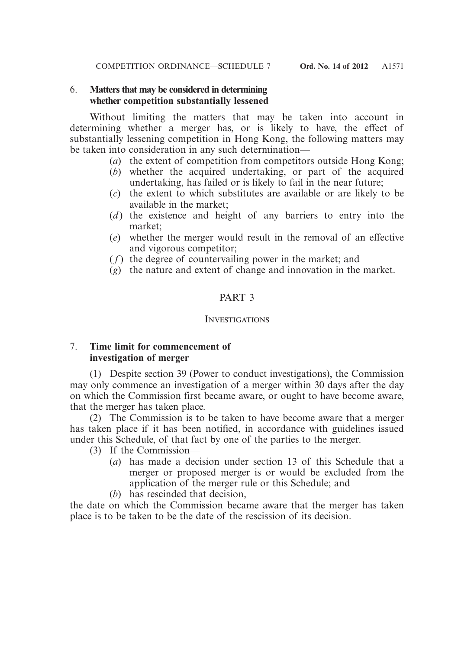### 6. **Matters that may be considered in determining whether competition substantially lessened**

 Without limiting the matters that may be taken into account in determining whether a merger has, or is likely to have, the effect of substantially lessening competition in Hong Kong, the following matters may be taken into consideration in any such determination—

- (*a*) the extent of competition from competitors outside Hong Kong;
- (*b*) whether the acquired undertaking, or part of the acquired undertaking, has failed or is likely to fail in the near future;
- (*c*) the extent to which substitutes are available or are likely to be available in the market;
- (*d*) the existence and height of any barriers to entry into the market;
- (*e*) whether the merger would result in the removal of an effective and vigorous competitor;
- $(f)$  the degree of countervailing power in the market; and
- (*g*) the nature and extent of change and innovation in the market.

### PART 3

### **INVESTIGATIONS**

## 7. **Time limit for commencement of investigation of merger**

 (1) Despite section 39 (Power to conduct investigations), the Commission may only commence an investigation of a merger within 30 days after the day on which the Commission first became aware, or ought to have become aware, that the merger has taken place.

 (2) The Commission is to be taken to have become aware that a merger has taken place if it has been notified, in accordance with guidelines issued under this Schedule, of that fact by one of the parties to the merger.

- (3) If the Commission—
	- (*a*) has made a decision under section 13 of this Schedule that a merger or proposed merger is or would be excluded from the application of the merger rule or this Schedule; and
	- (*b*) has rescinded that decision,

the date on which the Commission became aware that the merger has taken place is to be taken to be the date of the rescission of its decision.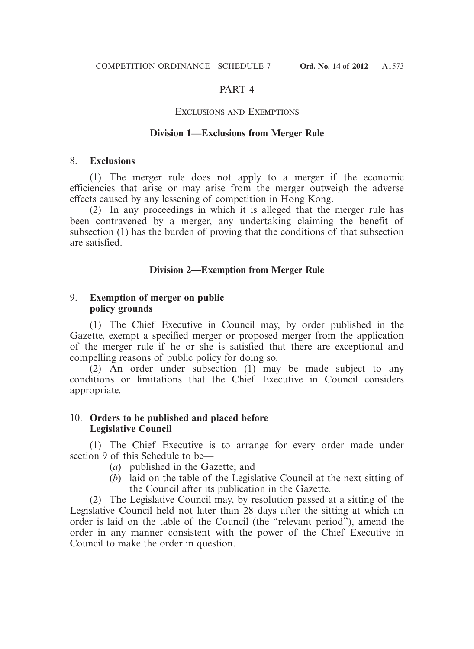## PART 4

### Exclusions and Exemptions

### **Division 1—Exclusions from Merger Rule**

#### 8. **Exclusions**

 (1) The merger rule does not apply to a merger if the economic efficiencies that arise or may arise from the merger outweigh the adverse effects caused by any lessening of competition in Hong Kong.

 (2) In any proceedings in which it is alleged that the merger rule has been contravened by a merger, any undertaking claiming the benefit of subsection (1) has the burden of proving that the conditions of that subsection are satisfied.

### **Division 2—Exemption from Merger Rule**

### 9. **Exemption of merger on public policy grounds**

 (1) The Chief Executive in Council may, by order published in the Gazette, exempt a specified merger or proposed merger from the application of the merger rule if he or she is satisfied that there are exceptional and compelling reasons of public policy for doing so.

 $(2)$  An order under subsection  $(1)$  may be made subject to any conditions or limitations that the Chief Executive in Council considers appropriate.

### 10. **Orders to be published and placed before Legislative Council**

 (1) The Chief Executive is to arrange for every order made under section 9 of this Schedule to be—

- (*a*) published in the Gazette; and
- (*b*) laid on the table of the Legislative Council at the next sitting of the Council after its publication in the Gazette.

 (2) The Legislative Council may, by resolution passed at a sitting of the Legislative Council held not later than 28 days after the sitting at which an order is laid on the table of the Council (the "relevant period"), amend the order in any manner consistent with the power of the Chief Executive in Council to make the order in question.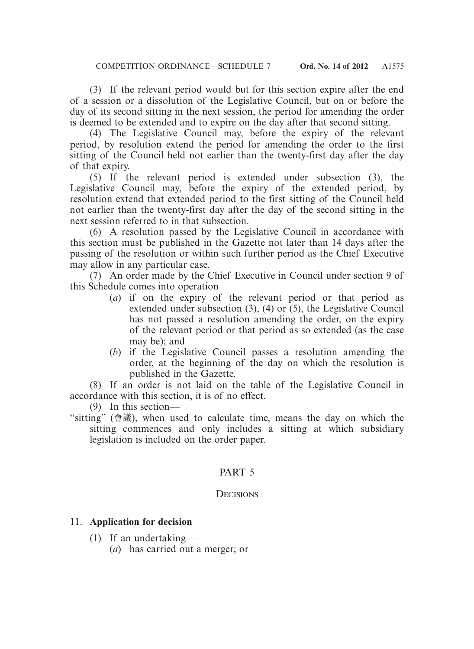(3) If the relevant period would but for this section expire after the end of a session or a dissolution of the Legislative Council, but on or before the day of its second sitting in the next session, the period for amending the order is deemed to be extended and to expire on the day after that second sitting.

 (4) The Legislative Council may, before the expiry of the relevant period, by resolution extend the period for amending the order to the first sitting of the Council held not earlier than the twenty-first day after the day of that expiry.

 (5) If the relevant period is extended under subsection (3), the Legislative Council may, before the expiry of the extended period, by resolution extend that extended period to the first sitting of the Council held not earlier than the twenty-first day after the day of the second sitting in the next session referred to in that subsection.

 (6) A resolution passed by the Legislative Council in accordance with this section must be published in the Gazette not later than 14 days after the passing of the resolution or within such further period as the Chief Executive may allow in any particular case.

 (7) An order made by the Chief Executive in Council under section 9 of this Schedule comes into operation—

- (*a*) if on the expiry of the relevant period or that period as extended under subsection  $(3)$ ,  $(4)$  or  $(5)$ , the Legislative Council has not passed a resolution amending the order, on the expiry of the relevant period or that period as so extended (as the case may be); and
- (*b*) if the Legislative Council passes a resolution amending the order, at the beginning of the day on which the resolution is published in the Gazette.

 (8) If an order is not laid on the table of the Legislative Council in accordance with this section, it is of no effect.

(9) In this section—

"sitting" (會議), when used to calculate time, means the day on which the sitting commences and only includes a sitting at which subsidiary legislation is included on the order paper.

## PART 5

### **DECISIONS**

### 11. **Application for decision**

- (1) If an undertaking—
	- (*a*) has carried out a merger; or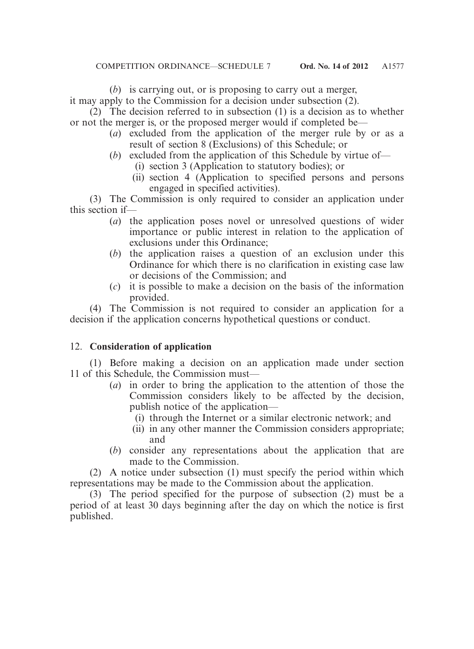(*b*) is carrying out, or is proposing to carry out a merger,

it may apply to the Commission for a decision under subsection (2).

 (2) The decision referred to in subsection (1) is a decision as to whether or not the merger is, or the proposed merger would if completed be—

- (*a*) excluded from the application of the merger rule by or as a result of section 8 (Exclusions) of this Schedule; or
- (*b*) excluded from the application of this Schedule by virtue of—
	- (i) section 3 (Application to statutory bodies); or
	- (ii) section 4 (Application to specified persons and persons engaged in specified activities).

 (3) The Commission is only required to consider an application under this section if—

- (*a*) the application poses novel or unresolved questions of wider importance or public interest in relation to the application of exclusions under this Ordinance;
- (*b*) the application raises a question of an exclusion under this Ordinance for which there is no clarification in existing case law or decisions of the Commission; and
- (*c*) it is possible to make a decision on the basis of the information provided.

 (4) The Commission is not required to consider an application for a decision if the application concerns hypothetical questions or conduct.

## 12. **Consideration of application**

 (1) Before making a decision on an application made under section 11 of this Schedule, the Commission must—

- (*a*) in order to bring the application to the attention of those the Commission considers likely to be affected by the decision, publish notice of the application—
	- (i) through the Internet or a similar electronic network; and
	- (ii) in any other manner the Commission considers appropriate; and
- (*b*) consider any representations about the application that are made to the Commission.

 (2) A notice under subsection (1) must specify the period within which representations may be made to the Commission about the application.

 (3) The period specified for the purpose of subsection (2) must be a period of at least 30 days beginning after the day on which the notice is first published.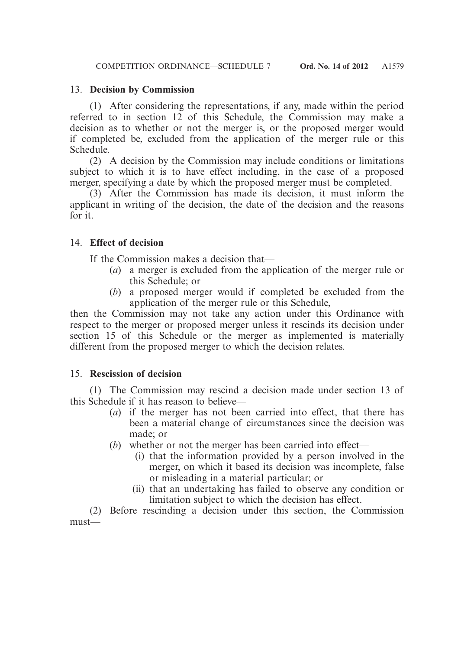### 13. **Decision by Commission**

 (1) After considering the representations, if any, made within the period referred to in section 12 of this Schedule, the Commission may make a decision as to whether or not the merger is, or the proposed merger would if completed be, excluded from the application of the merger rule or this Schedule.

 (2) A decision by the Commission may include conditions or limitations subject to which it is to have effect including, in the case of a proposed merger, specifying a date by which the proposed merger must be completed.

 (3) After the Commission has made its decision, it must inform the applicant in writing of the decision, the date of the decision and the reasons for it.

### 14. **Effect of decision**

If the Commission makes a decision that—

- (*a*) a merger is excluded from the application of the merger rule or this Schedule; or
- (*b*) a proposed merger would if completed be excluded from the application of the merger rule or this Schedule,

then the Commission may not take any action under this Ordinance with respect to the merger or proposed merger unless it rescinds its decision under section 15 of this Schedule or the merger as implemented is materially different from the proposed merger to which the decision relates.

## 15. **Rescission of decision**

 (1) The Commission may rescind a decision made under section 13 of this Schedule if it has reason to believe—

- (*a*) if the merger has not been carried into effect, that there has been a material change of circumstances since the decision was made; or
- (*b*) whether or not the merger has been carried into effect—
	- (i) that the information provided by a person involved in the merger, on which it based its decision was incomplete, false or misleading in a material particular; or
	- (ii) that an undertaking has failed to observe any condition or limitation subject to which the decision has effect.

 (2) Before rescinding a decision under this section, the Commission must—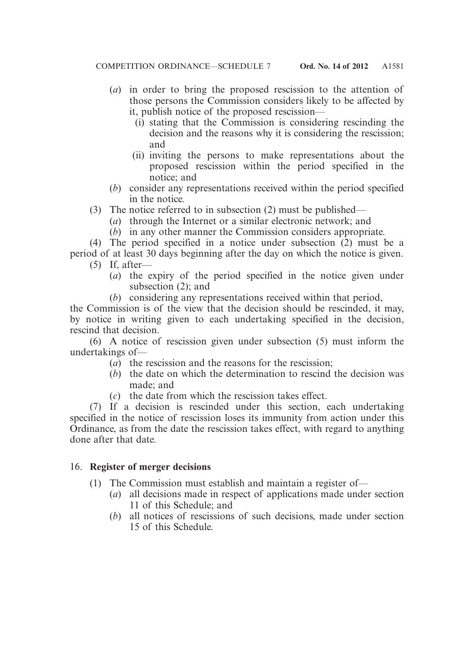- (*a*) in order to bring the proposed rescission to the attention of those persons the Commission considers likely to be affected by it, publish notice of the proposed rescission—
	- (i) stating that the Commission is considering rescinding the decision and the reasons why it is considering the rescission; and
	- (ii) inviting the persons to make representations about the proposed rescission within the period specified in the notice; and
- (*b*) consider any representations received within the period specified in the notice.
- (3) The notice referred to in subsection (2) must be published—
	- (*a*) through the Internet or a similar electronic network; and
	- (*b*) in any other manner the Commission considers appropriate.

 (4) The period specified in a notice under subsection (2) must be a period of at least 30 days beginning after the day on which the notice is given.

- (5) If, after—
	- (*a*) the expiry of the period specified in the notice given under subsection (2); and
	- (*b*) considering any representations received within that period,

the Commission is of the view that the decision should be rescinded, it may, by notice in writing given to each undertaking specified in the decision, rescind that decision.

 (6) A notice of rescission given under subsection (5) must inform the undertakings of—

- (*a*) the rescission and the reasons for the rescission;
- (*b*) the date on which the determination to rescind the decision was made; and
- (*c*) the date from which the rescission takes effect.

 (7) If a decision is rescinded under this section, each undertaking specified in the notice of rescission loses its immunity from action under this Ordinance, as from the date the rescission takes effect, with regard to anything done after that date.

## 16. **Register of merger decisions**

- (1) The Commission must establish and maintain a register of—
	- (*a*) all decisions made in respect of applications made under section 11 of this Schedule; and
	- (*b*) all notices of rescissions of such decisions, made under section 15 of this Schedule.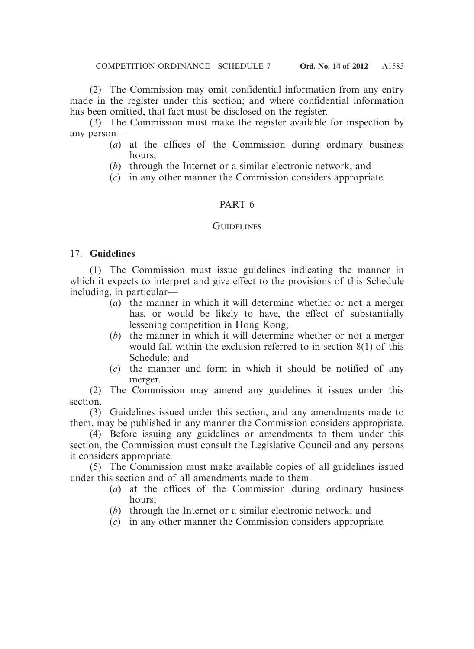(2) The Commission may omit confidential information from any entry made in the register under this section; and where confidential information has been omitted, that fact must be disclosed on the register.

 (3) The Commission must make the register available for inspection by any person—

- (*a*) at the offices of the Commission during ordinary business hours;
- (*b*) through the Internet or a similar electronic network; and
- (*c*) in any other manner the Commission considers appropriate.

### PART 6

#### GUIDELINES

### 17. **Guidelines**

 (1) The Commission must issue guidelines indicating the manner in which it expects to interpret and give effect to the provisions of this Schedule including, in particular—

- (*a*) the manner in which it will determine whether or not a merger has, or would be likely to have, the effect of substantially lessening competition in Hong Kong;
- (*b*) the manner in which it will determine whether or not a merger would fall within the exclusion referred to in section 8(1) of this Schedule; and
- (*c*) the manner and form in which it should be notified of any merger.

 (2) The Commission may amend any guidelines it issues under this section.

 (3) Guidelines issued under this section, and any amendments made to them, may be published in any manner the Commission considers appropriate.

 (4) Before issuing any guidelines or amendments to them under this section, the Commission must consult the Legislative Council and any persons it considers appropriate.

 (5) The Commission must make available copies of all guidelines issued under this section and of all amendments made to them—

- (*a*) at the offices of the Commission during ordinary business hours;
- (*b*) through the Internet or a similar electronic network; and
- (*c*) in any other manner the Commission considers appropriate.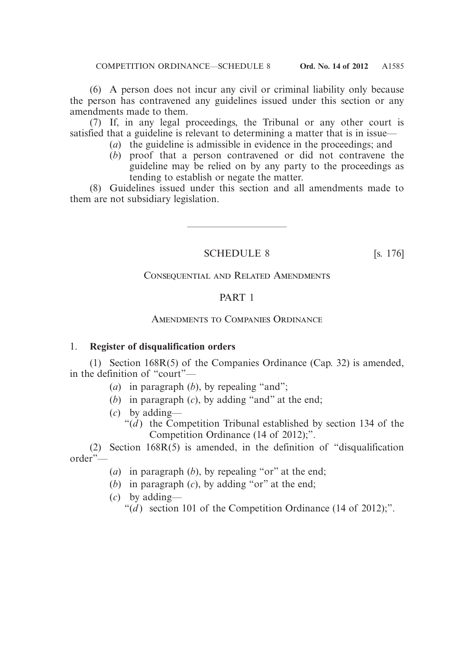(6) A person does not incur any civil or criminal liability only because the person has contravened any guidelines issued under this section or any amendments made to them.

 (7) If, in any legal proceedings, the Tribunal or any other court is satisfied that a guideline is relevant to determining a matter that is in issue—

- (*a*) the guideline is admissible in evidence in the proceedings; and
- (*b*) proof that a person contravened or did not contravene the guideline may be relied on by any party to the proceedings as tending to establish or negate the matter.

 (8) Guidelines issued under this section and all amendments made to them are not subsidiary legislation.

SCHEDULE 8 [s. 176]

————————————————————

## Consequential and Related Amendments

## PART 1

### Amendments to Companies Ordinance

## 1. **Register of disqualification orders**

 (1) Section 168R(5) of the Companies Ordinance (Cap. 32) is amended, in the definition of "court"—

- (*a*) in paragraph (*b*), by repealing "and";
- (*b*) in paragraph (*c*), by adding "and" at the end;
- (*c*) by adding—
	- " $(d)$  the Competition Tribunal established by section 134 of the Competition Ordinance (14 of 2012);".

 (2) Section 168R(5) is amended, in the definition of "disqualification order"—

- (*a*) in paragraph (*b*), by repealing "or" at the end;
- (*b*) in paragraph (*c*), by adding "or" at the end;
- (*c*) by adding—
	- " $(d)$  section 101 of the Competition Ordinance (14 of 2012);".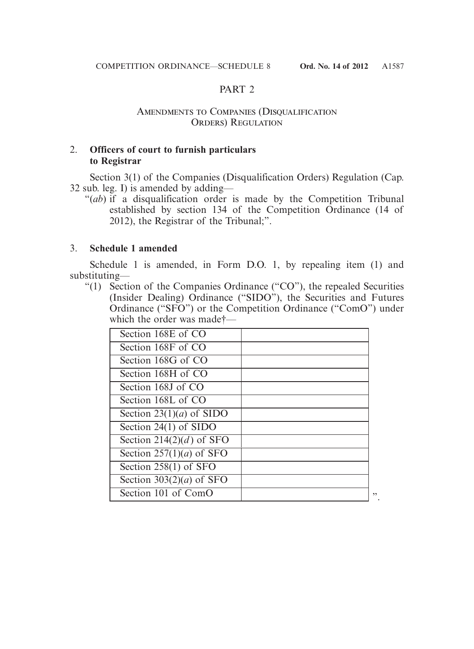### PART<sub>2</sub>

#### Amendments to Companies (Disqualification ORDERS) REGULATION

#### 2. **Officers of court to furnish particulars to Registrar**

 Section 3(1) of the Companies (Disqualification Orders) Regulation (Cap. 32 sub. leg. I) is amended by adding—

 "(*ab*) if a disqualification order is made by the Competition Tribunal established by section 134 of the Competition Ordinance (14 of 2012), the Registrar of the Tribunal;".

#### 3. **Schedule 1 amended**

 Schedule 1 is amended, in Form D.O. 1, by repealing item (1) and substituting—

"(1) Section of the Companies Ordinance ("CO"), the repealed Securities (Insider Dealing) Ordinance ("SIDO"), the Securities and Futures Ordinance ("SFO") or the Competition Ordinance ("ComO") under which the order was made†—

| Section 168E of CO                |    |
|-----------------------------------|----|
| Section 168F of CO                |    |
| Section 168G of CO                |    |
| Section 168H of CO                |    |
| Section 168J of CO                |    |
| Section 168L of CO                |    |
| Section $23(1)(a)$ of SIDO        |    |
| Section $24(1)$ of SIDO           |    |
| Section 214(2)(d) of SFO          |    |
| Section $257(1)(a)$ of SFO        |    |
| Section $258(1)$ of SFO           |    |
| Section 303(2)( <i>a</i> ) of SFO |    |
| Section 101 of ComO               | ,, |
|                                   |    |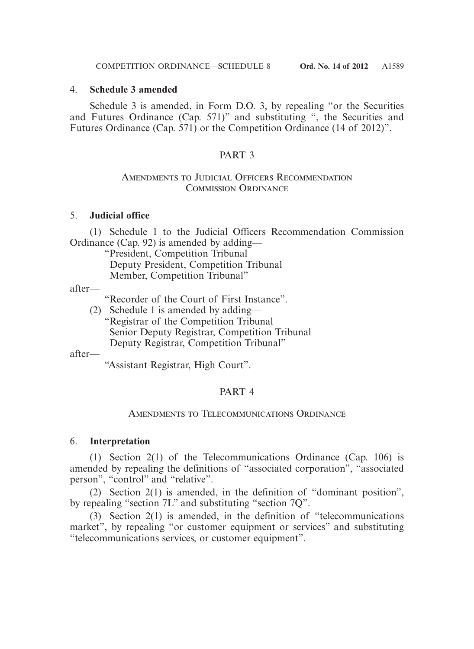#### 4. **Schedule 3 amended**

 Schedule 3 is amended, in Form D.O. 3, by repealing "or the Securities and Futures Ordinance (Cap. 571)" and substituting ", the Securities and Futures Ordinance (Cap. 571) or the Competition Ordinance (14 of 2012)".

### PART 3

### Amendments to Judicial Officers Recommendation Commission Ordinance

#### 5. **Judicial office**

 (1) Schedule 1 to the Judicial Officers Recommendation Commission Ordinance (Cap. 92) is amended by adding—

> "President, Competition Tribunal Deputy President, Competition Tribunal Member, Competition Tribunal"

### after—

"Recorder of the Court of First Instance".

 (2) Schedule 1 is amended by adding— "Registrar of the Competition Tribunal Senior Deputy Registrar, Competition Tribunal Deputy Registrar, Competition Tribunal"

after—

"Assistant Registrar, High Court".

## PART 4

#### Amendments to Telecommunications Ordinance

### 6. **Interpretation**

 (1) Section 2(1) of the Telecommunications Ordinance (Cap. 106) is amended by repealing the definitions of "associated corporation", "associated person", "control" and "relative".

 (2) Section 2(1) is amended, in the definition of "dominant position", by repealing "section 7L" and substituting "section 7Q".

 (3) Section 2(1) is amended, in the definition of "telecommunications market", by repealing "or customer equipment or services" and substituting "telecommunications services, or customer equipment".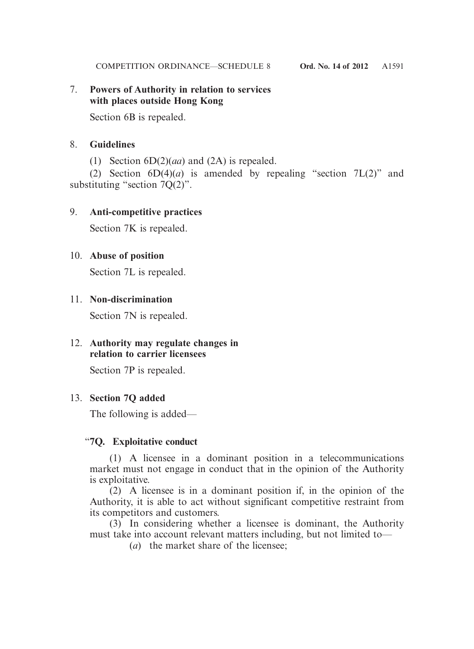### 7. **Powers of Authority in relation to services with places outside Hong Kong**

Section 6B is repealed.

## 8. **Guidelines**

(1) Section 6D(2)(*aa*) and (2A) is repealed.

(2) Section  $6D(4)(a)$  is amended by repealing "section  $7L(2)$ " and substituting "section 7Q(2)".

# 9. **Anti-competitive practices**

Section 7K is repealed.

# 10. **Abuse of position**

Section 7L is repealed.

# 11. **Non-discrimination**

Section 7N is repealed.

## 12. **Authority may regulate changes in relation to carrier licensees**

Section 7P is repealed.

# 13. **Section 7Q added**

The following is added—

# "**7Q. Exploitative conduct**

 (1) A licensee in a dominant position in a telecommunications market must not engage in conduct that in the opinion of the Authority is exploitative.

 (2) A licensee is in a dominant position if, in the opinion of the Authority, it is able to act without significant competitive restraint from its competitors and customers.

 (3) In considering whether a licensee is dominant, the Authority must take into account relevant matters including, but not limited to—

(*a*) the market share of the licensee;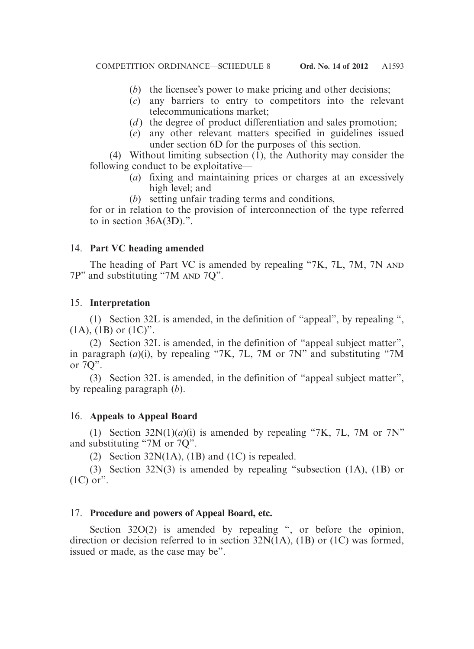- (*b*) the licensee's power to make pricing and other decisions;
- (*c*) any barriers to entry to competitors into the relevant telecommunications market;
- (*d*) the degree of product differentiation and sales promotion;
- (*e*) any other relevant matters specified in guidelines issued under section 6D for the purposes of this section.

(4) Without limiting subsection  $(1)$ , the Authority may consider the following conduct to be exploitative—

- (*a*) fixing and maintaining prices or charges at an excessively high level; and
- (*b*) setting unfair trading terms and conditions,

for or in relation to the provision of interconnection of the type referred to in section 36A(3D).".

# 14. **Part VC heading amended**

The heading of Part VC is amended by repealing "7K, 7L, 7M, 7N AND 7P" and substituting "7M AND 7Q".

# 15. **Interpretation**

 (1) Section 32L is amended, in the definition of "appeal", by repealing ",  $(1A)$ ,  $(1B)$  or  $(1C)$ ".

 (2) Section 32L is amended, in the definition of "appeal subject matter", in paragraph (*a*)(i), by repealing "7K, 7L, 7M or 7N" and substituting "7M or 7Q".

 (3) Section 32L is amended, in the definition of "appeal subject matter", by repealing paragraph (*b*).

## 16. **Appeals to Appeal Board**

(1) Section  $32N(1)(a)(i)$  is amended by repealing "7K, 7L, 7M or 7N" and substituting "7M or 7Q".

(2) Section  $32N(1A)$ , (1B) and (1C) is repealed.

 (3) Section 32N(3) is amended by repealing "subsection (1A), (1B) or  $(1C)$  or".

# 17. **Procedure and powers of Appeal Board, etc.**

Section 32O(2) is amended by repealing ", or before the opinion, direction or decision referred to in section 32N(1A), (1B) or (1C) was formed, issued or made, as the case may be".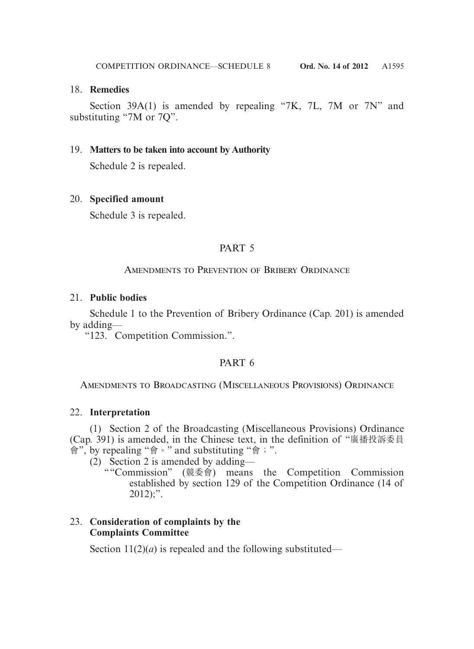### 18. **Remedies**

Section 39A(1) is amended by repealing "7K, 7L, 7M or 7N" and substituting "7M or 7Q".

19. **Matters to be taken into account by Authority**

Schedule 2 is repealed.

### 20. **Specified amount**

Schedule 3 is repealed.

## PART<sub>5</sub>

### Amendments to Prevention of Bribery Ordinance

### 21. **Public bodies**

 Schedule 1 to the Prevention of Bribery Ordinance (Cap. 201) is amended by adding—

"123. Competition Commission.".

## PART 6

### Amendments to Broadcasting (Miscellaneous Provisions) Ordinance

## 22. **Interpretation**

 (1) Section 2 of the Broadcasting (Miscellaneous Provisions) Ordinance (Cap. 391) is amended, in the Chinese text, in the definition of "廣播投訴委員 會", by repealing "會。" and substituting "會;".

(2) Section 2 is amended by adding—

""Commission" (競委會) means the Competition Commission established by section 129 of the Competition Ordinance (14 of  $2012$ ;".

### 23. **Consideration of complaints by the Complaints Committee**

Section  $11(2)(a)$  is repealed and the following substituted—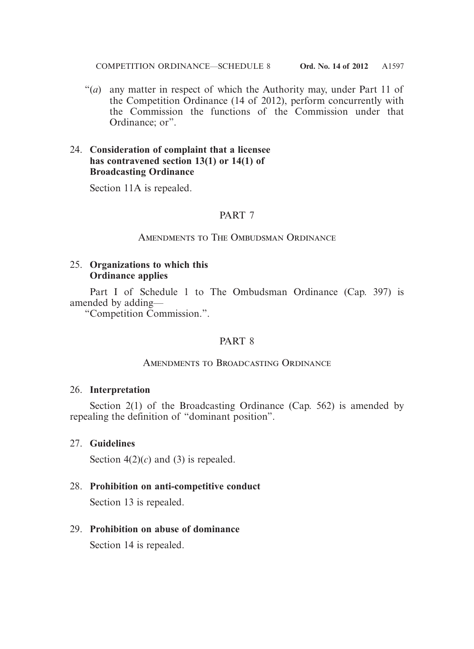"(*a*) any matter in respect of which the Authority may, under Part 11 of the Competition Ordinance (14 of 2012), perform concurrently with the Commission the functions of the Commission under that Ordinance; or".

## 24. **Consideration of complaint that a licensee has contravened section 13(1) or 14(1) of Broadcasting Ordinance**

Section 11A is repealed.

## PART 7

#### AMENDMENTS TO THE OMBUDSMAN ORDINANCE

## 25. **Organizations to which this Ordinance applies**

 Part I of Schedule 1 to The Ombudsman Ordinance (Cap. 397) is amended by adding—

"Competition Commission.".

## PART 8

### Amendments to Broadcasting Ordinance

#### 26. **Interpretation**

Section 2(1) of the Broadcasting Ordinance (Cap. 562) is amended by repealing the definition of "dominant position".

### 27. **Guidelines**

Section  $4(2)(c)$  and (3) is repealed.

## 28. **Prohibition on anti-competitive conduct**

Section 13 is repealed.

### 29. **Prohibition on abuse of dominance**

Section 14 is repealed.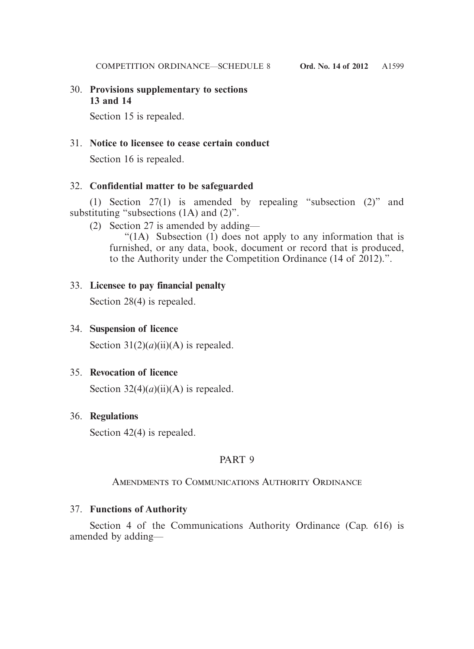## 30. **Provisions supplementary to sections 13 and 14**

Section 15 is repealed.

### 31. **Notice to licensee to cease certain conduct**

Section 16 is repealed.

### 32. **Confidential matter to be safeguarded**

 (1) Section 27(1) is amended by repealing "subsection (2)" and substituting "subsections (1A) and (2)".

(2) Section 27 is amended by adding—

 "(1A) Subsection (1) does not apply to any information that is furnished, or any data, book, document or record that is produced, to the Authority under the Competition Ordinance (14 of 2012).".

### 33. **Licensee to pay financial penalty**

Section 28(4) is repealed.

### 34. **Suspension of licence**

Section  $31(2)(a)(ii)(A)$  is repealed.

### 35. **Revocation of licence**

Section  $32(4)(a)(ii)(A)$  is repealed.

### 36. **Regulations**

Section 42(4) is repealed.

## PART 9

### AMENDMENTS TO COMMUNICATIONS AUTHORITY ORDINANCE

### 37. **Functions of Authority**

 Section 4 of the Communications Authority Ordinance (Cap. 616) is amended by adding—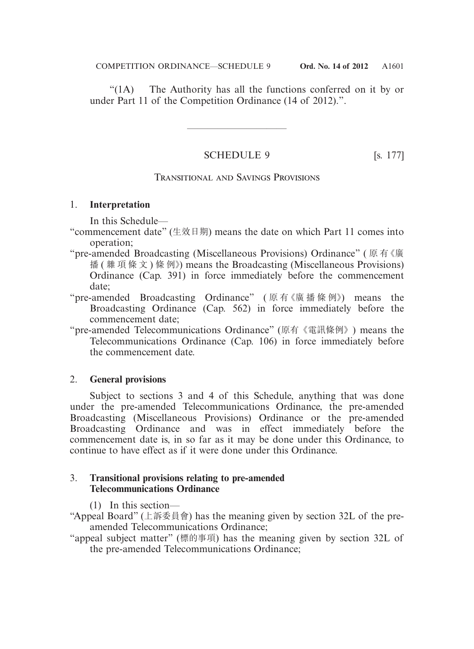"(1A) The Authority has all the functions conferred on it by or under Part 11 of the Competition Ordinance (14 of 2012).".

# SCHEDULE 9 [s. 177]

————————————————————

### Transitional and Savings Provisions

### 1. **Interpretation**

In this Schedule—

- "commencement date" (生效日期) means the date on which Part 11 comes into operation;
- "pre-amended Broadcasting (Miscellaneous Provisions) Ordinance" ( 原 有《廣 播 ( 雜項條文 ) 條 例》) means the Broadcasting (Miscellaneous Provisions) Ordinance (Cap. 391) in force immediately before the commencement date;
- "pre-amended Broadcasting Ordinance" ( 原 有《廣 播 條 例》) means the Broadcasting Ordinance (Cap. 562) in force immediately before the commencement date;
- "pre-amended Telecommunications Ordinance" (原有《電訊條例》) means the Telecommunications Ordinance (Cap. 106) in force immediately before the commencement date.

## 2. **General provisions**

 Subject to sections 3 and 4 of this Schedule, anything that was done under the pre-amended Telecommunications Ordinance, the pre-amended Broadcasting (Miscellaneous Provisions) Ordinance or the pre-amended Broadcasting Ordinance and was in effect immediately before the commencement date is, in so far as it may be done under this Ordinance, to continue to have effect as if it were done under this Ordinance.

### 3. **Transitional provisions relating to pre-amended Telecommunications Ordinance**

(1) In this section—

"Appeal Board" (上訴委員會) has the meaning given by section 32L of the preamended Telecommunications Ordinance;

"appeal subject matter" (標的事項) has the meaning given by section 32L of the pre-amended Telecommunications Ordinance;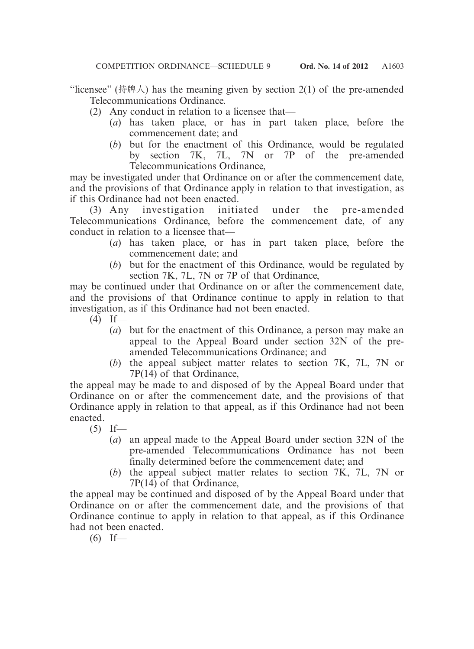"licensee" (持牌人) has the meaning given by section  $2(1)$  of the pre-amended Telecommunications Ordinance.

- (2) Any conduct in relation to a licensee that—
	- (*a*) has taken place, or has in part taken place, before the commencement date; and
	- (*b*) but for the enactment of this Ordinance, would be regulated by section 7K, 7L, 7N or 7P of the pre-amended Telecommunications Ordinance,

may be investigated under that Ordinance on or after the commencement date, and the provisions of that Ordinance apply in relation to that investigation, as if this Ordinance had not been enacted.

 (3) Any investigation initiated under the pre-amended Telecommunications Ordinance, before the commencement date, of any conduct in relation to a licensee that—

- (*a*) has taken place, or has in part taken place, before the commencement date; and
- (*b*) but for the enactment of this Ordinance, would be regulated by section 7K, 7L, 7N or 7P of that Ordinance,

may be continued under that Ordinance on or after the commencement date, and the provisions of that Ordinance continue to apply in relation to that investigation, as if this Ordinance had not been enacted.

- $(4)$  If—
	- (*a*) but for the enactment of this Ordinance, a person may make an appeal to the Appeal Board under section 32N of the preamended Telecommunications Ordinance; and
	- (*b*) the appeal subject matter relates to section 7K, 7L, 7N or 7P(14) of that Ordinance,

the appeal may be made to and disposed of by the Appeal Board under that Ordinance on or after the commencement date, and the provisions of that Ordinance apply in relation to that appeal, as if this Ordinance had not been enacted.

 $(5)$  If—

- (*a*) an appeal made to the Appeal Board under section 32N of the pre-amended Telecommunications Ordinance has not been finally determined before the commencement date; and
- (*b*) the appeal subject matter relates to section 7K, 7L, 7N or 7P(14) of that Ordinance,

the appeal may be continued and disposed of by the Appeal Board under that Ordinance on or after the commencement date, and the provisions of that Ordinance continue to apply in relation to that appeal, as if this Ordinance had not been enacted.

 $(6)$  If—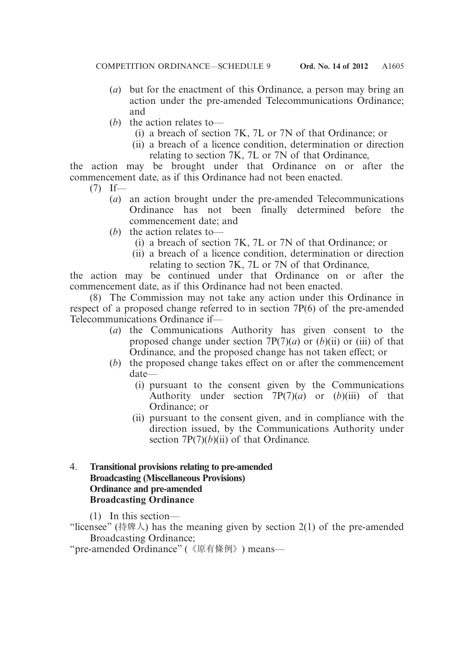- (*a*) but for the enactment of this Ordinance, a person may bring an action under the pre-amended Telecommunications Ordinance; and
- (*b*) the action relates to—
	- (i) a breach of section 7K, 7L or 7N of that Ordinance; or
	- (ii) a breach of a licence condition, determination or direction relating to section 7K, 7L or 7N of that Ordinance,

the action may be brought under that Ordinance on or after the commencement date, as if this Ordinance had not been enacted.

- $(7)$  If—
	- (*a*) an action brought under the pre-amended Telecommunications Ordinance has not been finally determined before the commencement date; and
	- (*b*) the action relates to—
		- (i) a breach of section 7K, 7L or 7N of that Ordinance; or
		- (ii) a breach of a licence condition, determination or direction relating to section 7K, 7L or 7N of that Ordinance,

the action may be continued under that Ordinance on or after the commencement date, as if this Ordinance had not been enacted.

 (8) The Commission may not take any action under this Ordinance in respect of a proposed change referred to in section 7P(6) of the pre-amended Telecommunications Ordinance if—

- (*a*) the Communications Authority has given consent to the proposed change under section  $\overline{7P(7)}(a)$  or (*b*)(*ii*) or (*iii*) of that Ordinance, and the proposed change has not taken effect; or
- (*b*) the proposed change takes effect on or after the commencement date—
	- (i) pursuant to the consent given by the Communications Authority under section  $7P(7)(a)$  or  $(b)(iii)$  of that Ordinance; or
	- (ii) pursuant to the consent given, and in compliance with the direction issued, by the Communications Authority under section  $7P(7)(b)(ii)$  of that Ordinance.

### 4. **Transitional provisions relating to pre-amended Broadcasting (Miscellaneous Provisions) Ordinance and pre-amended Broadcasting Ordinance**

(1) In this section—

"licensee" (持牌人) has the meaning given by section  $2(1)$  of the pre-amended Broadcasting Ordinance;

"pre-amended Ordinance" (《原有條例》) means—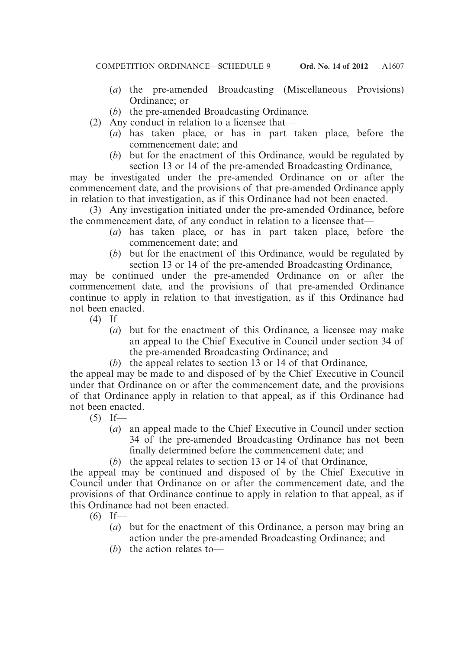- (*a*) the pre-amended Broadcasting (Miscellaneous Provisions) Ordinance; or
- (*b*) the pre-amended Broadcasting Ordinance.
- (2) Any conduct in relation to a licensee that—
	- (*a*) has taken place, or has in part taken place, before the commencement date; and
	- (*b*) but for the enactment of this Ordinance, would be regulated by section 13 or 14 of the pre-amended Broadcasting Ordinance,

may be investigated under the pre-amended Ordinance on or after the commencement date, and the provisions of that pre-amended Ordinance apply in relation to that investigation, as if this Ordinance had not been enacted.

 (3) Any investigation initiated under the pre-amended Ordinance, before the commencement date, of any conduct in relation to a licensee that—

- (*a*) has taken place, or has in part taken place, before the commencement date; and
- (*b*) but for the enactment of this Ordinance, would be regulated by section 13 or 14 of the pre-amended Broadcasting Ordinance,

may be continued under the pre-amended Ordinance on or after the commencement date, and the provisions of that pre-amended Ordinance continue to apply in relation to that investigation, as if this Ordinance had not been enacted.

- $(4)$  If—
	- (*a*) but for the enactment of this Ordinance, a licensee may make an appeal to the Chief Executive in Council under section 34 of the pre-amended Broadcasting Ordinance; and
	- (*b*) the appeal relates to section 13 or 14 of that Ordinance,

the appeal may be made to and disposed of by the Chief Executive in Council under that Ordinance on or after the commencement date, and the provisions of that Ordinance apply in relation to that appeal, as if this Ordinance had not been enacted.

- $(5)$  If—
	- (*a*) an appeal made to the Chief Executive in Council under section 34 of the pre-amended Broadcasting Ordinance has not been finally determined before the commencement date; and
	- (*b*) the appeal relates to section 13 or 14 of that Ordinance,

the appeal may be continued and disposed of by the Chief Executive in Council under that Ordinance on or after the commencement date, and the provisions of that Ordinance continue to apply in relation to that appeal, as if this Ordinance had not been enacted.

- $(6)$  If—
	- (*a*) but for the enactment of this Ordinance, a person may bring an action under the pre-amended Broadcasting Ordinance; and
	- (*b*) the action relates to—